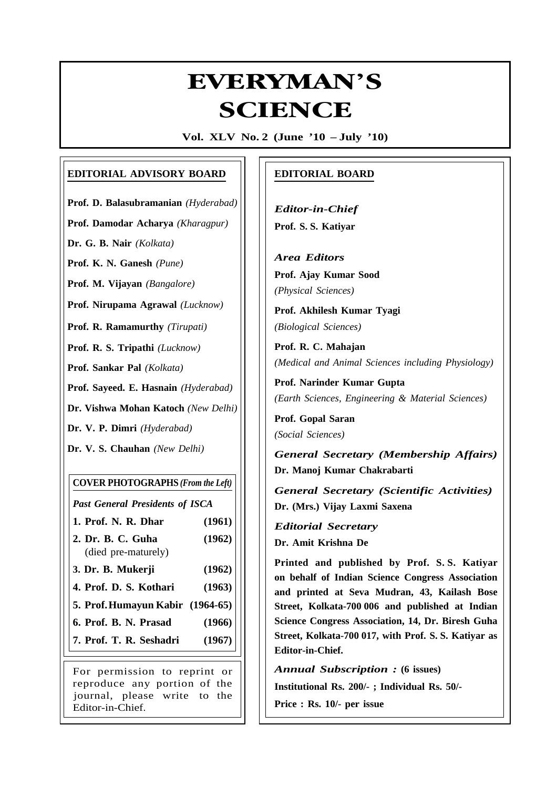# **EVERYMAN'S SCIENCE**

**Vol. XLV No. 2 (June '10 – July '10)**

# **EDITORIAL ADVISORY BOARD**

**Prof. D. Balasubramanian** *(Hyderabad)*

**Prof. Damodar Acharya** *(Kharagpur)*

**Dr. G. B. Nair** *(Kolkata)*

**Prof. K. N. Ganesh** *(Pune)*

**Prof. M. Vijayan** *(Bangalore)*

**Prof. Nirupama Agrawal** *(Lucknow)*

**Prof. R. Ramamurthy** *(Tirupati)*

**Prof. R. S. Tripathi** *(Lucknow)*

**Prof. Sankar Pal** *(Kolkata)*

**Prof. Sayeed. E. Hasnain** *(Hyderabad)*

**Dr. Vishwa Mohan Katoch** *(New Delhi)*

**Dr. V. P. Dimri** *(Hyderabad)*

**Dr. V. S. Chauhan** *(New Delhi)*

# **COVER PHOTOGRAPHS** *(From the Left)*

*Past General Presidents of ISCA*

| 1. Prof. N. R. Dhar | (1961) |
|---------------------|--------|
| 2. Dr. B. C. Guha   | (1962) |
| (died pre-maturely) |        |

- **3. Dr. B. Mukerji (1962)**
- **4. Prof. D. S. Kothari (1963)**
- **5. Prof.Humayun Kabir (1964-65)**
- **6. Prof. B. N. Prasad (1966)**
- **7. Prof. T. R. Seshadri (1967)**

For permission to reprint or reproduce any portion of the journal, please write to the Editor-in-Chief.

# **EDITORIAL BOARD**

*Editor-in-Chief* **Prof. S. S. Katiyar**

*Area Editors* **Prof. Ajay Kumar Sood** *(Physical Sciences)*

**Prof. Akhilesh Kumar Tyagi** *(Biological Sciences)*

**Prof. R. C. Mahajan** *(Medical and Animal Sciences including Physiology)*

**Prof. Narinder Kumar Gupta** *(Earth Sciences, Engineering & Material Sciences)*

**Prof. Gopal Saran** *(Social Sciences)*

*General Secretary (Membership Affairs)* **Dr. Manoj Kumar Chakrabarti**

*General Secretary (Scientific Activities)* **Dr. (Mrs.) Vijay Laxmi Saxena**

*Editorial Secretary* **Dr. Amit Krishna De**

69

**Printed and published by Prof. S. S. Katiyar on behalf of Indian Science Congress Association and printed at Seva Mudran, 43, Kailash Bose Street, Kolkata-700 006 and published at Indian Science Congress Association, 14, Dr. Biresh Guha Street, Kolkata-700 017, with Prof. S. S. Katiyar as Editor-in-Chief.**

*Annual Subscription :* **(6 issues) Institutional Rs. 200/- ; Individual Rs. 50/- Price : Rs. 10/- per issue**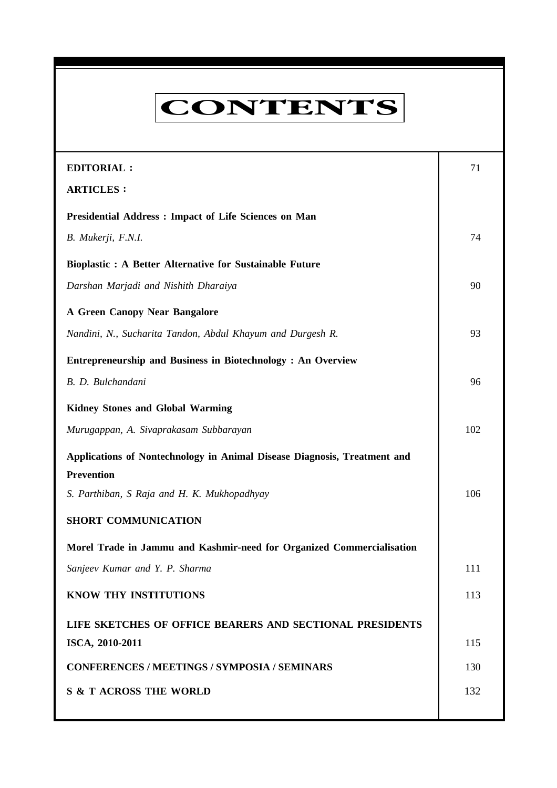# CONTENTS

**Everyman's Science VOL. XLV NO. 2, June '10 — July '10**

| <b>EDITORIAL:</b>                                                                             | 71  |
|-----------------------------------------------------------------------------------------------|-----|
| <b>ARTICLES:</b>                                                                              |     |
| <b>Presidential Address : Impact of Life Sciences on Man</b>                                  |     |
| B. Mukerji, F.N.I.                                                                            | 74  |
| <b>Bioplastic: A Better Alternative for Sustainable Future</b>                                |     |
| Darshan Marjadi and Nishith Dharaiya                                                          | 90  |
| <b>A Green Canopy Near Bangalore</b>                                                          |     |
| Nandini, N., Sucharita Tandon, Abdul Khayum and Durgesh R.                                    | 93  |
| <b>Entrepreneurship and Business in Biotechnology: An Overview</b>                            |     |
| B. D. Bulchandani                                                                             | 96  |
| <b>Kidney Stones and Global Warming</b>                                                       |     |
| Murugappan, A. Sivaprakasam Subbarayan                                                        | 102 |
| Applications of Nontechnology in Animal Disease Diagnosis, Treatment and<br><b>Prevention</b> |     |
| S. Parthiban, S Raja and H. K. Mukhopadhyay                                                   | 106 |
| <b>SHORT COMMUNICATION</b>                                                                    |     |
| Morel Trade in Jammu and Kashmir-need for Organized Commercialisation                         |     |
| Sanjeev Kumar and Y. P. Sharma                                                                | 111 |
| <b>KNOW THY INSTITUTIONS</b>                                                                  | 113 |
| LIFE SKETCHES OF OFFICE BEARERS AND SECTIONAL PRESIDENTS                                      |     |
| ISCA, 2010-2011                                                                               | 115 |
| <b>CONFERENCES / MEETINGS / SYMPOSIA / SEMINARS</b>                                           | 130 |
| <b>S &amp; T ACROSS THE WORLD</b>                                                             | 132 |
|                                                                                               |     |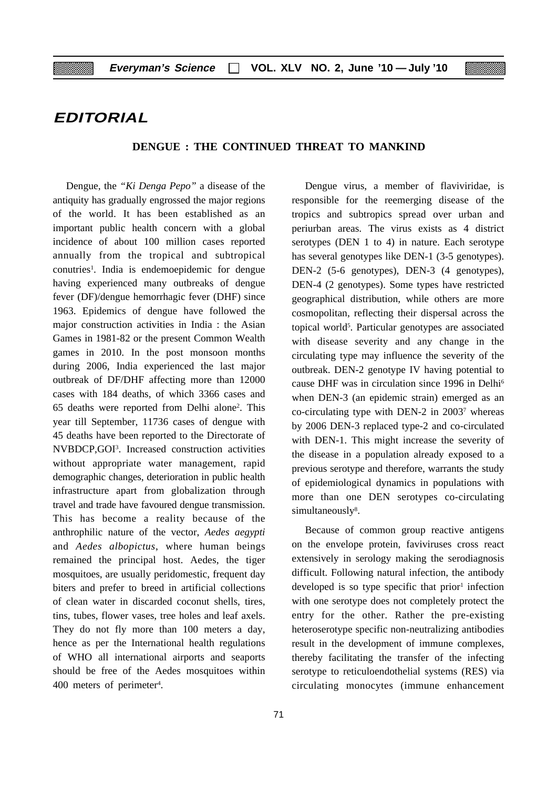# **EDITORIAL**

#### **DENGUE : THE CONTINUED THREAT TO MANKIND**

Dengue, the *"Ki Denga Pepo"* a disease of the antiquity has gradually engrossed the major regions of the world. It has been established as an important public health concern with a global incidence of about 100 million cases reported annually from the tropical and subtropical conutries<sup>1</sup>. India is endemoepidemic for dengue having experienced many outbreaks of dengue fever (DF)/dengue hemorrhagic fever (DHF) since 1963. Epidemics of dengue have followed the major construction activities in India : the Asian Games in 1981-82 or the present Common Wealth games in 2010. In the post monsoon months during 2006, India experienced the last major outbreak of DF/DHF affecting more than 12000 cases with 184 deaths, of which 3366 cases and 65 deaths were reported from Delhi alone2 . This year till September, 11736 cases of dengue with 45 deaths have been reported to the Directorate of NVBDCP,GOI3 . Increased construction activities without appropriate water management, rapid demographic changes, deterioration in public health infrastructure apart from globalization through travel and trade have favoured dengue transmission. This has become a reality because of the anthrophilic nature of the vector, *Aedes aegypti* and *Aedes albopictus*, where human beings remained the principal host. Aedes, the tiger mosquitoes, are usually peridomestic, frequent day biters and prefer to breed in artificial collections of clean water in discarded coconut shells, tires, tins, tubes, flower vases, tree holes and leaf axels. They do not fly more than 100 meters a day, hence as per the International health regulations of WHO all international airports and seaports should be free of the Aedes mosquitoes within 400 meters of perimeter4 .

Dengue virus, a member of flaviviridae, is responsible for the reemerging disease of the tropics and subtropics spread over urban and periurban areas. The virus exists as 4 district serotypes (DEN 1 to 4) in nature. Each serotype has several genotypes like DEN-1 (3-5 genotypes). DEN-2 (5-6 genotypes), DEN-3 (4 genotypes), DEN-4 (2 genotypes). Some types have restricted geographical distribution, while others are more cosmopolitan, reflecting their dispersal across the topical world<sup>5</sup>. Particular genotypes are associated with disease severity and any change in the circulating type may influence the severity of the outbreak. DEN-2 genotype IV having potential to cause DHF was in circulation since 1996 in Delhi6 when DEN-3 (an epidemic strain) emerged as an co-circulating type with DEN-2 in 20037 whereas by 2006 DEN-3 replaced type-2 and co-circulated with DEN-1. This might increase the severity of the disease in a population already exposed to a previous serotype and therefore, warrants the study of epidemiological dynamics in populations with more than one DEN serotypes co-circulating simultaneously<sup>8</sup>.

▩

Because of common group reactive antigens on the envelope protein, faviviruses cross react extensively in serology making the serodiagnosis difficult. Following natural infection, the antibody developed is so type specific that prior<sup>1</sup> infection with one serotype does not completely protect the entry for the other. Rather the pre-existing heteroserotype specific non-neutralizing antibodies result in the development of immune complexes, thereby facilitating the transfer of the infecting serotype to reticuloendothelial systems (RES) via circulating monocytes (immune enhancement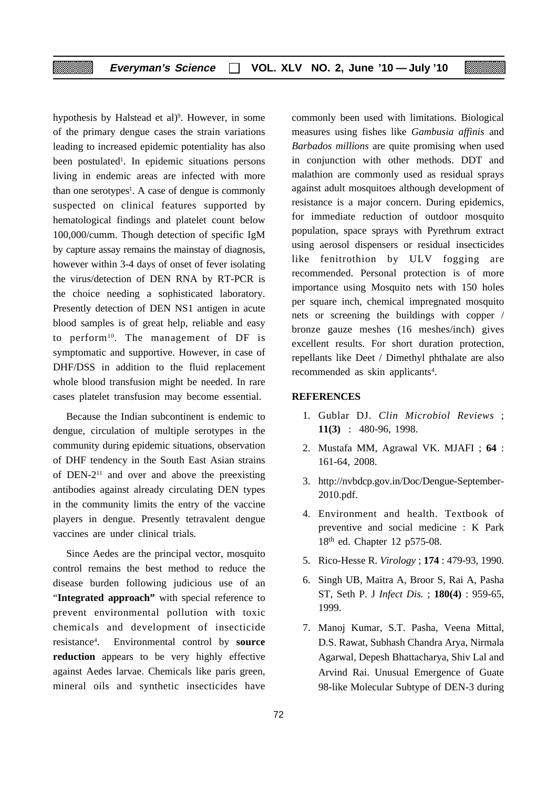### **Everyman's Science VOL. XLV NO. 2, June '10 — July '10**

hypothesis by Halstead et al)<sup>9</sup>. However, in some of the primary dengue cases the strain variations leading to increased epidemic potentiality has also been postulated<sup>1</sup>. In epidemic situations persons living in endemic areas are infected with more than one serotypes<sup>1</sup>. A case of dengue is commonly suspected on clinical features supported by hematological findings and platelet count below 100,000/cumm. Though detection of specific IgM by capture assay remains the mainstay of diagnosis, however within 3-4 days of onset of fever isolating the virus/detection of DEN RNA by RT-PCR is the choice needing a sophisticated laboratory. Presently detection of DEN NS1 antigen in acute blood samples is of great help, reliable and easy to perform<sup>10</sup>. The management of  $DF$  is symptomatic and supportive. However, in case of DHF/DSS in addition to the fluid replacement whole blood transfusion might be needed. In rare cases platelet transfusion may become essential.

Because the Indian subcontinent is endemic to dengue, circulation of multiple serotypes in the community during epidemic situations, observation of DHF tendency in the South East Asian strains of  $DEN-2^{11}$  and over and above the preexisting antibodies against already circulating DEN types in the community limits the entry of the vaccine players in dengue. Presently tetravalent dengue vaccines are under clinical trials.

Since Aedes are the principal vector, mosquito control remains the best method to reduce the disease burden following judicious use of an "Integrated approach" with special reference to prevent environmental pollution with toxic chemicals and development of insecticide resistance4. Environmental control by **source reduction** appears to be very highly effective against Aedes larvae. Chemicals like paris green, mineral oils and synthetic insecticides have

commonly been used with limitations. Biological measures using fishes like *Gambusia affinis* and *Barbados millions* are quite promising when used in conjunction with other methods. DDT and malathion are commonly used as residual sprays against adult mosquitoes although development of resistance is a major concern. During epidemics, for immediate reduction of outdoor mosquito population, space sprays with Pyrethrum extract using aerosol dispensers or residual insecticides like fenitrothion by ULV fogging are recommended. Personal protection is of more importance using Mosquito nets with 150 holes per square inch, chemical impregnated mosquito nets or screening the buildings with copper / bronze gauze meshes (16 meshes/inch) gives excellent results. For short duration protection, repellants like Deet / Dimethyl phthalate are also recommended as skin applicants<sup>4</sup>.

#### **REFERENCES**

- 1. Gublar DJ. *Clin Microbiol Reviews* ; **11(3)** : 480-96, 1998.
- 2. Mustafa MM, Agrawal VK. MJAFI ; **64** : 161-64, 2008.
- 3. http://nvbdcp.gov.in/Doc/Dengue-September-2010.pdf.
- 4. Environment and health. Textbook of preventive and social medicine : K Park 18<sup>th</sup> ed. Chapter 12 p575-08.
- 5. Rico-Hesse R. *Virology* ; **174** : 479-93, 1990.
- 6. Singh UB, Maitra A, Broor S, Rai A, Pasha ST, Seth P. J *Infect Dis.* ; **180(4)** : 959-65, 1999.
- 7. Manoj Kumar, S.T. Pasha, Veena Mittal, D.S. Rawat, Subhash Chandra Arya, Nirmala Agarwal, Depesh Bhattacharya, Shiv Lal and Arvind Rai. Unusual Emergence of Guate 98-like Molecular Subtype of DEN-3 during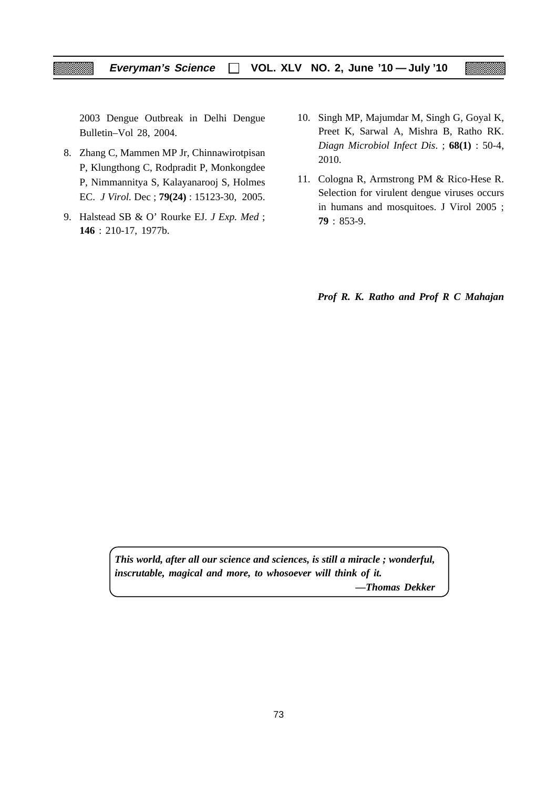2003 Dengue Outbreak in Delhi Dengue Bulletin–Vol 28, 2004.

- 8. Zhang C, Mammen MP Jr, Chinnawirotpisan P, Klungthong C, Rodpradit P, Monkongdee P, Nimmannitya S, Kalayanarooj S, Holmes EC. *J Virol.* Dec ; **79(24)** : 15123-30, 2005.
- 9. Halstead SB & O' Rourke EJ. *J Exp. Med* ; **146** : 210-17, 1977b.
- 10. Singh MP, Majumdar M, Singh G, Goyal K, Preet K, Sarwal A, Mishra B, Ratho RK. *Diagn Microbiol Infect Dis*. ; **68(1)** : 50-4, 2010.
- 11. Cologna R, Armstrong PM & Rico-Hese R. Selection for virulent dengue viruses occurs in humans and mosquitoes. J Virol 2005 ; **79** : 853-9.

*Prof R. K. Ratho and Prof R C Mahajan*

*This world, after all our science and sciences, is still a miracle ; wonderful, inscrutable, magical and more, to whosoever will think of it. —Thomas Dekker*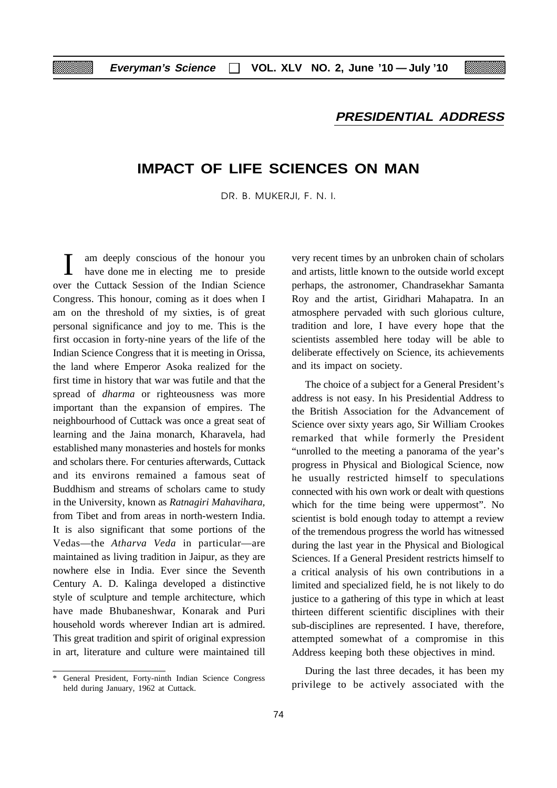# **PRESIDENTIAL ADDRESS**

# **IMPACT OF LIFE SCIENCES ON MAN**

DR. B. MUKERJI, F. N. I.

I am deeply conscious of the honour you have done me in electing me to preside over the Cuttack Session of the Indian Science Congress. This honour, coming as it does when I am on the threshold of my sixties, is of great personal significance and joy to me. This is the first occasion in forty-nine years of the life of the Indian Science Congress that it is meeting in Orissa, the land where Emperor Asoka realized for the first time in history that war was futile and that the spread of *dharma* or righteousness was more important than the expansion of empires. The neighbourhood of Cuttack was once a great seat of learning and the Jaina monarch, Kharavela, had established many monasteries and hostels for monks and scholars there. For centuries afterwards, Cuttack and its environs remained a famous seat of Buddhism and streams of scholars came to study in the University, known as *Ratnagiri Mahavihara,* from Tibet and from areas in north-western India. It is also significant that some portions of the Vedas—the *Atharva Veda* in particular—are maintained as living tradition in Jaipur, as they are nowhere else in India. Ever since the Seventh Century A. D. Kalinga developed a distinctive style of sculpture and temple architecture, which have made Bhubaneshwar, Konarak and Puri household words wherever Indian art is admired. This great tradition and spirit of original expression in art, literature and culture were maintained till

very recent times by an unbroken chain of scholars and artists, little known to the outside world except perhaps, the astronomer, Chandrasekhar Samanta Roy and the artist, Giridhari Mahapatra. In an atmosphere pervaded with such glorious culture, tradition and lore, I have every hope that the scientists assembled here today will be able to deliberate effectively on Science, its achievements and its impact on society.

The choice of a subject for a General President's address is not easy. In his Presidential Address to the British Association for the Advancement of Science over sixty years ago, Sir William Crookes remarked that while formerly the President "unrolled to the meeting a panorama of the year's progress in Physical and Biological Science, now he usually restricted himself to speculations connected with his own work or dealt with questions which for the time being were uppermost". No scientist is bold enough today to attempt a review of the tremendous progress the world has witnessed during the last year in the Physical and Biological Sciences. If a General President restricts himself to a critical analysis of his own contributions in a limited and specialized field, he is not likely to do justice to a gathering of this type in which at least thirteen different scientific disciplines with their sub-disciplines are represented. I have, therefore, attempted somewhat of a compromise in this Address keeping both these objectives in mind.

During the last three decades, it has been my privilege to be actively associated with the

General President, Forty-ninth Indian Science Congress held during January, 1962 at Cuttack.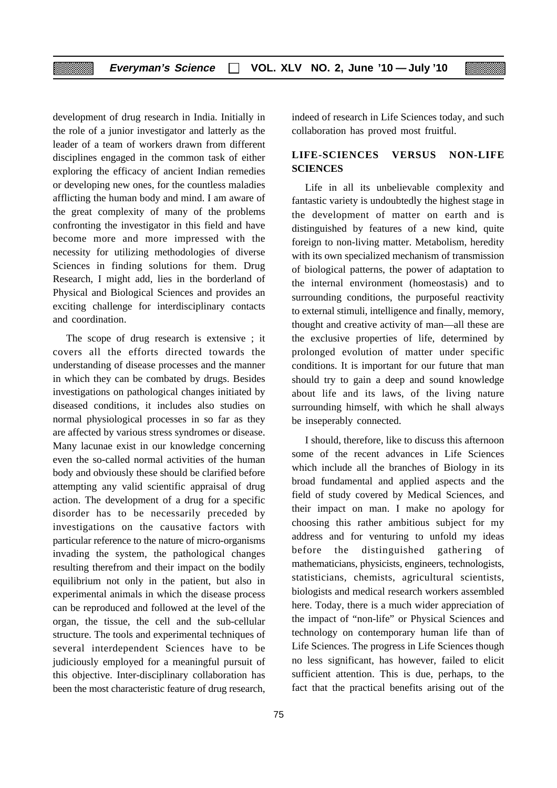development of drug research in India. Initially in the role of a junior investigator and latterly as the leader of a team of workers drawn from different disciplines engaged in the common task of either exploring the efficacy of ancient Indian remedies or developing new ones, for the countless maladies afflicting the human body and mind. I am aware of the great complexity of many of the problems confronting the investigator in this field and have become more and more impressed with the necessity for utilizing methodologies of diverse Sciences in finding solutions for them. Drug Research, I might add, lies in the borderland of Physical and Biological Sciences and provides an exciting challenge for interdisciplinary contacts and coordination.

The scope of drug research is extensive ; it covers all the efforts directed towards the understanding of disease processes and the manner in which they can be combated by drugs. Besides investigations on pathological changes initiated by diseased conditions, it includes also studies on normal physiological processes in so far as they are affected by various stress syndromes or disease. Many lacunae exist in our knowledge concerning even the so-called normal activities of the human body and obviously these should be clarified before attempting any valid scientific appraisal of drug action. The development of a drug for a specific disorder has to be necessarily preceded by investigations on the causative factors with particular reference to the nature of micro-organisms invading the system, the pathological changes resulting therefrom and their impact on the bodily equilibrium not only in the patient, but also in experimental animals in which the disease process can be reproduced and followed at the level of the organ, the tissue, the cell and the sub-cellular structure. The tools and experimental techniques of several interdependent Sciences have to be judiciously employed for a meaningful pursuit of this objective. Inter-disciplinary collaboration has been the most characteristic feature of drug research,

indeed of research in Life Sciences today, and such collaboration has proved most fruitful.

## **LIFE-SCIENCES VERSUS NON-LIFE SCIENCES**

Life in all its unbelievable complexity and fantastic variety is undoubtedly the highest stage in the development of matter on earth and is distinguished by features of a new kind, quite foreign to non-living matter. Metabolism, heredity with its own specialized mechanism of transmission of biological patterns, the power of adaptation to the internal environment (homeostasis) and to surrounding conditions, the purposeful reactivity to external stimuli, intelligence and finally, memory, thought and creative activity of man—all these are the exclusive properties of life, determined by prolonged evolution of matter under specific conditions. It is important for our future that man should try to gain a deep and sound knowledge about life and its laws, of the living nature surrounding himself, with which he shall always be inseperably connected.

I should, therefore, like to discuss this afternoon some of the recent advances in Life Sciences which include all the branches of Biology in its broad fundamental and applied aspects and the field of study covered by Medical Sciences, and their impact on man. I make no apology for choosing this rather ambitious subject for my address and for venturing to unfold my ideas before the distinguished gathering of mathematicians, physicists, engineers, technologists, statisticians, chemists, agricultural scientists, biologists and medical research workers assembled here. Today, there is a much wider appreciation of the impact of "non-life" or Physical Sciences and technology on contemporary human life than of Life Sciences. The progress in Life Sciences though no less significant, has however, failed to elicit sufficient attention. This is due, perhaps, to the fact that the practical benefits arising out of the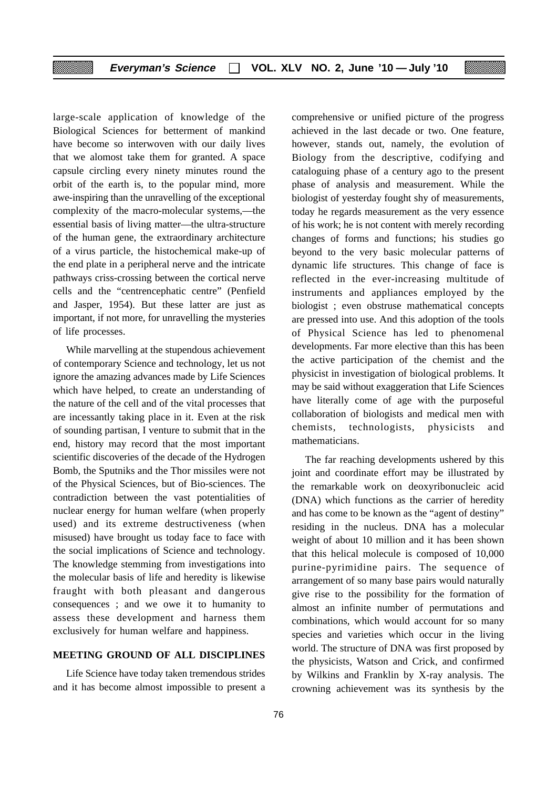## **Everyman's Science VOL. XLV NO. 2, June '10 — July '10**

large-scale application of knowledge of the Biological Sciences for betterment of mankind have become so interwoven with our daily lives that we alomost take them for granted. A space capsule circling every ninety minutes round the orbit of the earth is, to the popular mind, more awe-inspiring than the unravelling of the exceptional complexity of the macro-molecular systems,—the essential basis of living matter—the ultra-structure of the human gene, the extraordinary architecture of a virus particle, the histochemical make-up of the end plate in a peripheral nerve and the intricate pathways criss-crossing between the cortical nerve cells and the "centrencephatic centre" (Penfield and Jasper, 1954). But these latter are just as important, if not more, for unravelling the mysteries of life processes.

While marvelling at the stupendous achievement of contemporary Science and technology, let us not ignore the amazing advances made by Life Sciences which have helped, to create an understanding of the nature of the cell and of the vital processes that are incessantly taking place in it. Even at the risk of sounding partisan, I venture to submit that in the end, history may record that the most important scientific discoveries of the decade of the Hydrogen Bomb, the Sputniks and the Thor missiles were not of the Physical Sciences, but of Bio-sciences. The contradiction between the vast potentialities of nuclear energy for human welfare (when properly used) and its extreme destructiveness (when misused) have brought us today face to face with the social implications of Science and technology. The knowledge stemming from investigations into the molecular basis of life and heredity is likewise fraught with both pleasant and dangerous consequences ; and we owe it to humanity to assess these development and harness them exclusively for human welfare and happiness.

#### **MEETING GROUND OF ALL DISCIPLINES**

Life Science have today taken tremendous strides and it has become almost impossible to present a comprehensive or unified picture of the progress achieved in the last decade or two. One feature, however, stands out, namely, the evolution of Biology from the descriptive, codifying and cataloguing phase of a century ago to the present phase of analysis and measurement. While the biologist of yesterday fought shy of measurements, today he regards measurement as the very essence of his work; he is not content with merely recording changes of forms and functions; his studies go beyond to the very basic molecular patterns of dynamic life structures. This change of face is reflected in the ever-increasing multitude of instruments and appliances employed by the biologist ; even obstruse mathematical concepts are pressed into use. And this adoption of the tools of Physical Science has led to phenomenal developments. Far more elective than this has been the active participation of the chemist and the physicist in investigation of biological problems. It may be said without exaggeration that Life Sciences have literally come of age with the purposeful collaboration of biologists and medical men with chemists, technologists, physicists and mathematicians.

The far reaching developments ushered by this joint and coordinate effort may be illustrated by the remarkable work on deoxyribonucleic acid (DNA) which functions as the carrier of heredity and has come to be known as the "agent of destiny" residing in the nucleus. DNA has a molecular weight of about 10 million and it has been shown that this helical molecule is composed of 10,000 purine-pyrimidine pairs. The sequence of arrangement of so many base pairs would naturally give rise to the possibility for the formation of almost an infinite number of permutations and combinations, which would account for so many species and varieties which occur in the living world. The structure of DNA was first proposed by the physicists, Watson and Crick, and confirmed by Wilkins and Franklin by X-ray analysis. The crowning achievement was its synthesis by the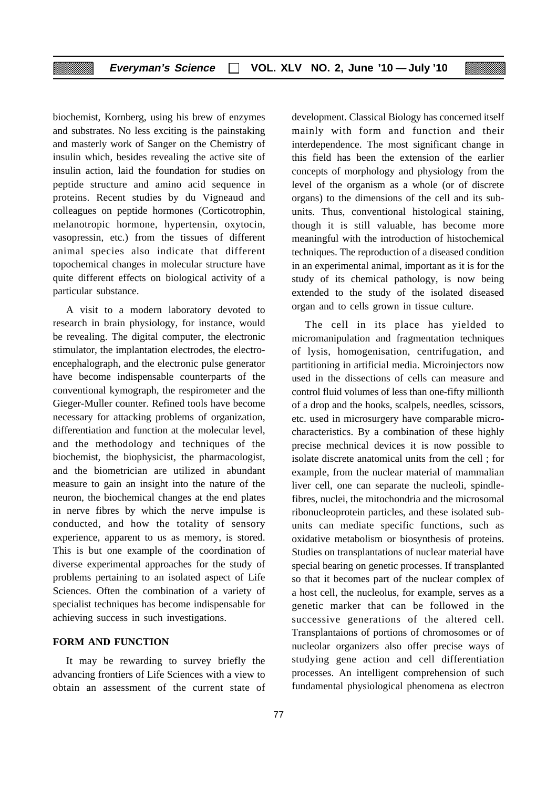biochemist, Kornberg, using his brew of enzymes and substrates. No less exciting is the painstaking and masterly work of Sanger on the Chemistry of insulin which, besides revealing the active site of insulin action, laid the foundation for studies on peptide structure and amino acid sequence in proteins. Recent studies by du Vigneaud and colleagues on peptide hormones (Corticotrophin, melanotropic hormone, hypertensin, oxytocin, vasopressin, etc.) from the tissues of different animal species also indicate that different topochemical changes in molecular structure have quite different effects on biological activity of a particular substance.

A visit to a modern laboratory devoted to research in brain physiology, for instance, would be revealing. The digital computer, the electronic stimulator, the implantation electrodes, the electroencephalograph, and the electronic pulse generator have become indispensable counterparts of the conventional kymograph, the respirometer and the Gieger-Muller counter. Refined tools have become necessary for attacking problems of organization, differentiation and function at the molecular level, and the methodology and techniques of the biochemist, the biophysicist, the pharmacologist, and the biometrician are utilized in abundant measure to gain an insight into the nature of the neuron, the biochemical changes at the end plates in nerve fibres by which the nerve impulse is conducted, and how the totality of sensory experience, apparent to us as memory, is stored. This is but one example of the coordination of diverse experimental approaches for the study of problems pertaining to an isolated aspect of Life Sciences. Often the combination of a variety of specialist techniques has become indispensable for achieving success in such investigations.

#### **FORM AND FUNCTION**

It may be rewarding to survey briefly the advancing frontiers of Life Sciences with a view to obtain an assessment of the current state of development. Classical Biology has concerned itself mainly with form and function and their interdependence. The most significant change in this field has been the extension of the earlier concepts of morphology and physiology from the level of the organism as a whole (or of discrete organs) to the dimensions of the cell and its subunits. Thus, conventional histological staining, though it is still valuable, has become more meaningful with the introduction of histochemical techniques. The reproduction of a diseased condition in an experimental animal, important as it is for the study of its chemical pathology, is now being extended to the study of the isolated diseased organ and to cells grown in tissue culture.

▩

The cell in its place has yielded to micromanipulation and fragmentation techniques of lysis, homogenisation, centrifugation, and partitioning in artificial media. Microinjectors now used in the dissections of cells can measure and control fluid volumes of less than one-fifty millionth of a drop and the hooks, scalpels, needles, scissors, etc. used in microsurgery have comparable microcharacteristics. By a combination of these highly precise mechnical devices it is now possible to isolate discrete anatomical units from the cell ; for example, from the nuclear material of mammalian liver cell, one can separate the nucleoli, spindlefibres, nuclei, the mitochondria and the microsomal ribonucleoprotein particles, and these isolated subunits can mediate specific functions, such as oxidative metabolism or biosynthesis of proteins. Studies on transplantations of nuclear material have special bearing on genetic processes. If transplanted so that it becomes part of the nuclear complex of a host cell, the nucleolus, for example, serves as a genetic marker that can be followed in the successive generations of the altered cell. Transplantaions of portions of chromosomes or of nucleolar organizers also offer precise ways of studying gene action and cell differentiation processes. An intelligent comprehension of such fundamental physiological phenomena as electron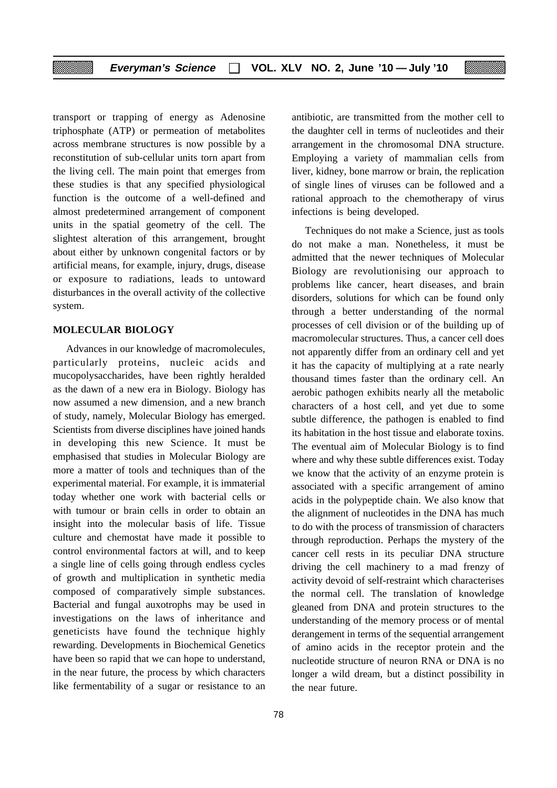transport or trapping of energy as Adenosine triphosphate (ATP) or permeation of metabolites across membrane structures is now possible by a reconstitution of sub-cellular units torn apart from the living cell. The main point that emerges from these studies is that any specified physiological function is the outcome of a well-defined and almost predetermined arrangement of component units in the spatial geometry of the cell. The slightest alteration of this arrangement, brought about either by unknown congenital factors or by artificial means, for example, injury, drugs, disease or exposure to radiations, leads to untoward disturbances in the overall activity of the collective system.

#### **MOLECULAR BIOLOGY**

Advances in our knowledge of macromolecules, particularly proteins, nucleic acids and mucopolysaccharides, have been rightly heralded as the dawn of a new era in Biology. Biology has now assumed a new dimension, and a new branch of study, namely, Molecular Biology has emerged. Scientists from diverse disciplines have joined hands in developing this new Science. It must be emphasised that studies in Molecular Biology are more a matter of tools and techniques than of the experimental material. For example, it is immaterial today whether one work with bacterial cells or with tumour or brain cells in order to obtain an insight into the molecular basis of life. Tissue culture and chemostat have made it possible to control environmental factors at will, and to keep a single line of cells going through endless cycles of growth and multiplication in synthetic media composed of comparatively simple substances. Bacterial and fungal auxotrophs may be used in investigations on the laws of inheritance and geneticists have found the technique highly rewarding. Developments in Biochemical Genetics have been so rapid that we can hope to understand, in the near future, the process by which characters like fermentability of a sugar or resistance to an

78

antibiotic, are transmitted from the mother cell to the daughter cell in terms of nucleotides and their arrangement in the chromosomal DNA structure. Employing a variety of mammalian cells from liver, kidney, bone marrow or brain, the replication of single lines of viruses can be followed and a rational approach to the chemotherapy of virus infections is being developed.

Techniques do not make a Science, just as tools do not make a man. Nonetheless, it must be admitted that the newer techniques of Molecular Biology are revolutionising our approach to problems like cancer, heart diseases, and brain disorders, solutions for which can be found only through a better understanding of the normal processes of cell division or of the building up of macromolecular structures. Thus, a cancer cell does not apparently differ from an ordinary cell and yet it has the capacity of multiplying at a rate nearly thousand times faster than the ordinary cell. An aerobic pathogen exhibits nearly all the metabolic characters of a host cell, and yet due to some subtle difference, the pathogen is enabled to find its habitation in the host tissue and elaborate toxins. The eventual aim of Molecular Biology is to find where and why these subtle differences exist. Today we know that the activity of an enzyme protein is associated with a specific arrangement of amino acids in the polypeptide chain. We also know that the alignment of nucleotides in the DNA has much to do with the process of transmission of characters through reproduction. Perhaps the mystery of the cancer cell rests in its peculiar DNA structure driving the cell machinery to a mad frenzy of activity devoid of self-restraint which characterises the normal cell. The translation of knowledge gleaned from DNA and protein structures to the understanding of the memory process or of mental derangement in terms of the sequential arrangement of amino acids in the receptor protein and the nucleotide structure of neuron RNA or DNA is no longer a wild dream, but a distinct possibility in the near future.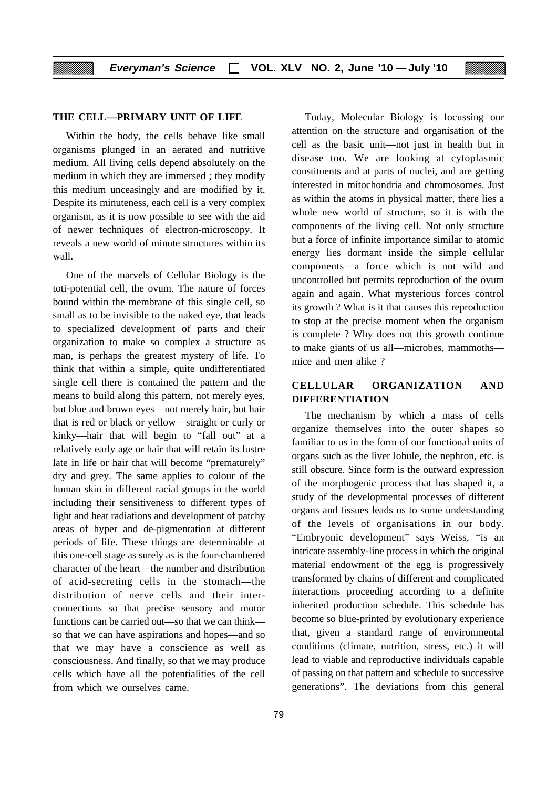#### **THE CELL—PRIMARY UNIT OF LIFE**

Within the body, the cells behave like small organisms plunged in an aerated and nutritive medium. All living cells depend absolutely on the medium in which they are immersed ; they modify this medium unceasingly and are modified by it. Despite its minuteness, each cell is a very complex organism, as it is now possible to see with the aid of newer techniques of electron-microscopy. It reveals a new world of minute structures within its wall.

One of the marvels of Cellular Biology is the toti-potential cell, the ovum. The nature of forces bound within the membrane of this single cell, so small as to be invisible to the naked eye, that leads to specialized development of parts and their organization to make so complex a structure as man, is perhaps the greatest mystery of life. To think that within a simple, quite undifferentiated single cell there is contained the pattern and the means to build along this pattern, not merely eyes, but blue and brown eyes—not merely hair, but hair that is red or black or yellow—straight or curly or kinky—hair that will begin to "fall out" at a relatively early age or hair that will retain its lustre late in life or hair that will become "prematurely" dry and grey. The same applies to colour of the human skin in different racial groups in the world including their sensitiveness to different types of light and heat radiations and development of patchy areas of hyper and de-pigmentation at different periods of life. These things are determinable at this one-cell stage as surely as is the four-chambered character of the heart—the number and distribution of acid-secreting cells in the stomach—the distribution of nerve cells and their interconnections so that precise sensory and motor functions can be carried out—so that we can think so that we can have aspirations and hopes—and so that we may have a conscience as well as consciousness. And finally, so that we may produce cells which have all the potentialities of the cell from which we ourselves came.

Today, Molecular Biology is focussing our attention on the structure and organisation of the cell as the basic unit—not just in health but in disease too. We are looking at cytoplasmic constituents and at parts of nuclei, and are getting interested in mitochondria and chromosomes. Just as within the atoms in physical matter, there lies a whole new world of structure, so it is with the components of the living cell. Not only structure but a force of infinite importance similar to atomic energy lies dormant inside the simple cellular components—a force which is not wild and uncontrolled but permits reproduction of the ovum again and again. What mysterious forces control its growth ? What is it that causes this reproduction to stop at the precise moment when the organism is complete ? Why does not this growth continue to make giants of us all—microbes, mammoths mice and men alike ?

# **CELLULAR ORGANIZATION AND DIFFERENTIATION**

The mechanism by which a mass of cells organize themselves into the outer shapes so familiar to us in the form of our functional units of organs such as the liver lobule, the nephron, etc. is still obscure. Since form is the outward expression of the morphogenic process that has shaped it, a study of the developmental processes of different organs and tissues leads us to some understanding of the levels of organisations in our body. "Embryonic development" says Weiss, "is an intricate assembly-line process in which the original material endowment of the egg is progressively transformed by chains of different and complicated interactions proceeding according to a definite inherited production schedule. This schedule has become so blue-printed by evolutionary experience that, given a standard range of environmental conditions (climate, nutrition, stress, etc.) it will lead to viable and reproductive individuals capable of passing on that pattern and schedule to successive generations". The deviations from this general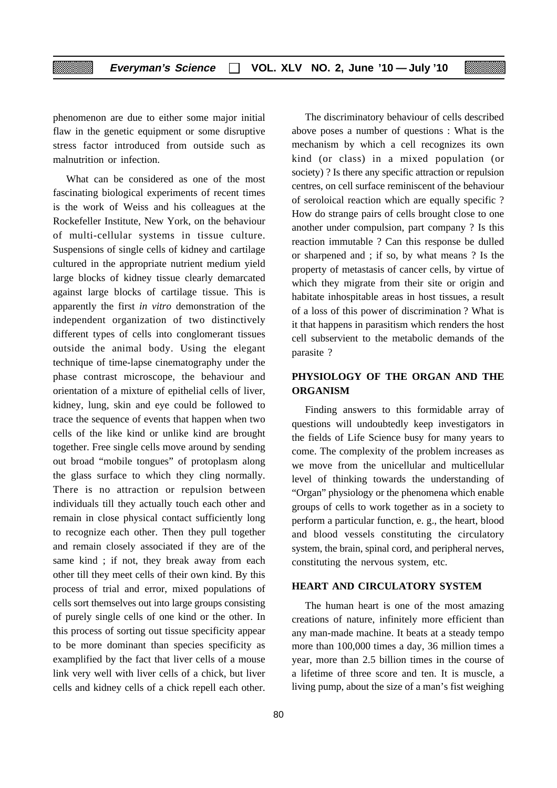phenomenon are due to either some major initial flaw in the genetic equipment or some disruptive stress factor introduced from outside such as malnutrition or infection.

What can be considered as one of the most fascinating biological experiments of recent times is the work of Weiss and his colleagues at the Rockefeller Institute, New York, on the behaviour of multi-cellular systems in tissue culture. Suspensions of single cells of kidney and cartilage cultured in the appropriate nutrient medium yield large blocks of kidney tissue clearly demarcated against large blocks of cartilage tissue. This is apparently the first *in vitro* demonstration of the independent organization of two distinctively different types of cells into conglomerant tissues outside the animal body. Using the elegant technique of time-lapse cinematography under the phase contrast microscope, the behaviour and orientation of a mixture of epithelial cells of liver, kidney, lung, skin and eye could be followed to trace the sequence of events that happen when two cells of the like kind or unlike kind are brought together. Free single cells move around by sending out broad "mobile tongues" of protoplasm along the glass surface to which they cling normally. There is no attraction or repulsion between individuals till they actually touch each other and remain in close physical contact sufficiently long to recognize each other. Then they pull together and remain closely associated if they are of the same kind ; if not, they break away from each other till they meet cells of their own kind. By this process of trial and error, mixed populations of cells sort themselves out into large groups consisting of purely single cells of one kind or the other. In this process of sorting out tissue specificity appear to be more dominant than species specificity as examplified by the fact that liver cells of a mouse link very well with liver cells of a chick, but liver cells and kidney cells of a chick repell each other.

The discriminatory behaviour of cells described above poses a number of questions : What is the mechanism by which a cell recognizes its own kind (or class) in a mixed population (or society) ? Is there any specific attraction or repulsion centres, on cell surface reminiscent of the behaviour of seroloical reaction which are equally specific ? How do strange pairs of cells brought close to one another under compulsion, part company ? Is this reaction immutable ? Can this response be dulled or sharpened and ; if so, by what means ? Is the property of metastasis of cancer cells, by virtue of which they migrate from their site or origin and habitate inhospitable areas in host tissues, a result of a loss of this power of discrimination ? What is it that happens in parasitism which renders the host cell subservient to the metabolic demands of the parasite ?

# **PHYSIOLOGY OF THE ORGAN AND THE ORGANISM**

Finding answers to this formidable array of questions will undoubtedly keep investigators in the fields of Life Science busy for many years to come. The complexity of the problem increases as we move from the unicellular and multicellular level of thinking towards the understanding of "Organ" physiology or the phenomena which enable groups of cells to work together as in a society to perform a particular function, e. g., the heart, blood and blood vessels constituting the circulatory system, the brain, spinal cord, and peripheral nerves, constituting the nervous system, etc.

#### **HEART AND CIRCULATORY SYSTEM**

The human heart is one of the most amazing creations of nature, infinitely more efficient than any man-made machine. It beats at a steady tempo more than 100,000 times a day, 36 million times a year, more than 2.5 billion times in the course of a lifetime of three score and ten. It is muscle, a living pump, about the size of a man's fist weighing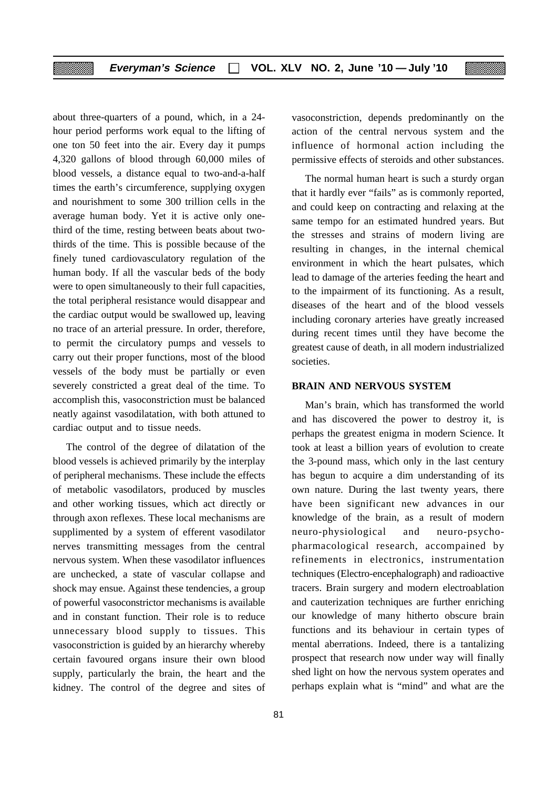about three-quarters of a pound, which, in a 24 hour period performs work equal to the lifting of one ton 50 feet into the air. Every day it pumps 4,320 gallons of blood through 60,000 miles of blood vessels, a distance equal to two-and-a-half times the earth's circumference, supplying oxygen and nourishment to some 300 trillion cells in the average human body. Yet it is active only onethird of the time, resting between beats about twothirds of the time. This is possible because of the finely tuned cardiovasculatory regulation of the human body. If all the vascular beds of the body were to open simultaneously to their full capacities, the total peripheral resistance would disappear and the cardiac output would be swallowed up, leaving no trace of an arterial pressure. In order, therefore, to permit the circulatory pumps and vessels to carry out their proper functions, most of the blood vessels of the body must be partially or even severely constricted a great deal of the time. To accomplish this, vasoconstriction must be balanced neatly against vasodilatation, with both attuned to cardiac output and to tissue needs.

The control of the degree of dilatation of the blood vessels is achieved primarily by the interplay of peripheral mechanisms. These include the effects of metabolic vasodilators, produced by muscles and other working tissues, which act directly or through axon reflexes. These local mechanisms are supplimented by a system of efferent vasodilator nerves transmitting messages from the central nervous system. When these vasodilator influences are unchecked, a state of vascular collapse and shock may ensue. Against these tendencies, a group of powerful vasoconstrictor mechanisms is available and in constant function. Their role is to reduce unnecessary blood supply to tissues. This vasoconstriction is guided by an hierarchy whereby certain favoured organs insure their own blood supply, particularly the brain, the heart and the kidney. The control of the degree and sites of vasoconstriction, depends predominantly on the action of the central nervous system and the influence of hormonal action including the permissive effects of steroids and other substances.

The normal human heart is such a sturdy organ that it hardly ever "fails" as is commonly reported, and could keep on contracting and relaxing at the same tempo for an estimated hundred years. But the stresses and strains of modern living are resulting in changes, in the internal chemical environment in which the heart pulsates, which lead to damage of the arteries feeding the heart and to the impairment of its functioning. As a result, diseases of the heart and of the blood vessels including coronary arteries have greatly increased during recent times until they have become the greatest cause of death, in all modern industrialized societies.

#### **BRAIN AND NERVOUS SYSTEM**

Man's brain, which has transformed the world and has discovered the power to destroy it, is perhaps the greatest enigma in modern Science. It took at least a billion years of evolution to create the 3-pound mass, which only in the last century has begun to acquire a dim understanding of its own nature. During the last twenty years, there have been significant new advances in our knowledge of the brain, as a result of modern neuro-physiological and neuro-psychopharmacological research, accompained by refinements in electronics, instrumentation techniques (Electro-encephalograph) and radioactive tracers. Brain surgery and modern electroablation and cauterization techniques are further enriching our knowledge of many hitherto obscure brain functions and its behaviour in certain types of mental aberrations. Indeed, there is a tantalizing prospect that research now under way will finally shed light on how the nervous system operates and perhaps explain what is "mind" and what are the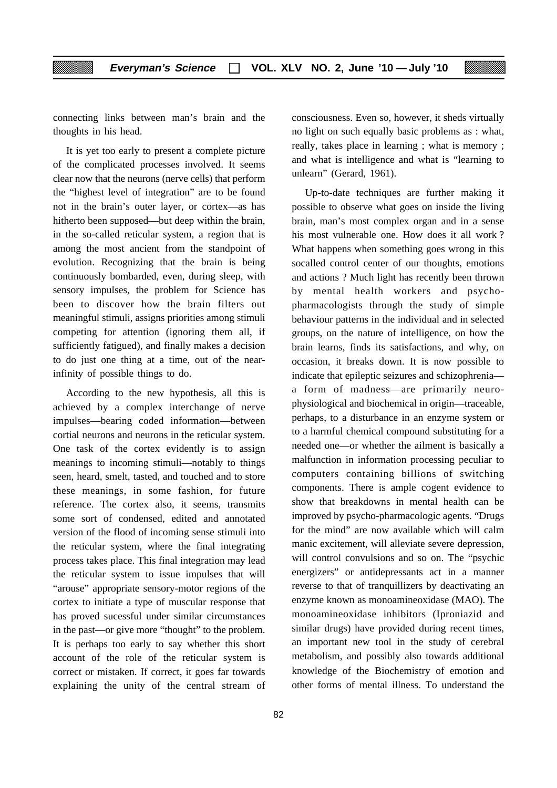connecting links between man's brain and the thoughts in his head.

It is yet too early to present a complete picture of the complicated processes involved. It seems clear now that the neurons (nerve cells) that perform the "highest level of integration" are to be found not in the brain's outer layer, or cortex—as has hitherto been supposed—but deep within the brain, in the so-called reticular system, a region that is among the most ancient from the standpoint of evolution. Recognizing that the brain is being continuously bombarded, even, during sleep, with sensory impulses, the problem for Science has been to discover how the brain filters out meaningful stimuli, assigns priorities among stimuli competing for attention (ignoring them all, if sufficiently fatigued), and finally makes a decision to do just one thing at a time, out of the nearinfinity of possible things to do.

According to the new hypothesis, all this is achieved by a complex interchange of nerve impulses—bearing coded information—between cortial neurons and neurons in the reticular system. One task of the cortex evidently is to assign meanings to incoming stimuli—notably to things seen, heard, smelt, tasted, and touched and to store these meanings, in some fashion, for future reference. The cortex also, it seems, transmits some sort of condensed, edited and annotated version of the flood of incoming sense stimuli into the reticular system, where the final integrating process takes place. This final integration may lead the reticular system to issue impulses that will "arouse" appropriate sensory-motor regions of the cortex to initiate a type of muscular response that has proved sucessful under similar circumstances in the past—or give more "thought" to the problem. It is perhaps too early to say whether this short account of the role of the reticular system is correct or mistaken. If correct, it goes far towards explaining the unity of the central stream of consciousness. Even so, however, it sheds virtually no light on such equally basic problems as : what, really, takes place in learning ; what is memory ; and what is intelligence and what is "learning to unlearn" (Gerard, 1961).

Up-to-date techniques are further making it possible to observe what goes on inside the living brain, man's most complex organ and in a sense his most vulnerable one. How does it all work ? What happens when something goes wrong in this socalled control center of our thoughts, emotions and actions ? Much light has recently been thrown by mental health workers and psychopharmacologists through the study of simple behaviour patterns in the individual and in selected groups, on the nature of intelligence, on how the brain learns, finds its satisfactions, and why, on occasion, it breaks down. It is now possible to indicate that epileptic seizures and schizophrenia a form of madness—are primarily neurophysiological and biochemical in origin—traceable, perhaps, to a disturbance in an enzyme system or to a harmful chemical compound substituting for a needed one—or whether the ailment is basically a malfunction in information processing peculiar to computers containing billions of switching components. There is ample cogent evidence to show that breakdowns in mental health can be improved by psycho-pharmacologic agents. "Drugs for the mind" are now available which will calm manic excitement, will alleviate severe depression, will control convulsions and so on. The "psychic energizers" or antidepressants act in a manner reverse to that of tranquillizers by deactivating an enzyme known as monoamineoxidase (MAO). The monoamineoxidase inhibitors (Iproniazid and similar drugs) have provided during recent times, an important new tool in the study of cerebral metabolism, and possibly also towards additional knowledge of the Biochemistry of emotion and other forms of mental illness. To understand the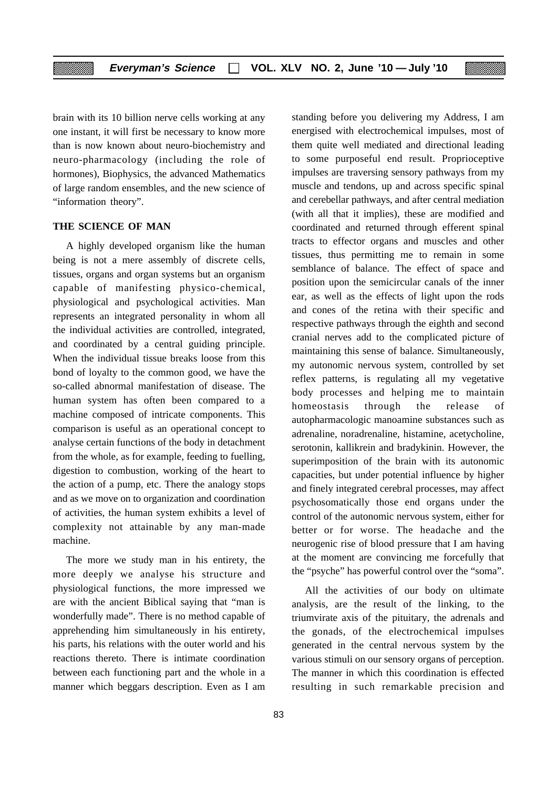brain with its 10 billion nerve cells working at any one instant, it will first be necessary to know more than is now known about neuro-biochemistry and neuro-pharmacology (including the role of hormones), Biophysics, the advanced Mathematics of large random ensembles, and the new science of "information theory".

## **THE SCIENCE OF MAN**

A highly developed organism like the human being is not a mere assembly of discrete cells, tissues, organs and organ systems but an organism capable of manifesting physico-chemical, physiological and psychological activities. Man represents an integrated personality in whom all the individual activities are controlled, integrated, and coordinated by a central guiding principle. When the individual tissue breaks loose from this bond of loyalty to the common good, we have the so-called abnormal manifestation of disease. The human system has often been compared to a machine composed of intricate components. This comparison is useful as an operational concept to analyse certain functions of the body in detachment from the whole, as for example, feeding to fuelling, digestion to combustion, working of the heart to the action of a pump, etc. There the analogy stops and as we move on to organization and coordination of activities, the human system exhibits a level of complexity not attainable by any man-made machine.

The more we study man in his entirety, the more deeply we analyse his structure and physiological functions, the more impressed we are with the ancient Biblical saying that "man is wonderfully made". There is no method capable of apprehending him simultaneously in his entirety, his parts, his relations with the outer world and his reactions thereto. There is intimate coordination between each functioning part and the whole in a manner which beggars description. Even as I am

standing before you delivering my Address, I am energised with electrochemical impulses, most of them quite well mediated and directional leading to some purposeful end result. Proprioceptive impulses are traversing sensory pathways from my muscle and tendons, up and across specific spinal and cerebellar pathways, and after central mediation (with all that it implies), these are modified and coordinated and returned through efferent spinal tracts to effector organs and muscles and other tissues, thus permitting me to remain in some semblance of balance. The effect of space and position upon the semicircular canals of the inner ear, as well as the effects of light upon the rods and cones of the retina with their specific and respective pathways through the eighth and second cranial nerves add to the complicated picture of maintaining this sense of balance. Simultaneously, my autonomic nervous system, controlled by set reflex patterns, is regulating all my vegetative body processes and helping me to maintain homeostasis through the release of autopharmacologic manoamine substances such as adrenaline, noradrenaline, histamine, acetycholine, serotonin, kallikrein and bradykinin. However, the superimposition of the brain with its autonomic capacities, but under potential influence by higher and finely integrated cerebral processes, may affect psychosomatically those end organs under the control of the autonomic nervous system, either for better or for worse. The headache and the neurogenic rise of blood pressure that I am having at the moment are convincing me forcefully that the "psyche" has powerful control over the "soma".

All the activities of our body on ultimate analysis, are the result of the linking, to the triumvirate axis of the pituitary, the adrenals and the gonads, of the electrochemical impulses generated in the central nervous system by the various stimuli on our sensory organs of perception. The manner in which this coordination is effected resulting in such remarkable precision and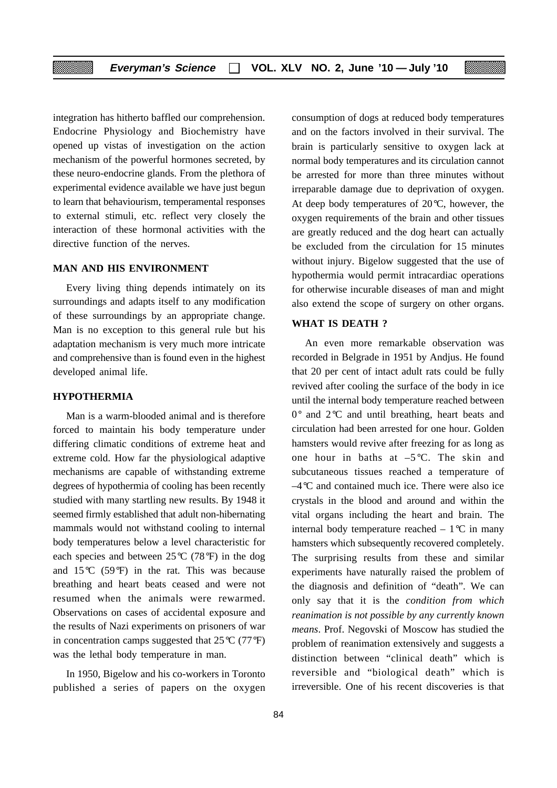integration has hitherto baffled our comprehension. Endocrine Physiology and Biochemistry have opened up vistas of investigation on the action mechanism of the powerful hormones secreted, by these neuro-endocrine glands. From the plethora of experimental evidence available we have just begun to learn that behaviourism, temperamental responses to external stimuli, etc. reflect very closely the interaction of these hormonal activities with the directive function of the nerves.

#### **MAN AND HIS ENVIRONMENT**

Every living thing depends intimately on its surroundings and adapts itself to any modification of these surroundings by an appropriate change. Man is no exception to this general rule but his adaptation mechanism is very much more intricate and comprehensive than is found even in the highest developed animal life.

#### **HYPOTHERMIA**

Man is a warm-blooded animal and is therefore forced to maintain his body temperature under differing climatic conditions of extreme heat and extreme cold. How far the physiological adaptive mechanisms are capable of withstanding extreme degrees of hypothermia of cooling has been recently studied with many startling new results. By 1948 it seemed firmly established that adult non-hibernating mammals would not withstand cooling to internal body temperatures below a level characteristic for each species and between  $25^{\circ}C$  (78°F) in the dog and  $15^{\circ}C$  (59 $^{\circ}F$ ) in the rat. This was because breathing and heart beats ceased and were not resumed when the animals were rewarmed. Observations on cases of accidental exposure and the results of Nazi experiments on prisoners of war in concentration camps suggested that  $25^{\circ}C$  (77 $\circ$ F) was the lethal body temperature in man.

In 1950, Bigelow and his co-workers in Toronto published a series of papers on the oxygen consumption of dogs at reduced body temperatures and on the factors involved in their survival. The brain is particularly sensitive to oxygen lack at normal body temperatures and its circulation cannot be arrested for more than three minutes without irreparable damage due to deprivation of oxygen. At deep body temperatures of  $20^{\circ}$ C, however, the oxygen requirements of the brain and other tissues are greatly reduced and the dog heart can actually be excluded from the circulation for 15 minutes without injury. Bigelow suggested that the use of hypothermia would permit intracardiac operations for otherwise incurable diseases of man and might also extend the scope of surgery on other organs.

#### **WHAT IS DEATH ?**

An even more remarkable observation was recorded in Belgrade in 1951 by Andjus. He found that 20 per cent of intact adult rats could be fully revived after cooling the surface of the body in ice until the internal body temperature reached between 0° and 2°C and until breathing, heart beats and circulation had been arrested for one hour. Golden hamsters would revive after freezing for as long as one hour in baths at  $-5^{\circ}$ C. The skin and subcutaneous tissues reached a temperature of  $-4$ °C and contained much ice. There were also ice crystals in the blood and around and within the vital organs including the heart and brain. The internal body temperature reached  $-1$ <sup> $\mathbb{C}$ </sup> in many hamsters which subsequently recovered completely. The surprising results from these and similar experiments have naturally raised the problem of the diagnosis and definition of "death". We can only say that it is the *condition from which reanimation is not possible by any currently known means*. Prof. Negovski of Moscow has studied the problem of reanimation extensively and suggests a distinction between "clinical death" which is reversible and "biological death" which is irreversible. One of his recent discoveries is that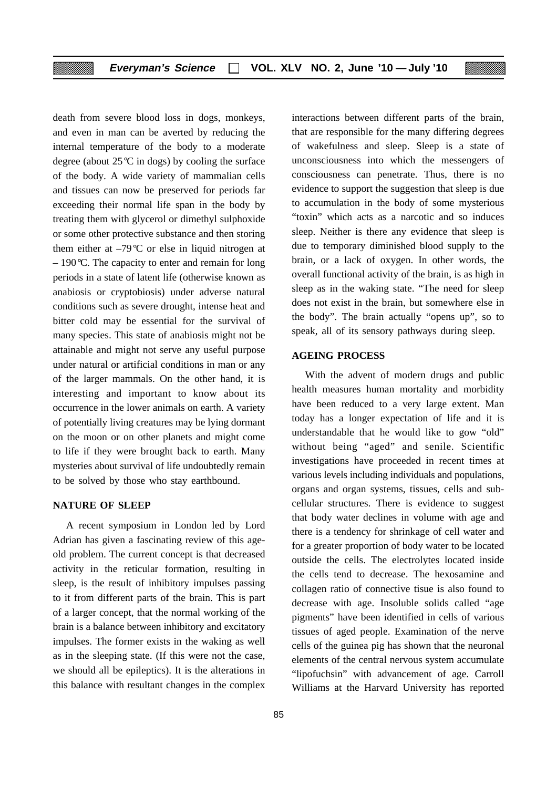death from severe blood loss in dogs, monkeys, and even in man can be averted by reducing the internal temperature of the body to a moderate degree (about  $25^{\circ}$ C in dogs) by cooling the surface of the body. A wide variety of mammalian cells and tissues can now be preserved for periods far exceeding their normal life span in the body by treating them with glycerol or dimethyl sulphoxide or some other protective substance and then storing them either at  $-79^{\circ}\text{C}$  or else in liquid nitrogen at  $-190$ °C. The capacity to enter and remain for long periods in a state of latent life (otherwise known as anabiosis or cryptobiosis) under adverse natural conditions such as severe drought, intense heat and bitter cold may be essential for the survival of many species. This state of anabiosis might not be attainable and might not serve any useful purpose under natural or artificial conditions in man or any of the larger mammals. On the other hand, it is interesting and important to know about its occurrence in the lower animals on earth. A variety of potentially living creatures may be lying dormant on the moon or on other planets and might come to life if they were brought back to earth. Many mysteries about survival of life undoubtedly remain to be solved by those who stay earthbound.

#### **NATURE OF SLEEP**

A recent symposium in London led by Lord Adrian has given a fascinating review of this ageold problem. The current concept is that decreased activity in the reticular formation, resulting in sleep, is the result of inhibitory impulses passing to it from different parts of the brain. This is part of a larger concept, that the normal working of the brain is a balance between inhibitory and excitatory impulses. The former exists in the waking as well as in the sleeping state. (If this were not the case, we should all be epileptics). It is the alterations in this balance with resultant changes in the complex

85

interactions between different parts of the brain, that are responsible for the many differing degrees of wakefulness and sleep. Sleep is a state of unconsciousness into which the messengers of consciousness can penetrate. Thus, there is no evidence to support the suggestion that sleep is due to accumulation in the body of some mysterious "toxin" which acts as a narcotic and so induces sleep. Neither is there any evidence that sleep is due to temporary diminished blood supply to the brain, or a lack of oxygen. In other words, the overall functional activity of the brain, is as high in sleep as in the waking state. "The need for sleep does not exist in the brain, but somewhere else in the body". The brain actually "opens up", so to speak, all of its sensory pathways during sleep.

#### **AGEING PROCESS**

With the advent of modern drugs and public health measures human mortality and morbidity have been reduced to a very large extent. Man today has a longer expectation of life and it is understandable that he would like to gow "old" without being "aged" and senile. Scientific investigations have proceeded in recent times at various levels including individuals and populations, organs and organ systems, tissues, cells and subcellular structures. There is evidence to suggest that body water declines in volume with age and there is a tendency for shrinkage of cell water and for a greater proportion of body water to be located outside the cells. The electrolytes located inside the cells tend to decrease. The hexosamine and collagen ratio of connective tisue is also found to decrease with age. Insoluble solids called "age pigments" have been identified in cells of various tissues of aged people. Examination of the nerve cells of the guinea pig has shown that the neuronal elements of the central nervous system accumulate "lipofuchsin" with advancement of age. Carroll Williams at the Harvard University has reported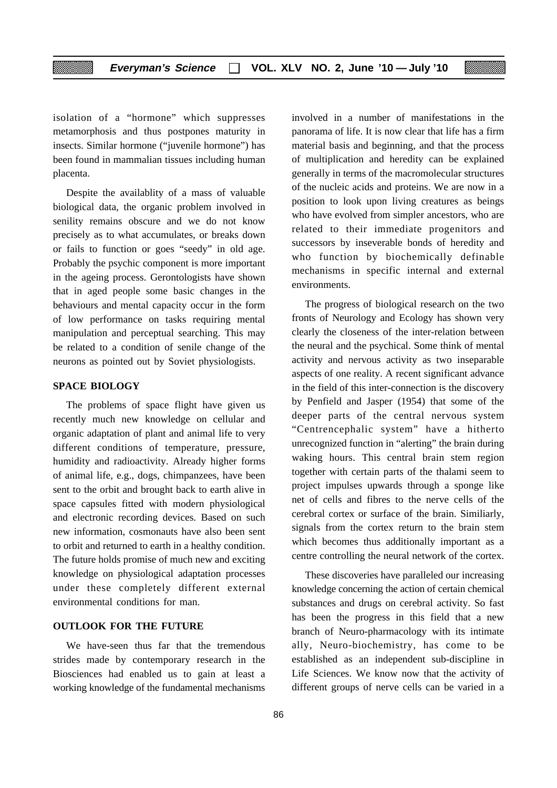isolation of a "hormone" which suppresses metamorphosis and thus postpones maturity in insects. Similar hormone ("juvenile hormone") has been found in mammalian tissues including human placenta.

Despite the availablity of a mass of valuable biological data, the organic problem involved in senility remains obscure and we do not know precisely as to what accumulates, or breaks down or fails to function or goes "seedy" in old age. Probably the psychic component is more important in the ageing process. Gerontologists have shown that in aged people some basic changes in the behaviours and mental capacity occur in the form of low performance on tasks requiring mental manipulation and perceptual searching. This may be related to a condition of senile change of the neurons as pointed out by Soviet physiologists.

#### **SPACE BIOLOGY**

The problems of space flight have given us recently much new knowledge on cellular and organic adaptation of plant and animal life to very different conditions of temperature, pressure, humidity and radioactivity. Already higher forms of animal life, e.g., dogs, chimpanzees, have been sent to the orbit and brought back to earth alive in space capsules fitted with modern physiological and electronic recording devices. Based on such new information, cosmonauts have also been sent to orbit and returned to earth in a healthy condition. The future holds promise of much new and exciting knowledge on physiological adaptation processes under these completely different external environmental conditions for man.

#### **OUTLOOK FOR THE FUTURE**

We have-seen thus far that the tremendous strides made by contemporary research in the Biosciences had enabled us to gain at least a working knowledge of the fundamental mechanisms involved in a number of manifestations in the panorama of life. It is now clear that life has a firm material basis and beginning, and that the process of multiplication and heredity can be explained generally in terms of the macromolecular structures of the nucleic acids and proteins. We are now in a position to look upon living creatures as beings who have evolved from simpler ancestors, who are related to their immediate progenitors and successors by inseverable bonds of heredity and who function by biochemically definable mechanisms in specific internal and external environments.

The progress of biological research on the two fronts of Neurology and Ecology has shown very clearly the closeness of the inter-relation between the neural and the psychical. Some think of mental activity and nervous activity as two inseparable aspects of one reality. A recent significant advance in the field of this inter-connection is the discovery by Penfield and Jasper (1954) that some of the deeper parts of the central nervous system "Centrencephalic system" have a hitherto unrecognized function in "alerting" the brain during waking hours. This central brain stem region together with certain parts of the thalami seem to project impulses upwards through a sponge like net of cells and fibres to the nerve cells of the cerebral cortex or surface of the brain. Similiarly, signals from the cortex return to the brain stem which becomes thus additionally important as a centre controlling the neural network of the cortex.

These discoveries have paralleled our increasing knowledge concerning the action of certain chemical substances and drugs on cerebral activity. So fast has been the progress in this field that a new branch of Neuro-pharmacology with its intimate ally, Neuro-biochemistry, has come to be established as an independent sub-discipline in Life Sciences. We know now that the activity of different groups of nerve cells can be varied in a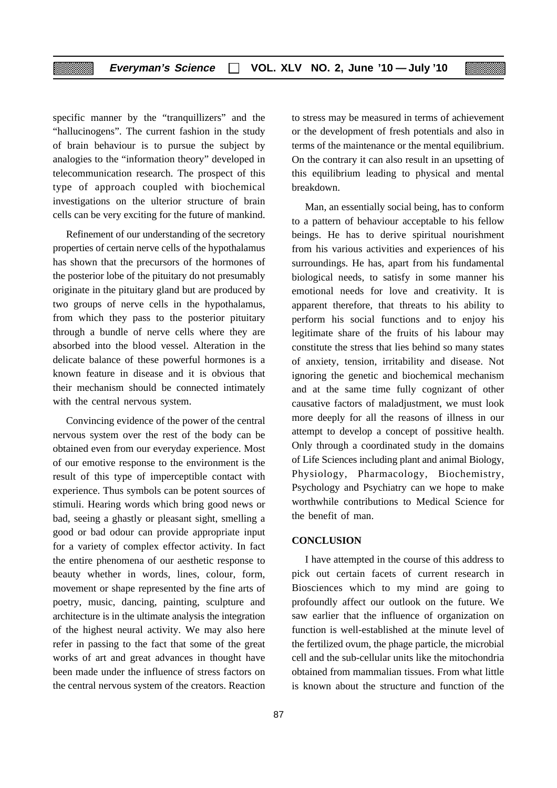specific manner by the "tranquillizers" and the "hallucinogens". The current fashion in the study of brain behaviour is to pursue the subject by analogies to the "information theory" developed in telecommunication research. The prospect of this type of approach coupled with biochemical investigations on the ulterior structure of brain cells can be very exciting for the future of mankind.

Refinement of our understanding of the secretory properties of certain nerve cells of the hypothalamus has shown that the precursors of the hormones of the posterior lobe of the pituitary do not presumably originate in the pituitary gland but are produced by two groups of nerve cells in the hypothalamus, from which they pass to the posterior pituitary through a bundle of nerve cells where they are absorbed into the blood vessel. Alteration in the delicate balance of these powerful hormones is a known feature in disease and it is obvious that their mechanism should be connected intimately with the central nervous system.

Convincing evidence of the power of the central nervous system over the rest of the body can be obtained even from our everyday experience. Most of our emotive response to the environment is the result of this type of imperceptible contact with experience. Thus symbols can be potent sources of stimuli. Hearing words which bring good news or bad, seeing a ghastly or pleasant sight, smelling a good or bad odour can provide appropriate input for a variety of complex effector activity. In fact the entire phenomena of our aesthetic response to beauty whether in words, lines, colour, form, movement or shape represented by the fine arts of poetry, music, dancing, painting, sculpture and architecture is in the ultimate analysis the integration of the highest neural activity. We may also here refer in passing to the fact that some of the great works of art and great advances in thought have been made under the influence of stress factors on the central nervous system of the creators. Reaction

to stress may be measured in terms of achievement or the development of fresh potentials and also in terms of the maintenance or the mental equilibrium. On the contrary it can also result in an upsetting of this equilibrium leading to physical and mental breakdown.

Man, an essentially social being, has to conform to a pattern of behaviour acceptable to his fellow beings. He has to derive spiritual nourishment from his various activities and experiences of his surroundings. He has, apart from his fundamental biological needs, to satisfy in some manner his emotional needs for love and creativity. It is apparent therefore, that threats to his ability to perform his social functions and to enjoy his legitimate share of the fruits of his labour may constitute the stress that lies behind so many states of anxiety, tension, irritability and disease. Not ignoring the genetic and biochemical mechanism and at the same time fully cognizant of other causative factors of maladjustment, we must look more deeply for all the reasons of illness in our attempt to develop a concept of possitive health. Only through a coordinated study in the domains of Life Sciences including plant and animal Biology, Physiology, Pharmacology, Biochemistry, Psychology and Psychiatry can we hope to make worthwhile contributions to Medical Science for the benefit of man.

#### **CONCLUSION**

I have attempted in the course of this address to pick out certain facets of current research in Biosciences which to my mind are going to profoundly affect our outlook on the future. We saw earlier that the influence of organization on function is well-established at the minute level of the fertilized ovum, the phage particle, the microbial cell and the sub-cellular units like the mitochondria obtained from mammalian tissues. From what little is known about the structure and function of the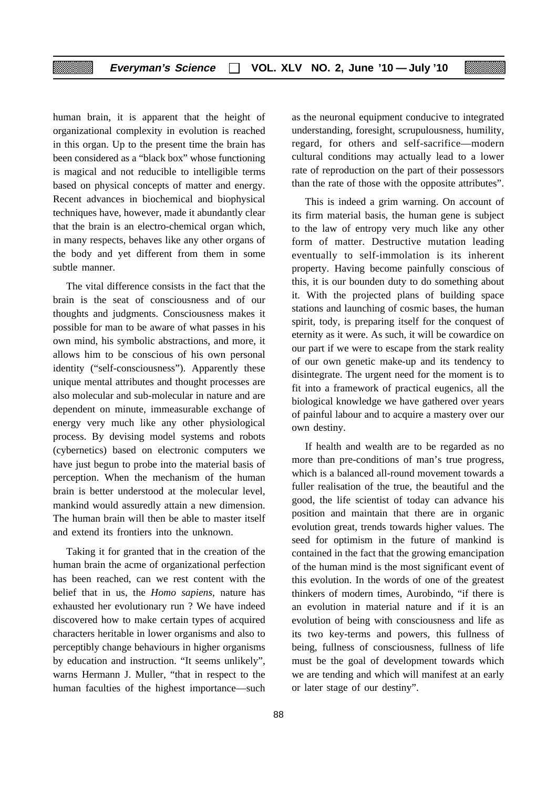human brain, it is apparent that the height of organizational complexity in evolution is reached in this organ. Up to the present time the brain has been considered as a "black box" whose functioning is magical and not reducible to intelligible terms based on physical concepts of matter and energy. Recent advances in biochemical and biophysical techniques have, however, made it abundantly clear that the brain is an electro-chemical organ which, in many respects, behaves like any other organs of the body and yet different from them in some subtle manner.

The vital difference consists in the fact that the brain is the seat of consciousness and of our thoughts and judgments. Consciousness makes it possible for man to be aware of what passes in his own mind, his symbolic abstractions, and more, it allows him to be conscious of his own personal identity ("self-consciousness"). Apparently these unique mental attributes and thought processes are also molecular and sub-molecular in nature and are dependent on minute, immeasurable exchange of energy very much like any other physiological process. By devising model systems and robots (cybernetics) based on electronic computers we have just begun to probe into the material basis of perception. When the mechanism of the human brain is better understood at the molecular level, mankind would assuredly attain a new dimension. The human brain will then be able to master itself and extend its frontiers into the unknown.

Taking it for granted that in the creation of the human brain the acme of organizational perfection has been reached, can we rest content with the belief that in us, the *Homo sapiens*, nature has exhausted her evolutionary run ? We have indeed discovered how to make certain types of acquired characters heritable in lower organisms and also to perceptibly change behaviours in higher organisms by education and instruction. "It seems unlikely", warns Hermann J. Muller, "that in respect to the human faculties of the highest importance—such as the neuronal equipment conducive to integrated understanding, foresight, scrupulousness, humility, regard, for others and self-sacrifice—modern cultural conditions may actually lead to a lower rate of reproduction on the part of their possessors than the rate of those with the opposite attributes".

This is indeed a grim warning. On account of its firm material basis, the human gene is subject to the law of entropy very much like any other form of matter. Destructive mutation leading eventually to self-immolation is its inherent property. Having become painfully conscious of this, it is our bounden duty to do something about it. With the projected plans of building space stations and launching of cosmic bases, the human spirit, tody, is preparing itself for the conquest of eternity as it were. As such, it will be cowardice on our part if we were to escape from the stark reality of our own genetic make-up and its tendency to disintegrate. The urgent need for the moment is to fit into a framework of practical eugenics, all the biological knowledge we have gathered over years of painful labour and to acquire a mastery over our own destiny.

If health and wealth are to be regarded as no more than pre-conditions of man's true progress, which is a balanced all-round movement towards a fuller realisation of the true, the beautiful and the good, the life scientist of today can advance his position and maintain that there are in organic evolution great, trends towards higher values. The seed for optimism in the future of mankind is contained in the fact that the growing emancipation of the human mind is the most significant event of this evolution. In the words of one of the greatest thinkers of modern times, Aurobindo, "if there is an evolution in material nature and if it is an evolution of being with consciousness and life as its two key-terms and powers, this fullness of being, fullness of consciousness, fullness of life must be the goal of development towards which we are tending and which will manifest at an early or later stage of our destiny".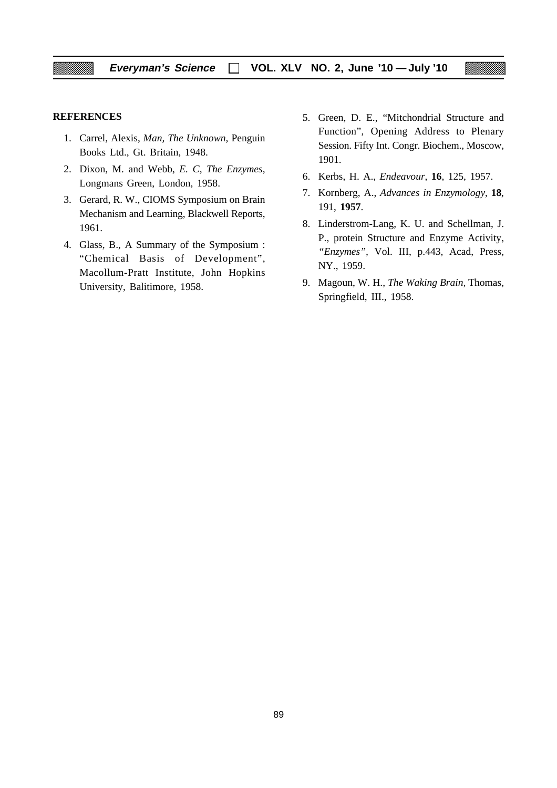#### **REFERENCES**

- 1. Carrel, Alexis, *Man, The Unknown,* Penguin Books Ltd., Gt. Britain, 1948.
- 2. Dixon, M. and Webb, *E. C, The Enzymes,* Longmans Green, London, 1958.
- 3. Gerard, R. W., CIOMS Symposium on Brain Mechanism and Learning, Blackwell Reports, 1961.
- 4. Glass, B., A Summary of the Symposium : "Chemical Basis of Development", Macollum-Pratt Institute, John Hopkins University, Balitimore, 1958.
- 5. Green, D. E., "Mitchondrial Structure and Function", Opening Address to Plenary Session. Fifty Int. Congr. Biochem., Moscow, 1901.
- 6. Kerbs, H. A., *Endeavour*, **16**, 125, 1957.
- 7. Kornberg, A., *Advances in Enzymology*, **18**, 191, **1957**.
- 8. Linderstrom-Lang, K. U. and Schellman, J. P., protein Structure and Enzyme Activity, *"Enzymes",* Vol. III, p.443, Acad, Press, NY., 1959.
- 9. Magoun, W. H., *The Waking Brain,* Thomas, Springfield, III., 1958.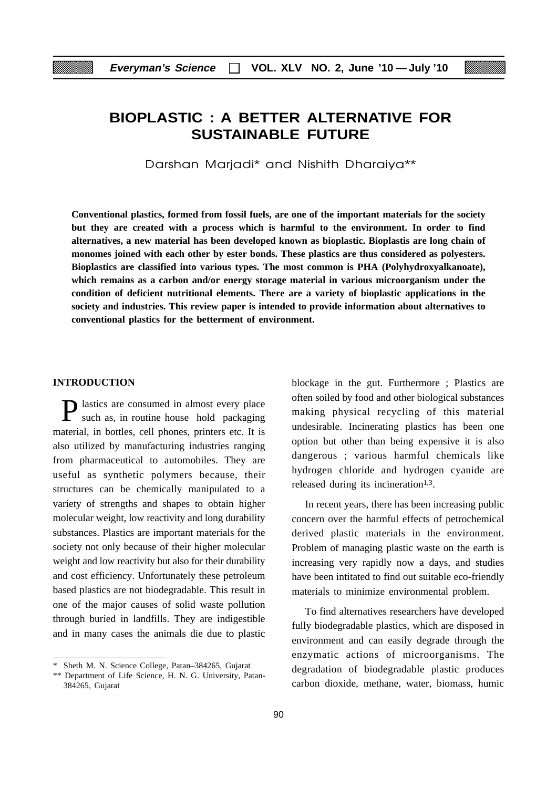# **BIOPLASTIC : A BETTER ALTERNATIVE FOR SUSTAINABLE FUTURE**

Darshan Marjadi\* and Nishith Dharaiya\*\*

**Conventional plastics, formed from fossil fuels, are one of the important materials for the society but they are created with a process which is harmful to the environment. In order to find alternatives, a new material has been developed known as bioplastic. Bioplastis are long chain of monomes joined with each other by ester bonds. These plastics are thus considered as polyesters. Bioplastics are classified into various types. The most common is PHA (Polyhydroxyalkanoate), which remains as a carbon and/or energy storage material in various microorganism under the condition of deficient nutritional elements. There are a variety of bioplastic applications in the society and industries. This review paper is intended to provide information about alternatives to conventional plastics for the betterment of environment.**

#### **INTRODUCTION**

P lastics are consumed in almost every place such as, in routine house hold packaging material, in bottles, cell phones, printers etc. It is also utilized by manufacturing industries ranging from pharmaceutical to automobiles. They are useful as synthetic polymers because, their structures can be chemically manipulated to a variety of strengths and shapes to obtain higher molecular weight, low reactivity and long durability substances. Plastics are important materials for the society not only because of their higher molecular weight and low reactivity but also for their durability and cost efficiency. Unfortunately these petroleum based plastics are not biodegradable. This result in one of the major causes of solid waste pollution through buried in landfills. They are indigestible and in many cases the animals die due to plastic

blockage in the gut. Furthermore ; Plastics are often soiled by food and other biological substances making physical recycling of this material undesirable. Incinerating plastics has been one option but other than being expensive it is also dangerous ; various harmful chemicals like hydrogen chloride and hydrogen cyanide are released during its incineration<sup> $1,3$ </sup>.

In recent years, there has been increasing public concern over the harmful effects of petrochemical derived plastic materials in the environment. Problem of managing plastic waste on the earth is increasing very rapidly now a days, and studies have been intitated to find out suitable eco-friendly materials to minimize environmental problem.

To find alternatives researchers have developed fully biodegradable plastics, which are disposed in environment and can easily degrade through the enzymatic actions of microorganisms. The degradation of biodegradable plastic produces carbon dioxide, methane, water, biomass, humic

<sup>\*</sup> Sheth M. N. Science College, Patan–384265, Gujarat

<sup>\*\*</sup> Department of Life Science, H. N. G. University, Patan-384265, Gujarat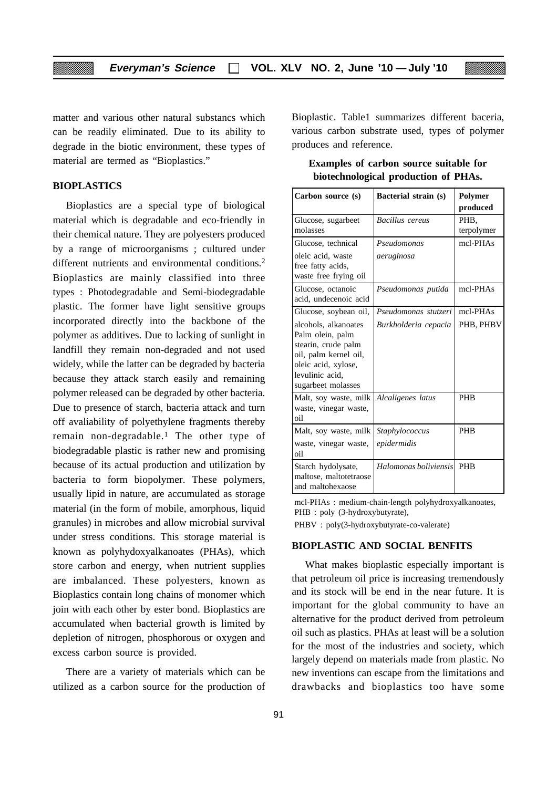matter and various other natural substancs which can be readily eliminated. Due to its ability to degrade in the biotic environment, these types of material are termed as "Bioplastics."

#### **BIOPLASTICS**

Bioplastics are a special type of biological material which is degradable and eco-friendly in their chemical nature. They are polyesters produced by a range of microorganisms ; cultured under different nutrients and environmental conditions.<sup>2</sup> Bioplastics are mainly classified into three types : Photodegradable and Semi-biodegradable plastic. The former have light sensitive groups incorporated directly into the backbone of the polymer as additives. Due to lacking of sunlight in landfill they remain non-degraded and not used widely, while the latter can be degraded by bacteria because they attack starch easily and remaining polymer released can be degraded by other bacteria. Due to presence of starch, bacteria attack and turn off avaliability of polyethylene fragments thereby remain non-degradable.1 The other type of biodegradable plastic is rather new and promising because of its actual production and utilization by bacteria to form biopolymer. These polymers, usually lipid in nature, are accumulated as storage material (in the form of mobile, amorphous, liquid granules) in microbes and allow microbial survival under stress conditions. This storage material is known as polyhydoxyalkanoates (PHAs), which store carbon and energy, when nutrient supplies are imbalanced. These polyesters, known as Bioplastics contain long chains of monomer which join with each other by ester bond. Bioplastics are accumulated when bacterial growth is limited by depletion of nitrogen, phosphorous or oxygen and excess carbon source is provided.

There are a variety of materials which can be utilized as a carbon source for the production of Bioplastic. Table1 summarizes different baceria, various carbon substrate used, types of polymer produces and reference.

| DIOTECNNOIOGICAL PROGUCTION OF PHAS.                                                  |                                              |                       |  |
|---------------------------------------------------------------------------------------|----------------------------------------------|-----------------------|--|
| Carbon source (s)                                                                     | Bacterial strain (s)                         | Polymer<br>produced   |  |
| Glucose, sugarbeet<br>molasses                                                        | <b>Bacillus</b> cereus                       | PHB.<br>terpolymer    |  |
| Glucose, technical<br>oleic acid, waste<br>free fatty acids,<br>waste free frying oil | Pseudomonas<br>aeruginosa                    | mcl-PHAs              |  |
| Glucose, octanoic<br>acid, undecenoic acid                                            | Pseudomonas putida                           | mcl-PHAs              |  |
| Glucose, soybean oil,<br>alcohols, alkanoates                                         | Pseudomonas stutzeri<br>Burkholderia cepacia | mcl-PHAs<br>PHB. PHBV |  |

**Examples of carbon source suitable for biotechnological production of PHAs.**

| Glucose, sugarbeet<br>molasses                                                                                                                           | Bacıllus cereus               | PHB.<br>terpolymer |
|----------------------------------------------------------------------------------------------------------------------------------------------------------|-------------------------------|--------------------|
|                                                                                                                                                          | Pseudomonas                   | mcl-PHAs           |
| Glucose, technical<br>oleic acid, waste<br>free fatty acids,<br>waste free frying oil                                                                    | aeruginosa                    |                    |
| Glucose, octanoic<br>acid, undecenoic acid                                                                                                               | Pseudomonas putida            | mcl-PHAs           |
| Glucose, soybean oil,                                                                                                                                    | Pseudomonas stutzeri          | mcl-PHAs           |
| alcohols, alkanoates<br>Palm olein, palm<br>stearin, crude palm<br>oil, palm kernel oil,<br>oleic acid, xylose,<br>levulinic acid.<br>sugarbeet molasses | Burkholderia cepacia          | PHB, PHBV          |
| Malt, soy waste, milk<br>waste, vinegar waste,<br>oil                                                                                                    | Alcaligenes latus             | <b>PHB</b>         |
| Malt, soy waste, milk<br>waste, vinegar waste,<br>oil                                                                                                    | Staphylococcus<br>epidermidis | <b>PHB</b>         |
| Starch hydolysate,<br>maltose, maltotetraose<br>and maltohexaose                                                                                         | Halomonas boliviensis         | <b>PHB</b>         |

mcl-PHAs : medium-chain-length polyhydroxyalkanoates, PHB : poly (3-hydroxybutyrate),

PHBV : poly(3-hydroxybutyrate-co-valerate)

#### **BIOPLASTIC AND SOCIAL BENFITS**

What makes bioplastic especially important is that petroleum oil price is increasing tremendously and its stock will be end in the near future. It is important for the global community to have an alternative for the product derived from petroleum oil such as plastics. PHAs at least will be a solution for the most of the industries and society, which largely depend on materials made from plastic. No new inventions can escape from the limitations and drawbacks and bioplastics too have some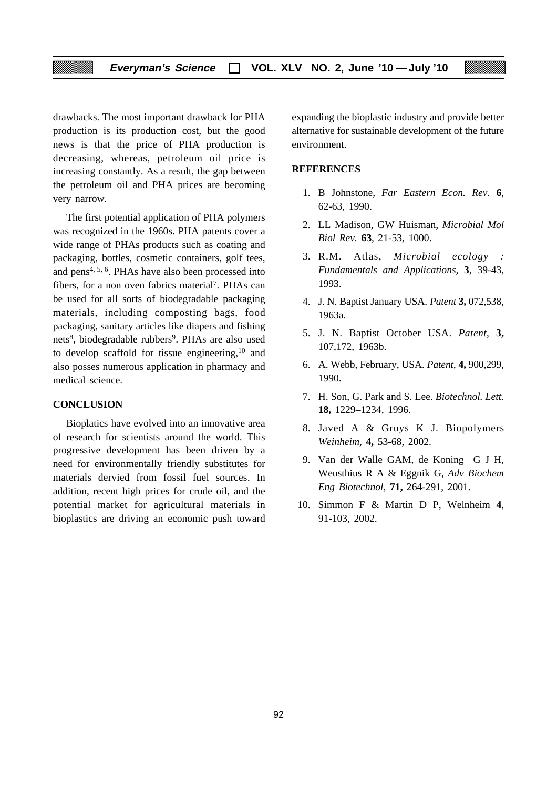# **Everyman's Science VOL. XLV NO. 2, June '10 — July '10**

drawbacks. The most important drawback for PHA production is its production cost, but the good news is that the price of PHA production is decreasing, whereas, petroleum oil price is increasing constantly. As a result, the gap between the petroleum oil and PHA prices are becoming very narrow.

The first potential application of PHA polymers was recognized in the 1960s. PHA patents cover a wide range of PHAs products such as coating and packaging, bottles, cosmetic containers, golf tees, and pens4, 5, 6. PHAs have also been processed into fibers, for a non oven fabrics material<sup>7</sup>. PHAs can be used for all sorts of biodegradable packaging materials, including composting bags, food packaging, sanitary articles like diapers and fishing nets8, biodegradable rubbers9. PHAs are also used to develop scaffold for tissue engineering,10 and also posses numerous application in pharmacy and medical science.

#### **CONCLUSION**

Bioplatics have evolved into an innovative area of research for scientists around the world. This progressive development has been driven by a need for environmentally friendly substitutes for materials dervied from fossil fuel sources. In addition, recent high prices for crude oil, and the potential market for agricultural materials in bioplastics are driving an economic push toward

expanding the bioplastic industry and provide better alternative for sustainable development of the future environment.

#### **REFERENCES**

- 1. B Johnstone, *Far Eastern Econ. Rev.* **6**, 62-63, 1990.
- 2. LL Madison, GW Huisman, *Microbial Mol Biol Rev.* **63**, 21-53, 1000.
- 3. R.M. Atlas, *Microbial ecology : Fundamentals and Applications,* **3**, 39-43, 1993.
- 4. J. N. Baptist January USA. *Patent* **3,** 072,538, 1963a.
- 5. J. N. Baptist October USA. *Patent*, **3,** 107,172, 1963b.
- 6. A. Webb, February, USA. *Patent,* **4,** 900,299, 1990.
- 7. H. Son, G. Park and S. Lee. *Biotechnol. Lett.* **18,** 1229–1234, 1996.
- 8. Javed A & Gruys K J. Biopolymers *Weinheim,* **4,** 53-68, 2002.
- 9. Van der Walle GAM, de Koning G J H, Weusthius R A & Eggnik G, *Adv Biochem Eng Biotechnol,* **71,** 264-291, 2001.
- 10. Simmon F & Martin D P, Welnheim **4**, 91-103, 2002.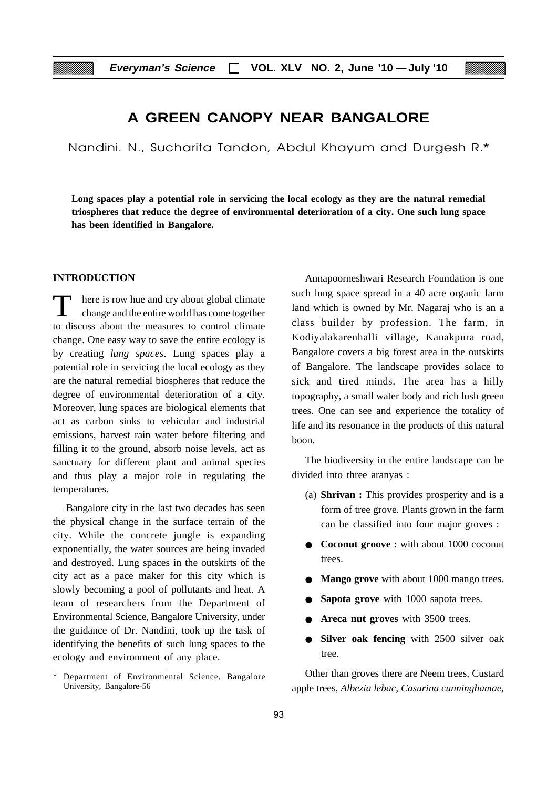# **A GREEN CANOPY NEAR BANGALORE**

Nandini. N., Sucharita Tandon, Abdul Khayum and Durgesh R.\*

**Long spaces play a potential role in servicing the local ecology as they are the natural remedial triospheres that reduce the degree of environmental deterioration of a city. One such lung space has been identified in Bangalore.**

#### **INTRODUCTION**

here is row hue and cry about global climate change and the entire world has come together to discuss about the measures to control climate change. One easy way to save the entire ecology is by creating *lung spaces*. Lung spaces play a potential role in servicing the local ecology as they are the natural remedial biospheres that reduce the degree of environmental deterioration of a city. Moreover, lung spaces are biological elements that act as carbon sinks to vehicular and industrial emissions, harvest rain water before filtering and filling it to the ground, absorb noise levels, act as sanctuary for different plant and animal species and thus play a major role in regulating the temperatures.

Bangalore city in the last two decades has seen the physical change in the surface terrain of the city. While the concrete jungle is expanding exponentially, the water sources are being invaded and destroyed. Lung spaces in the outskirts of the city act as a pace maker for this city which is slowly becoming a pool of pollutants and heat. A team of researchers from the Department of Environmental Science, Bangalore University, under the guidance of Dr. Nandini, took up the task of identifying the benefits of such lung spaces to the ecology and environment of any place.

Annapoorneshwari Research Foundation is one such lung space spread in a 40 acre organic farm land which is owned by Mr. Nagaraj who is an a class builder by profession. The farm, in Kodiyalakarenhalli village, Kanakpura road, Bangalore covers a big forest area in the outskirts of Bangalore. The landscape provides solace to sick and tired minds. The area has a hilly topography, a small water body and rich lush green trees. One can see and experience the totality of life and its resonance in the products of this natural boon.

The biodiversity in the entire landscape can be divided into three aranyas :

- (a) **Shrivan :** This provides prosperity and is a form of tree grove. Plants grown in the farm can be classified into four major groves :
- **Coconut groove :** with about 1000 coconut trees.
- **Mango grove** with about 1000 mango trees.
- **Sapota grove** with 1000 sapota trees.
- Areca nut groves with 3500 trees.
- **Silver oak fencing** with 2500 silver oak tree.

Other than groves there are Neem trees, Custard apple trees, *Albezia lebac, Casurina cunninghamae*,

<sup>\*</sup> Department of Environmental Science, Bangalore University, Bangalore-56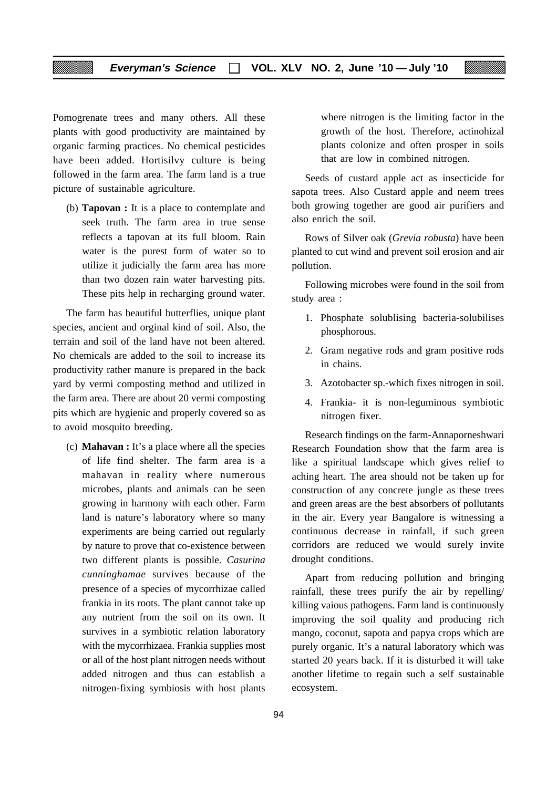Pomogrenate trees and many others. All these plants with good productivity are maintained by organic farming practices. No chemical pesticides have been added. Hortisilvy culture is being followed in the farm area. The farm land is a true picture of sustainable agriculture.

(b) **Tapovan :** It is a place to contemplate and seek truth. The farm area in true sense reflects a tapovan at its full bloom. Rain water is the purest form of water so to utilize it judicially the farm area has more than two dozen rain water harvesting pits. These pits help in recharging ground water.

The farm has beautiful butterflies, unique plant species, ancient and orginal kind of soil. Also, the terrain and soil of the land have not been altered. No chemicals are added to the soil to increase its productivity rather manure is prepared in the back yard by vermi composting method and utilized in the farm area. There are about 20 vermi composting pits which are hygienic and properly covered so as to avoid mosquito breeding.

(c) **Mahavan :** It's a place where all the species of life find shelter. The farm area is a mahavan in reality where numerous microbes, plants and animals can be seen growing in harmony with each other. Farm land is nature's laboratory where so many experiments are being carried out regularly by nature to prove that co-existence between two different plants is possible. *Casurina cunninghamae* survives because of the presence of a species of mycorrhizae called frankia in its roots. The plant cannot take up any nutrient from the soil on its own. It survives in a symbiotic relation laboratory with the mycorrhizaea. Frankia supplies most or all of the host plant nitrogen needs without added nitrogen and thus can establish a nitrogen-fixing symbiosis with host plants

where nitrogen is the limiting factor in the growth of the host. Therefore, actinohizal plants colonize and often prosper in soils that are low in combined nitrogen.

Seeds of custard apple act as insecticide for sapota trees. Also Custard apple and neem trees both growing together are good air purifiers and also enrich the soil.

Rows of Silver oak (*Grevia robusta*) have been planted to cut wind and prevent soil erosion and air pollution.

Following microbes were found in the soil from study area :

- 1. Phosphate solublising bacteria-solubilises phosphorous.
- 2. Gram negative rods and gram positive rods in chains.
- 3. Azotobacter sp.-which fixes nitrogen in soil.
- 4. Frankia- it is non-leguminous symbiotic nitrogen fixer.

Research findings on the farm-Annaporneshwari Research Foundation show that the farm area is like a spiritual landscape which gives relief to aching heart. The area should not be taken up for construction of any concrete jungle as these trees and green areas are the best absorbers of pollutants in the air. Every year Bangalore is witnessing a continuous decrease in rainfall, if such green corridors are reduced we would surely invite drought conditions.

Apart from reducing pollution and bringing rainfall, these trees purify the air by repelling/ killing vaious pathogens. Farm land is continuously improving the soil quality and producing rich mango, coconut, sapota and papya crops which are purely organic. It's a natural laboratory which was started 20 years back. If it is disturbed it will take another lifetime to regain such a self sustainable ecosystem.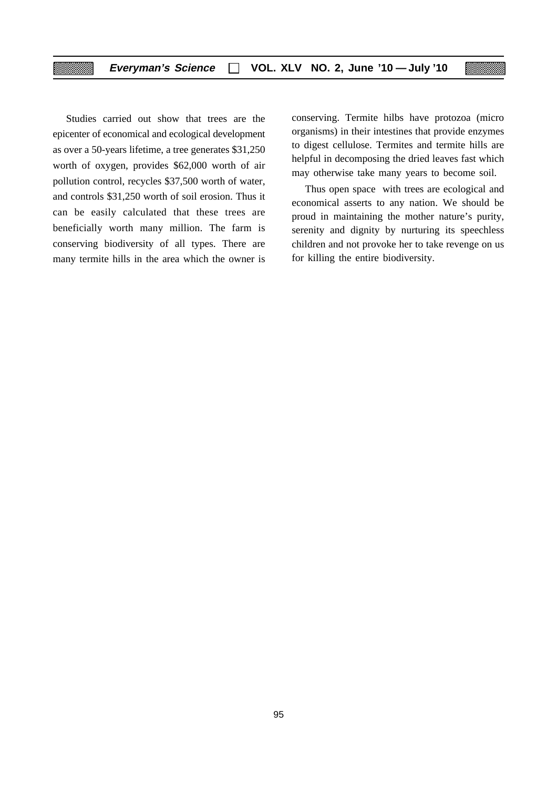Studies carried out show that trees are the epicenter of economical and ecological development as over a 50-years lifetime, a tree generates \$31,250 worth of oxygen, provides \$62,000 worth of air pollution control, recycles \$37,500 worth of water, and controls \$31,250 worth of soil erosion. Thus it can be easily calculated that these trees are beneficially worth many million. The farm is conserving biodiversity of all types. There are many termite hills in the area which the owner is

conserving. Termite hilbs have protozoa (micro organisms) in their intestines that provide enzymes to digest cellulose. Termites and termite hills are helpful in decomposing the dried leaves fast which may otherwise take many years to become soil.

Thus open space with trees are ecological and economical asserts to any nation. We should be proud in maintaining the mother nature's purity, serenity and dignity by nurturing its speechless children and not provoke her to take revenge on us for killing the entire biodiversity.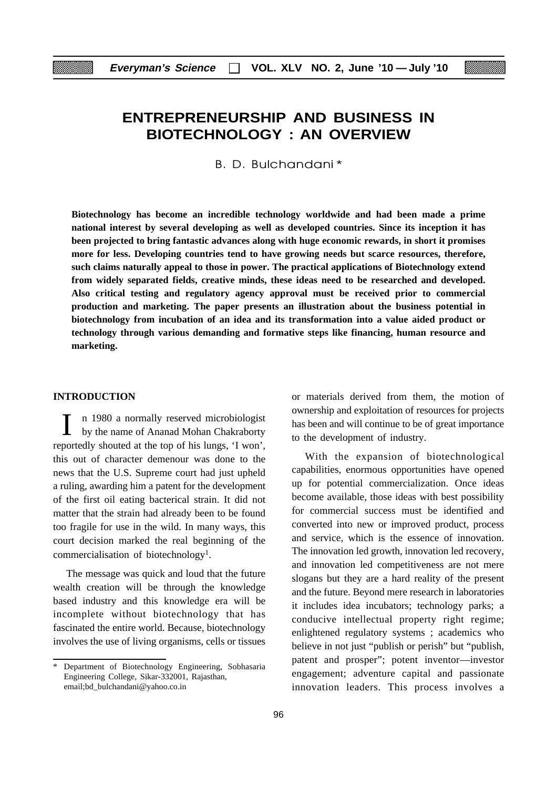# **ENTREPRENEURSHIP AND BUSINESS IN BIOTECHNOLOGY : AN OVERVIEW**

B. D. Bulchandani \*

**Biotechnology has become an incredible technology worldwide and had been made a prime national interest by several developing as well as developed countries. Since its inception it has been projected to bring fantastic advances along with huge economic rewards, in short it promises more for less. Developing countries tend to have growing needs but scarce resources, therefore, such claims naturally appeal to those in power. The practical applications of Biotechnology extend from widely separated fields, creative minds, these ideas need to be researched and developed. Also critical testing and regulatory agency approval must be received prior to commercial production and marketing. The paper presents an illustration about the business potential in biotechnology from incubation of an idea and its transformation into a value aided product or technology through various demanding and formative steps like financing, human resource and marketing.**

#### **INTRODUCTION**

n 1980 a normally reserved microbiologist by the name of Ananad Mohan Chakraborty reportedly shouted at the top of his lungs, 'I won', this out of character demenour was done to the news that the U.S. Supreme court had just upheld a ruling, awarding him a patent for the development of the first oil eating bacterical strain. It did not matter that the strain had already been to be found too fragile for use in the wild. In many ways, this court decision marked the real beginning of the commercialisation of biotechnology<sup>1</sup>.

The message was quick and loud that the future wealth creation will be through the knowledge based industry and this knowledge era will be incomplete without biotechnology that has fascinated the entire world. Because, biotechnology involves the use of living organisms, cells or tissues or materials derived from them, the motion of ownership and exploitation of resources for projects has been and will continue to be of great importance to the development of industry.

With the expansion of biotechnological capabilities, enormous opportunities have opened up for potential commercialization. Once ideas become available, those ideas with best possibility for commercial success must be identified and converted into new or improved product, process and service, which is the essence of innovation. The innovation led growth, innovation led recovery, and innovation led competitiveness are not mere slogans but they are a hard reality of the present and the future. Beyond mere research in laboratories it includes idea incubators; technology parks; a conducive intellectual property right regime; enlightened regulatory systems ; academics who believe in not just "publish or perish" but "publish, patent and prosper"; potent inventor—investor engagement; adventure capital and passionate innovation leaders. This process involves a

Department of Biotechnology Engineering, Sobhasaria Engineering College, Sikar-332001, Rajasthan, email;bd\_bulchandani@yahoo.co.in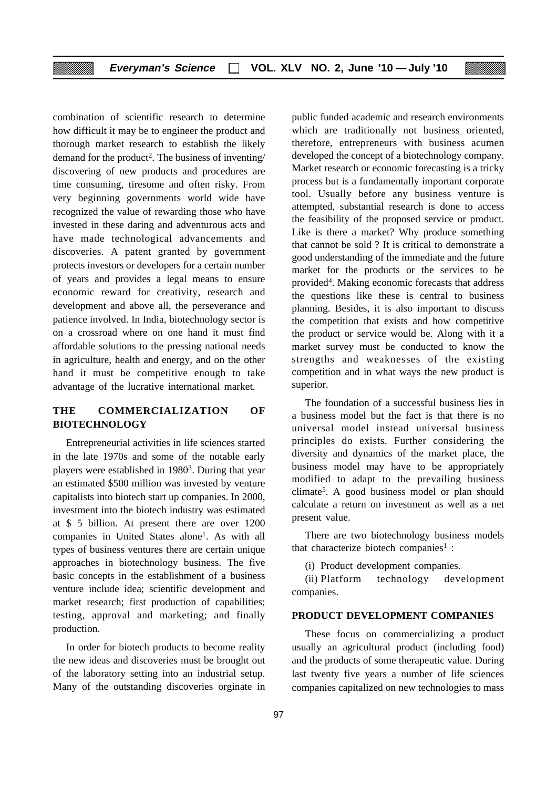combination of scientific research to determine how difficult it may be to engineer the product and thorough market research to establish the likely demand for the product<sup>2</sup>. The business of inventing/ discovering of new products and procedures are time consuming, tiresome and often risky. From very beginning governments world wide have recognized the value of rewarding those who have invested in these daring and adventurous acts and have made technological advancements and discoveries. A patent granted by government protects investors or developers for a certain number of years and provides a legal means to ensure economic reward for creativity, research and development and above all, the perseverance and patience involved. In India, biotechnology sector is on a crossroad where on one hand it must find affordable solutions to the pressing national needs in agriculture, health and energy, and on the other hand it must be competitive enough to take advantage of the lucrative international market.

# **THE COMMERCIALIZATION OF BIOTECHNOLOGY**

Entrepreneurial activities in life sciences started in the late 1970s and some of the notable early players were established in 19803. During that year an estimated \$500 million was invested by venture capitalists into biotech start up companies. In 2000, investment into the biotech industry was estimated at \$ 5 billion. At present there are over 1200 companies in United States alone1. As with all types of business ventures there are certain unique approaches in biotechnology business. The five basic concepts in the establishment of a business venture include idea; scientific development and market research; first production of capabilities; testing, approval and marketing; and finally production.

In order for biotech products to become reality the new ideas and discoveries must be brought out of the laboratory setting into an industrial setup. Many of the outstanding discoveries orginate in public funded academic and research environments which are traditionally not business oriented, therefore, entrepreneurs with business acumen developed the concept of a biotechnology company. Market research or economic forecasting is a tricky process but is a fundamentally important corporate tool. Usually before any business venture is attempted, substantial research is done to access the feasibility of the proposed service or product. Like is there a market? Why produce something that cannot be sold ? It is critical to demonstrate a good understanding of the immediate and the future market for the products or the services to be provided4. Making economic forecasts that address the questions like these is central to business planning. Besides, it is also important to discuss the competition that exists and how competitive the product or service would be. Along with it a market survey must be conducted to know the strengths and weaknesses of the existing competition and in what ways the new product is superior.

The foundation of a successful business lies in a business model but the fact is that there is no universal model instead universal business principles do exists. Further considering the diversity and dynamics of the market place, the business model may have to be appropriately modified to adapt to the prevailing business climate5. A good business model or plan should calculate a return on investment as well as a net present value.

There are two biotechnology business models that characterize biotech companies<sup>1</sup>:

(i) Product development companies.

(ii) Platform technology development companies.

#### **PRODUCT DEVELOPMENT COMPANIES**

These focus on commercializing a product usually an agricultural product (including food) and the products of some therapeutic value. During last twenty five years a number of life sciences companies capitalized on new technologies to mass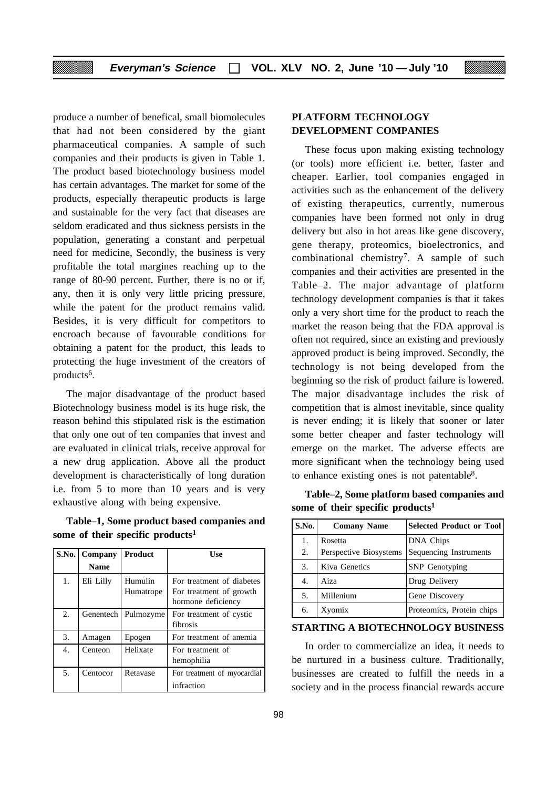produce a number of benefical, small biomolecules that had not been considered by the giant pharmaceutical companies. A sample of such companies and their products is given in Table 1. The product based biotechnology business model has certain advantages. The market for some of the products, especially therapeutic products is large and sustainable for the very fact that diseases are seldom eradicated and thus sickness persists in the population, generating a constant and perpetual need for medicine, Secondly, the business is very profitable the total margines reaching up to the range of 80-90 percent. Further, there is no or if, any, then it is only very little pricing pressure, while the patent for the product remains valid. Besides, it is very difficult for competitors to encroach because of favourable conditions for obtaining a patent for the product, this leads to protecting the huge investment of the creators of products<sup>6</sup>.

The major disadvantage of the product based Biotechnology business model is its huge risk, the reason behind this stipulated risk is the estimation that only one out of ten companies that invest and are evaluated in clinical trials, receive approval for a new drug application. Above all the product development is characteristically of long duration i.e. from 5 to more than 10 years and is very exhaustive along with being expensive.

**Table–1, Some product based companies and some of their specific products1**

| S.No. | Company     | Product              | <b>Use</b>                                                                 |
|-------|-------------|----------------------|----------------------------------------------------------------------------|
|       | <b>Name</b> |                      |                                                                            |
| 1.    | Eli Lilly   | Humulin<br>Humatrope | For treatment of diabetes<br>For treatment of growth<br>hormone deficiency |
| 2.    | Genentech   | Pulmozyme            | For treatment of cystic<br>fibrosis                                        |
| 3.    | Amagen      | Epogen               | For treatment of anemia                                                    |
| 4.    | Centeon     | Helixate             | For treatment of<br>hemophilia                                             |
| 5.    | Centocor    | Retavase             | For treatment of myocardial<br>infraction                                  |

# **PLATFORM TECHNOLOGY DEVELOPMENT COMPANIES**

These focus upon making existing technology (or tools) more efficient i.e. better, faster and cheaper. Earlier, tool companies engaged in activities such as the enhancement of the delivery of existing therapeutics, currently, numerous companies have been formed not only in drug delivery but also in hot areas like gene discovery, gene therapy, proteomics, bioelectronics, and combinational chemistry7. A sample of such companies and their activities are presented in the Table–2. The major advantage of platform technology development companies is that it takes only a very short time for the product to reach the market the reason being that the FDA approval is often not required, since an existing and previously approved product is being improved. Secondly, the technology is not being developed from the beginning so the risk of product failure is lowered. The major disadvantage includes the risk of competition that is almost inevitable, since quality is never ending; it is likely that sooner or later some better cheaper and faster technology will emerge on the market. The adverse effects are more significant when the technology being used to enhance existing ones is not patentable8.

|  |                                              | Table–2, Some platform based companies and |  |
|--|----------------------------------------------|--------------------------------------------|--|
|  | some of their specific products <sup>1</sup> |                                            |  |

| S.No. | <b>Comany Name</b>     | <b>Selected Product or Tool</b> |
|-------|------------------------|---------------------------------|
| 1.    | Rosetta                | <b>DNA</b> Chips                |
| 2.    | Perspective Biosystems | Sequencing Instruments          |
| 3.    | Kiva Genetics          | SNP Genotyping                  |
| 4.    | Aiza                   | Drug Delivery                   |
| 5.    | Millenium              | Gene Discovery                  |
| 6.    | Xyomix                 | Proteomics, Protein chips       |

### **STARTING A BIOTECHNOLOGY BUSINESS**

In order to commercialize an idea, it needs to be nurtured in a business culture. Traditionally, businesses are created to fulfill the needs in a society and in the process financial rewards accure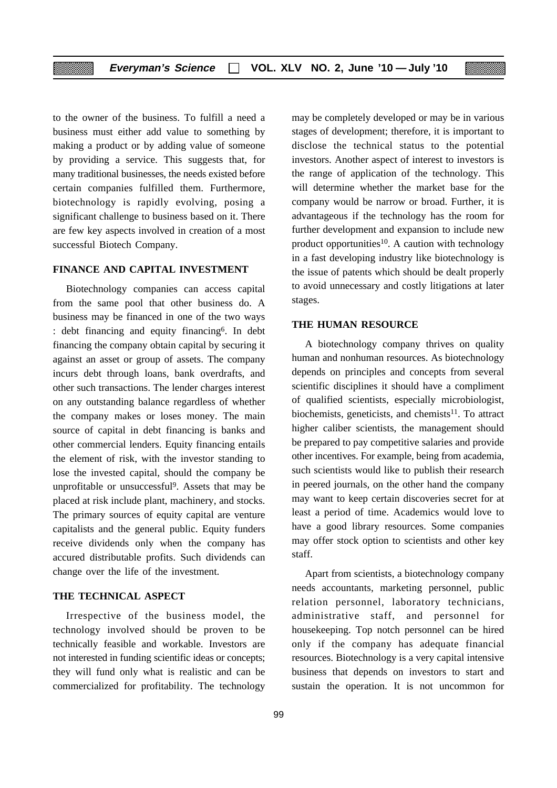to the owner of the business. To fulfill a need a business must either add value to something by making a product or by adding value of someone by providing a service. This suggests that, for many traditional businesses, the needs existed before certain companies fulfilled them. Furthermore, biotechnology is rapidly evolving, posing a significant challenge to business based on it. There are few key aspects involved in creation of a most successful Biotech Company.

#### **FINANCE AND CAPITAL INVESTMENT**

Biotechnology companies can access capital from the same pool that other business do. A business may be financed in one of the two ways : debt financing and equity financing6. In debt financing the company obtain capital by securing it against an asset or group of assets. The company incurs debt through loans, bank overdrafts, and other such transactions. The lender charges interest on any outstanding balance regardless of whether the company makes or loses money. The main source of capital in debt financing is banks and other commercial lenders. Equity financing entails the element of risk, with the investor standing to lose the invested capital, should the company be unprofitable or unsuccessful<sup>9</sup>. Assets that may be placed at risk include plant, machinery, and stocks. The primary sources of equity capital are venture capitalists and the general public. Equity funders receive dividends only when the company has accured distributable profits. Such dividends can change over the life of the investment.

#### **THE TECHNICAL ASPECT**

Irrespective of the business model, the technology involved should be proven to be technically feasible and workable. Investors are not interested in funding scientific ideas or concepts; they will fund only what is realistic and can be commercialized for profitability. The technology may be completely developed or may be in various stages of development; therefore, it is important to disclose the technical status to the potential investors. Another aspect of interest to investors is the range of application of the technology. This will determine whether the market base for the company would be narrow or broad. Further, it is advantageous if the technology has the room for further development and expansion to include new product opportunities<sup>10</sup>. A caution with technology in a fast developing industry like biotechnology is the issue of patents which should be dealt properly to avoid unnecessary and costly litigations at later stages.

#### **THE HUMAN RESOURCE**

A biotechnology company thrives on quality human and nonhuman resources. As biotechnology depends on principles and concepts from several scientific disciplines it should have a compliment of qualified scientists, especially microbiologist, biochemists, geneticists, and chemists $11$ . To attract higher caliber scientists, the management should be prepared to pay competitive salaries and provide other incentives. For example, being from academia, such scientists would like to publish their research in peered journals, on the other hand the company may want to keep certain discoveries secret for at least a period of time. Academics would love to have a good library resources. Some companies may offer stock option to scientists and other key staff.

Apart from scientists, a biotechnology company needs accountants, marketing personnel, public relation personnel, laboratory technicians, administrative staff, and personnel for housekeeping. Top notch personnel can be hired only if the company has adequate financial resources. Biotechnology is a very capital intensive business that depends on investors to start and sustain the operation. It is not uncommon for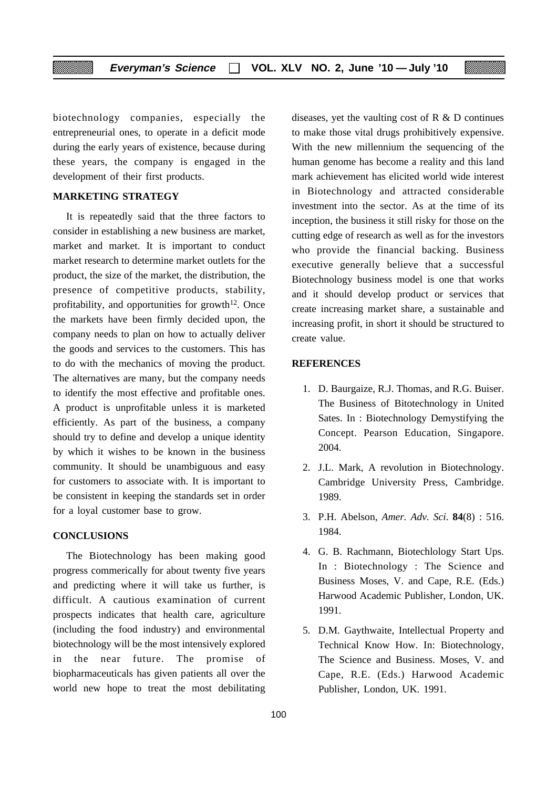biotechnology companies, especially the entrepreneurial ones, to operate in a deficit mode during the early years of existence, because during these years, the company is engaged in the development of their first products.

## **MARKETING STRATEGY**

It is repeatedly said that the three factors to consider in establishing a new business are market, market and market. It is important to conduct market research to determine market outlets for the product, the size of the market, the distribution, the presence of competitive products, stability, profitability, and opportunities for growth $12$ . Once the markets have been firmly decided upon, the company needs to plan on how to actually deliver the goods and services to the customers. This has to do with the mechanics of moving the product. The alternatives are many, but the company needs to identify the most effective and profitable ones. A product is unprofitable unless it is marketed efficiently. As part of the business, a company should try to define and develop a unique identity by which it wishes to be known in the business community. It should be unambiguous and easy for customers to associate with. It is important to be consistent in keeping the standards set in order for a loyal customer base to grow.

#### **CONCLUSIONS**

The Biotechnology has been making good progress commerically for about twenty five years and predicting where it will take us further, is difficult. A cautious examination of current prospects indicates that health care, agriculture (including the food industry) and environmental biotechnology will be the most intensively explored in the near future. The promise of biopharmaceuticals has given patients all over the world new hope to treat the most debilitating

diseases, yet the vaulting cost of  $R \& D$  continues to make those vital drugs prohibitively expensive. With the new millennium the sequencing of the human genome has become a reality and this land mark achievement has elicited world wide interest in Biotechnology and attracted considerable investment into the sector. As at the time of its inception, the business it still risky for those on the cutting edge of research as well as for the investors who provide the financial backing. Business executive generally believe that a successful Biotechnology business model is one that works and it should develop product or services that create increasing market share, a sustainable and increasing profit, in short it should be structured to create value.

#### **REFERENCES**

- 1. D. Baurgaize, R.J. Thomas, and R.G. Buiser. The Business of Bitotechnology in United Sates. In : Biotechnology Demystifying the Concept. Pearson Education, Singapore. 2004.
- 2. J.L. Mark, A revolution in Biotechnology. Cambridge University Press, Cambridge. 1989.
- 3. P.H. Abelson, *Amer. Adv. Sci*. **84**(8) : 516. 1984.
- 4. G. B. Rachmann, Biotechlology Start Ups. In : Biotechnology : The Science and Business Moses, V. and Cape, R.E. (Eds.) Harwood Academic Publisher, London, UK. 1991.
- 5. D.M. Gaythwaite, Intellectual Property and Technical Know How. In: Biotechnology, The Science and Business. Moses, V. and Cape, R.E. (Eds.) Harwood Academic Publisher, London, UK. 1991.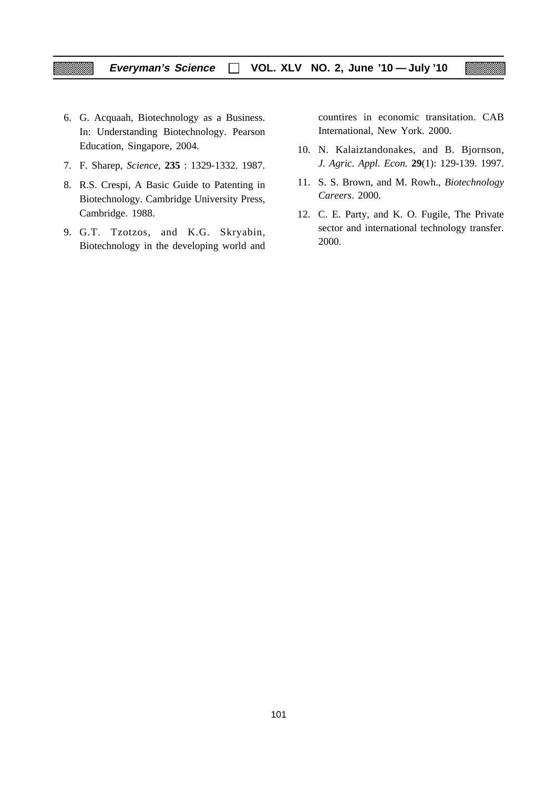- 6. G. Acquaah, Biotechnology as a Business. In: Understanding Biotechnology. Pearson Education, Singapore, 2004.
- 7. F. Sharep, *Science*, **235** : 1329-1332. 1987.
- 8. R.S. Crespi, A Basic Guide to Patenting in Biotechnology. Cambridge University Press, Cambridge. 1988.
- 9. G.T. Tzotzos, and K.G. Skryabin, Biotechnology in the developing world and

countires in economic transitation. CAB International, New York. 2000.

- 10. N. Kalaiztandonakes, and B. Bjornson, *J. Agric. Appl. Econ.* **29**(1): 129-139. 1997.
- 11. S. S. Brown, and M. Rowh., *Biotechnology Careers*. 2000.
- 12. C. E. Party, and K. O. Fugile, The Private sector and international technology transfer. 2000.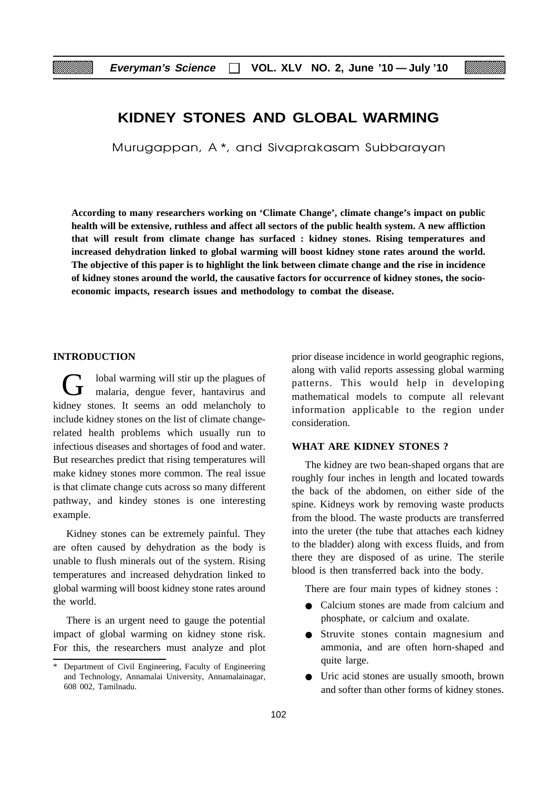# **KIDNEY STONES AND GLOBAL WARMING**

Murugappan, A \*, and Sivaprakasam Subbarayan

**According to many researchers working on 'Climate Change', climate change's impact on public health will be extensive, ruthless and affect all sectors of the public health system. A new affliction that will result from climate change has surfaced : kidney stones. Rising temperatures and increased dehydration linked to global warming will boost kidney stone rates around the world. The objective of this paper is to highlight the link between climate change and the rise in incidence of kidney stones around the world, the causative factors for occurrence of kidney stones, the socioeconomic impacts, research issues and methodology to combat the disease.**

#### **INTRODUCTION**

G lobal warming will stir up the plagues of malaria, dengue fever, hantavirus and kidney stones. It seems an odd melancholy to include kidney stones on the list of climate changerelated health problems which usually run to infectious diseases and shortages of food and water. But researches predict that rising temperatures will make kidney stones more common. The real issue is that climate change cuts across so many different pathway, and kindey stones is one interesting example.

Kidney stones can be extremely painful. They are often caused by dehydration as the body is unable to flush minerals out of the system. Rising temperatures and increased dehydration linked to global warming will boost kidney stone rates around the world.

There is an urgent need to gauge the potential impact of global warming on kidney stone risk. For this, the researchers must analyze and plot prior disease incidence in world geographic regions, along with valid reports assessing global warming patterns. This would help in developing mathematical models to compute all relevant information applicable to the region under consideration.

#### **WHAT ARE KIDNEY STONES ?**

The kidney are two bean-shaped organs that are roughly four inches in length and located towards the back of the abdomen, on either side of the spine. Kidneys work by removing waste products from the blood. The waste products are transferred into the ureter (the tube that attaches each kidney to the bladder) along with excess fluids, and from there they are disposed of as urine. The sterile blood is then transferred back into the body.

There are four main types of kidney stones :

- Calcium stones are made from calcium and phosphate, or calcium and oxalate.
- Struvite stones contain magnesium and ammonia, and are often horn-shaped and quite large.
- Uric acid stones are usually smooth, brown and softer than other forms of kidney stones.

Department of Civil Engineering, Faculty of Engineering and Technology, Annamalai University, Annamalainagar, 608 002, Tamilnadu.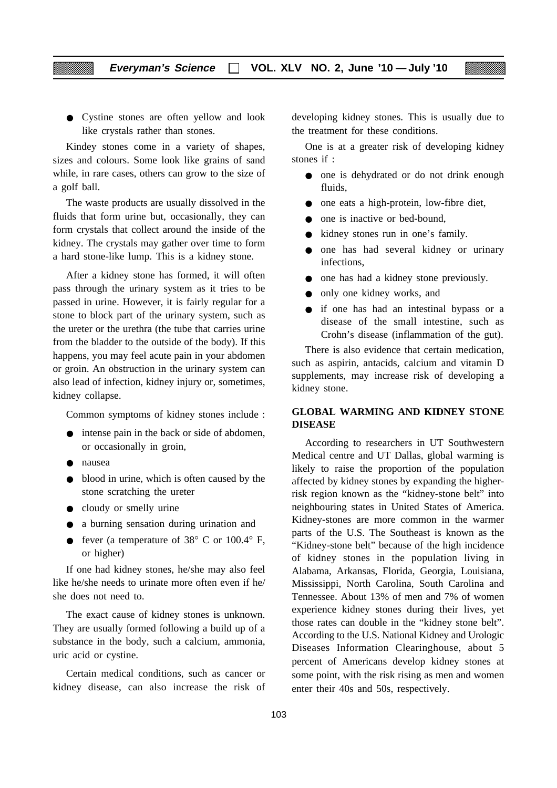● Cystine stones are often yellow and look like crystals rather than stones.

Kindey stones come in a variety of shapes, sizes and colours. Some look like grains of sand while, in rare cases, others can grow to the size of a golf ball.

The waste products are usually dissolved in the fluids that form urine but, occasionally, they can form crystals that collect around the inside of the kidney. The crystals may gather over time to form a hard stone-like lump. This is a kidney stone.

After a kidney stone has formed, it will often pass through the urinary system as it tries to be passed in urine. However, it is fairly regular for a stone to block part of the urinary system, such as the ureter or the urethra (the tube that carries urine from the bladder to the outside of the body). If this happens, you may feel acute pain in your abdomen or groin. An obstruction in the urinary system can also lead of infection, kidney injury or, sometimes, kidney collapse.

Common symptoms of kidney stones include :

- intense pain in the back or side of abdomen, or occasionally in groin,
- nausea
- blood in urine, which is often caused by the stone scratching the ureter
- cloudy or smelly urine
- a burning sensation during urination and
- fever (a temperature of  $38^{\circ}$  C or  $100.4^{\circ}$  F, or higher)

If one had kidney stones, he/she may also feel like he/she needs to urinate more often even if he/ she does not need to.

The exact cause of kidney stones is unknown. They are usually formed following a build up of a substance in the body, such a calcium, ammonia, uric acid or cystine.

Certain medical conditions, such as cancer or kidney disease, can also increase the risk of developing kidney stones. This is usually due to the treatment for these conditions.

One is at a greater risk of developing kidney stones if :

- one is dehydrated or do not drink enough fluids,
- one eats a high-protein, low-fibre diet,
- one is inactive or bed-bound.
- kidney stones run in one's family.
- one has had several kidney or urinary infections,
- one has had a kidney stone previously.
- only one kidney works, and
- if one has had an intestinal bypass or a disease of the small intestine, such as Crohn's disease (inflammation of the gut).

There is also evidence that certain medication, such as aspirin, antacids, calcium and vitamin D supplements, may increase risk of developing a kidney stone.

## **GLOBAL WARMING AND KIDNEY STONE DISEASE**

According to researchers in UT Southwestern Medical centre and UT Dallas, global warming is likely to raise the proportion of the population affected by kidney stones by expanding the higherrisk region known as the "kidney-stone belt" into neighbouring states in United States of America. Kidney-stones are more common in the warmer parts of the U.S. The Southeast is known as the "Kidney-stone belt" because of the high incidence of kidney stones in the population living in Alabama, Arkansas, Florida, Georgia, Louisiana, Mississippi, North Carolina, South Carolina and Tennessee. About 13% of men and 7% of women experience kidney stones during their lives, yet those rates can double in the "kidney stone belt". According to the U.S. National Kidney and Urologic Diseases Information Clearinghouse, about 5 percent of Americans develop kidney stones at some point, with the risk rising as men and women enter their 40s and 50s, respectively.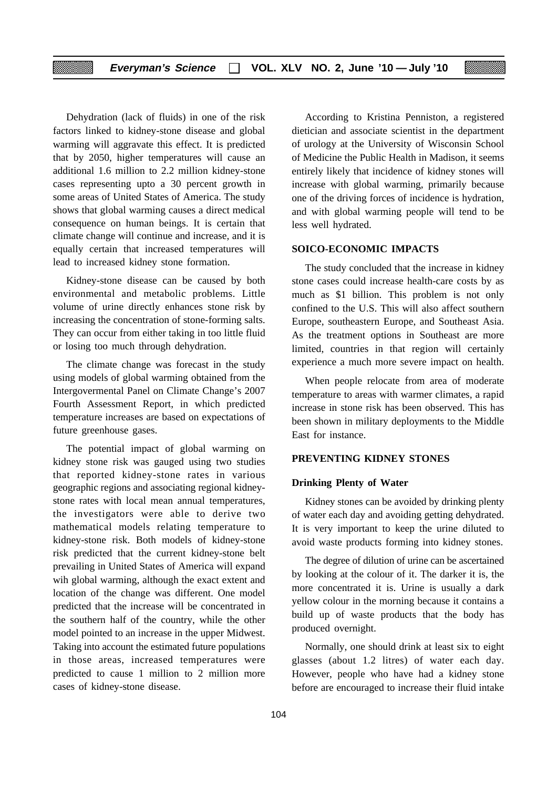Dehydration (lack of fluids) in one of the risk factors linked to kidney-stone disease and global warming will aggravate this effect. It is predicted that by 2050, higher temperatures will cause an additional 1.6 million to 2.2 million kidney-stone cases representing upto a 30 percent growth in some areas of United States of America. The study shows that global warming causes a direct medical consequence on human beings. It is certain that climate change will continue and increase, and it is equally certain that increased temperatures will lead to increased kidney stone formation.

Kidney-stone disease can be caused by both environmental and metabolic problems. Little volume of urine directly enhances stone risk by increasing the concentration of stone-forming salts. They can occur from either taking in too little fluid or losing too much through dehydration.

The climate change was forecast in the study using models of global warming obtained from the Intergovermental Panel on Climate Change's 2007 Fourth Assessment Report, in which predicted temperature increases are based on expectations of future greenhouse gases.

The potential impact of global warming on kidney stone risk was gauged using two studies that reported kidney-stone rates in various geographic regions and associating regional kidneystone rates with local mean annual temperatures, the investigators were able to derive two mathematical models relating temperature to kidney-stone risk. Both models of kidney-stone risk predicted that the current kidney-stone belt prevailing in United States of America will expand wih global warming, although the exact extent and location of the change was different. One model predicted that the increase will be concentrated in the southern half of the country, while the other model pointed to an increase in the upper Midwest. Taking into account the estimated future populations in those areas, increased temperatures were predicted to cause 1 million to 2 million more cases of kidney-stone disease.

According to Kristina Penniston, a registered dietician and associate scientist in the department of urology at the University of Wisconsin School of Medicine the Public Health in Madison, it seems entirely likely that incidence of kidney stones will increase with global warming, primarily because one of the driving forces of incidence is hydration, and with global warming people will tend to be less well hydrated.

#### **SOICO-ECONOMIC IMPACTS**

The study concluded that the increase in kidney stone cases could increase health-care costs by as much as \$1 billion. This problem is not only confined to the U.S. This will also affect southern Europe, southeastern Europe, and Southeast Asia. As the treatment options in Southeast are more limited, countries in that region will certainly experience a much more severe impact on health.

When people relocate from area of moderate temperature to areas with warmer climates, a rapid increase in stone risk has been observed. This has been shown in military deployments to the Middle East for instance.

#### **PREVENTING KIDNEY STONES**

#### **Drinking Plenty of Water**

Kidney stones can be avoided by drinking plenty of water each day and avoiding getting dehydrated. It is very important to keep the urine diluted to avoid waste products forming into kidney stones.

The degree of dilution of urine can be ascertained by looking at the colour of it. The darker it is, the more concentrated it is. Urine is usually a dark yellow colour in the morning because it contains a build up of waste products that the body has produced overnight.

Normally, one should drink at least six to eight glasses (about 1.2 litres) of water each day. However, people who have had a kidney stone before are encouraged to increase their fluid intake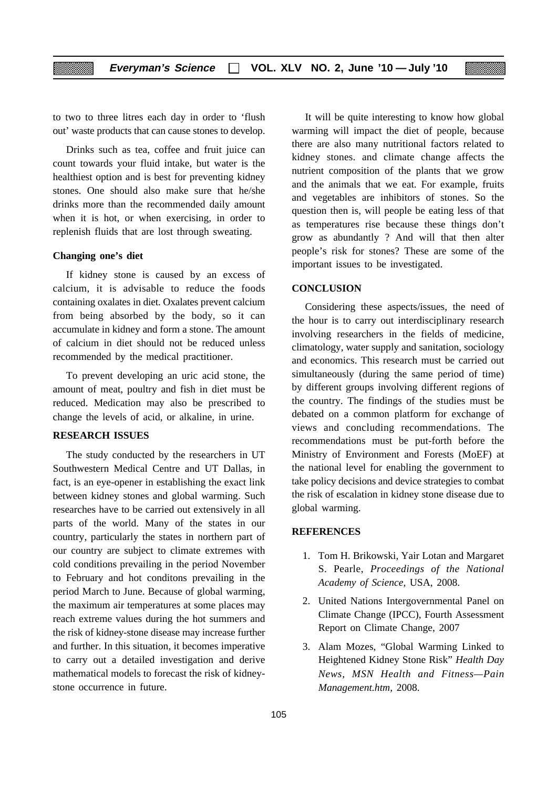to two to three litres each day in order to 'flush out' waste products that can cause stones to develop.

Drinks such as tea, coffee and fruit juice can count towards your fluid intake, but water is the healthiest option and is best for preventing kidney stones. One should also make sure that he/she drinks more than the recommended daily amount when it is hot, or when exercising, in order to replenish fluids that are lost through sweating.

#### **Changing one's diet**

If kidney stone is caused by an excess of calcium, it is advisable to reduce the foods containing oxalates in diet. Oxalates prevent calcium from being absorbed by the body, so it can accumulate in kidney and form a stone. The amount of calcium in diet should not be reduced unless recommended by the medical practitioner.

To prevent developing an uric acid stone, the amount of meat, poultry and fish in diet must be reduced. Medication may also be prescribed to change the levels of acid, or alkaline, in urine.

#### **RESEARCH ISSUES**

The study conducted by the researchers in UT Southwestern Medical Centre and UT Dallas, in fact, is an eye-opener in establishing the exact link between kidney stones and global warming. Such researches have to be carried out extensively in all parts of the world. Many of the states in our country, particularly the states in northern part of our country are subject to climate extremes with cold conditions prevailing in the period November to February and hot conditons prevailing in the period March to June. Because of global warming, the maximum air temperatures at some places may reach extreme values during the hot summers and the risk of kidney-stone disease may increase further and further. In this situation, it becomes imperative to carry out a detailed investigation and derive mathematical models to forecast the risk of kidneystone occurrence in future.

It will be quite interesting to know how global warming will impact the diet of people, because there are also many nutritional factors related to kidney stones. and climate change affects the nutrient composition of the plants that we grow and the animals that we eat. For example, fruits and vegetables are inhibitors of stones. So the question then is, will people be eating less of that as temperatures rise because these things don't grow as abundantly ? And will that then alter people's risk for stones? These are some of the important issues to be investigated.

#### **CONCLUSION**

Considering these aspects/issues, the need of the hour is to carry out interdisciplinary research involving researchers in the fields of medicine, climatology, water supply and sanitation, sociology and economics. This research must be carried out simultaneously (during the same period of time) by different groups involving different regions of the country. The findings of the studies must be debated on a common platform for exchange of views and concluding recommendations. The recommendations must be put-forth before the Ministry of Environment and Forests (MoEF) at the national level for enabling the government to take policy decisions and device strategies to combat the risk of escalation in kidney stone disease due to global warming.

#### **REFERENCES**

- 1. Tom H. Brikowski, Yair Lotan and Margaret S. Pearle, *Proceedings of the National Academy of Science,* USA, 2008.
- 2. United Nations Intergovernmental Panel on Climate Change (IPCC), Fourth Assessment Report on Climate Change, 2007
- 3. Alam Mozes, "Global Warming Linked to Heightened Kidney Stone Risk" *Health Day News, MSN Health and Fitness—Pain Management.htm,* 2008.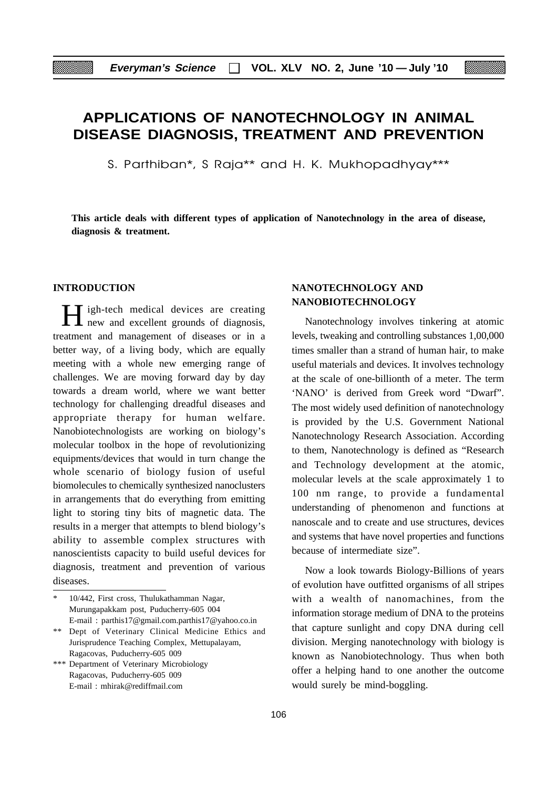## **APPLICATIONS OF NANOTECHNOLOGY IN ANIMAL DISEASE DIAGNOSIS, TREATMENT AND PREVENTION**

S. Parthiban\*, S Raja\*\* and H. K. Mukhopadhyay\*\*\*

**This article deals with different types of application of Nanotechnology in the area of disease, diagnosis & treatment.**

#### **INTRODUCTION**

High-tech medical devices are creating new and excellent grounds of diagnosis, treatment and management of diseases or in a better way, of a living body, which are equally meeting with a whole new emerging range of challenges. We are moving forward day by day towards a dream world, where we want better technology for challenging dreadful diseases and appropriate therapy for human welfare. Nanobiotechnologists are working on biology's molecular toolbox in the hope of revolutionizing equipments/devices that would in turn change the whole scenario of biology fusion of useful biomolecules to chemically synthesized nanoclusters in arrangements that do everything from emitting light to storing tiny bits of magnetic data. The results in a merger that attempts to blend biology's ability to assemble complex structures with nanoscientists capacity to build useful devices for diagnosis, treatment and prevention of various diseases.

10/442, First cross, Thulukathamman Nagar, Murungapakkam post, Puducherry-605 004 E-mail : parthis17@gmail.com.parthis17@yahoo.co.in

\*\* Dept of Veterinary Clinical Medicine Ethics and Jurisprudence Teaching Complex, Mettupalayam, Ragacovas, Puducherry-605 009

\*\*\* Department of Veterinary Microbiology Ragacovas, Puducherry-605 009 E-mail : mhirak@rediffmail.com

## **NANOTECHNOLOGY AND NANOBIOTECHNOLOGY**

Nanotechnology involves tinkering at atomic levels, tweaking and controlling substances 1,00,000 times smaller than a strand of human hair, to make useful materials and devices. It involves technology at the scale of one-billionth of a meter. The term 'NANO' is derived from Greek word "Dwarf". The most widely used definition of nanotechnology is provided by the U.S. Government National Nanotechnology Research Association. According to them, Nanotechnology is defined as "Research and Technology development at the atomic, molecular levels at the scale approximately 1 to 100 nm range, to provide a fundamental understanding of phenomenon and functions at nanoscale and to create and use structures, devices and systems that have novel properties and functions because of intermediate size".

Now a look towards Biology-Billions of years of evolution have outfitted organisms of all stripes with a wealth of nanomachines, from the information storage medium of DNA to the proteins that capture sunlight and copy DNA during cell division. Merging nanotechnology with biology is known as Nanobiotechnology. Thus when both offer a helping hand to one another the outcome would surely be mind-boggling.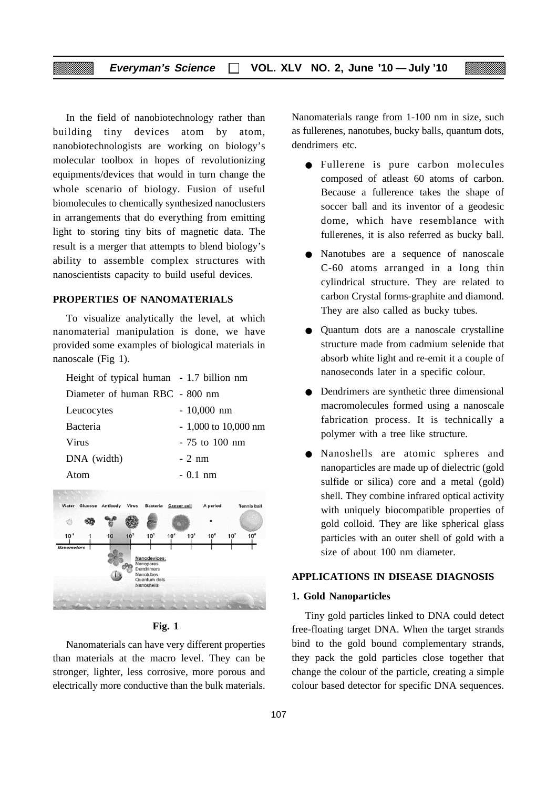In the field of nanobiotechnology rather than building tiny devices atom by atom, nanobiotechnologists are working on biology's molecular toolbox in hopes of revolutionizing equipments/devices that would in turn change the whole scenario of biology. Fusion of useful biomolecules to chemically synthesized nanoclusters in arrangements that do everything from emitting light to storing tiny bits of magnetic data. The result is a merger that attempts to blend biology's ability to assemble complex structures with nanoscientists capacity to build useful devices.

#### **PROPERTIES OF NANOMATERIALS**

To visualize analytically the level, at which nanomaterial manipulation is done, we have provided some examples of biological materials in nanoscale (Fig 1).

| Height of typical human - 1.7 billion nm |                         |
|------------------------------------------|-------------------------|
| Diameter of human RBC - 800 nm           |                         |
| Leucocytes                               | $-10,000$ nm            |
| <b>Bacteria</b>                          | $-1,000$ to $10,000$ nm |
| Virus                                    | $-75$ to 100 nm         |
| DNA (width)                              | $-2$ nm                 |
| ∖t∩m                                     | $-0.1$ nm               |



#### **Fig. 1**

Nanomaterials can have very different properties than materials at the macro level. They can be stronger, lighter, less corrosive, more porous and electrically more conductive than the bulk materials.

Nanomaterials range from 1-100 nm in size, such as fullerenes, nanotubes, bucky balls, quantum dots, dendrimers etc.

- Fullerene is pure carbon molecules composed of atleast 60 atoms of carbon. Because a fullerence takes the shape of soccer ball and its inventor of a geodesic dome, which have resemblance with fullerenes, it is also referred as bucky ball.
- Nanotubes are a sequence of nanoscale C-60 atoms arranged in a long thin cylindrical structure. They are related to carbon Crystal forms-graphite and diamond. They are also called as bucky tubes.
- Quantum dots are a nanoscale crystalline structure made from cadmium selenide that absorb white light and re-emit it a couple of nanoseconds later in a specific colour.
- Dendrimers are synthetic three dimensional macromolecules formed using a nanoscale fabrication process. It is technically a polymer with a tree like structure.
- Nanoshells are atomic spheres and nanoparticles are made up of dielectric (gold sulfide or silica) core and a metal (gold) shell. They combine infrared optical activity with uniquely biocompatible properties of gold colloid. They are like spherical glass particles with an outer shell of gold with a size of about 100 nm diameter.

#### **APPLICATIONS IN DISEASE DIAGNOSIS**

#### **1. Gold Nanoparticles**

Tiny gold particles linked to DNA could detect free-floating target DNA. When the target strands bind to the gold bound complementary strands, they pack the gold particles close together that change the colour of the particle, creating a simple colour based detector for specific DNA sequences.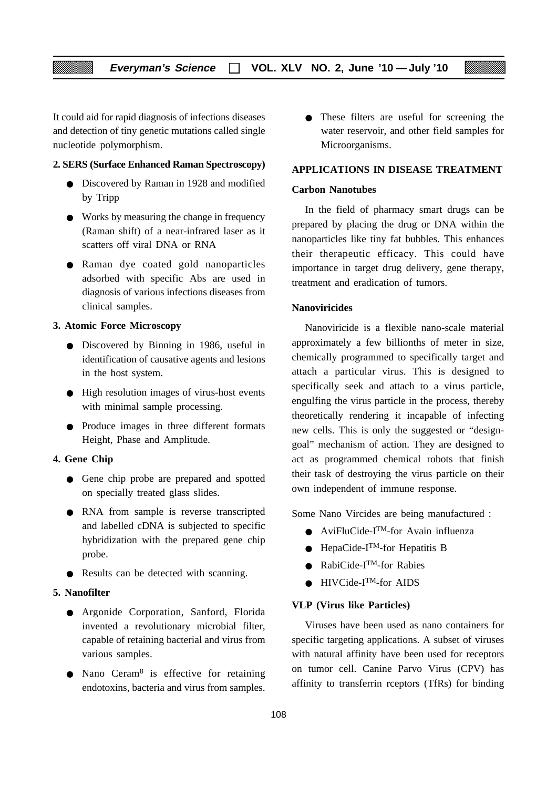It could aid for rapid diagnosis of infections diseases and detection of tiny genetic mutations called single nucleotide polymorphism.

#### **2. SERS (Surface Enhanced Raman Spectroscopy)**

- Discovered by Raman in 1928 and modified by Tripp
- Works by measuring the change in frequency (Raman shift) of a near-infrared laser as it scatters off viral DNA or RNA
- Raman dye coated gold nanoparticles adsorbed with specific Abs are used in diagnosis of various infections diseases from clinical samples.

#### **3. Atomic Force Microscopy**

- Discovered by Binning in 1986, useful in identification of causative agents and lesions in the host system.
- High resolution images of virus-host events with minimal sample processing.
- Produce images in three different formats Height, Phase and Amplitude.

#### **4. Gene Chip**

- Gene chip probe are prepared and spotted on specially treated glass slides.
- RNA from sample is reverse transcripted and labelled cDNA is subjected to specific hybridization with the prepared gene chip probe.
- Results can be detected with scanning.

#### **5. Nanofilter**

- Argonide Corporation, Sanford, Florida invented a revolutionary microbial filter, capable of retaining bacterial and virus from various samples.
- Nano Ceram8 is effective for retaining endotoxins, bacteria and virus from samples.

● These filters are useful for screening the water reservoir, and other field samples for Microorganisms.

### **APPLICATIONS IN DISEASE TREATMENT**

#### **Carbon Nanotubes**

In the field of pharmacy smart drugs can be prepared by placing the drug or DNA within the nanoparticles like tiny fat bubbles. This enhances their therapeutic efficacy. This could have importance in target drug delivery, gene therapy, treatment and eradication of tumors.

#### **Nanoviricides**

Nanoviricide is a flexible nano-scale material approximately a few billionths of meter in size, chemically programmed to specifically target and attach a particular virus. This is designed to specifically seek and attach to a virus particle, engulfing the virus particle in the process, thereby theoretically rendering it incapable of infecting new cells. This is only the suggested or "designgoal" mechanism of action. They are designed to act as programmed chemical robots that finish their task of destroying the virus particle on their own independent of immune response.

Some Nano Vircides are being manufactured :

- $\bullet$  AviFluCide-I<sup>TM</sup>-for Avain influenza
- $\bullet$  HepaCide-I<sup>TM</sup>-for Hepatitis B
- RabiCide-I<sup>TM</sup>-for Rabies
- $\bullet$  HIVCide-I<sup>TM</sup>-for AIDS

#### **VLP (Virus like Particles)**

Viruses have been used as nano containers for specific targeting applications. A subset of viruses with natural affinity have been used for receptors on tumor cell. Canine Parvo Virus (CPV) has affinity to transferrin rceptors (TfRs) for binding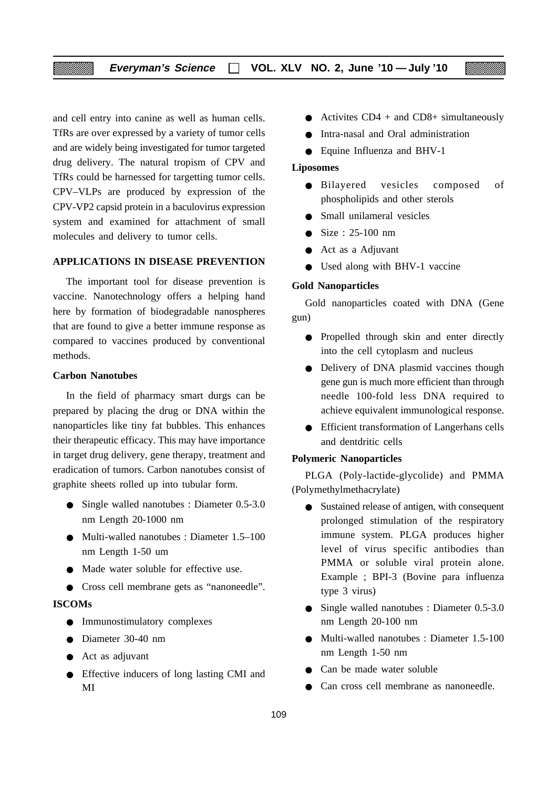and cell entry into canine as well as human cells. TfRs are over expressed by a variety of tumor cells and are widely being investigated for tumor targeted drug delivery. The natural tropism of CPV and TfRs could be harnessed for targetting tumor cells. CPV–VLPs are produced by expression of the CPV-VP2 capsid protein in a baculovirus expression system and examined for attachment of small molecules and delivery to tumor cells.

## **APPLICATIONS IN DISEASE PREVENTION**

The important tool for disease prevention is vaccine. Nanotechnology offers a helping hand here by formation of biodegradable nanospheres that are found to give a better immune response as compared to vaccines produced by conventional methods.

#### **Carbon Nanotubes**

In the field of pharmacy smart durgs can be prepared by placing the drug or DNA within the nanoparticles like tiny fat bubbles. This enhances their therapeutic efficacy. This may have importance in target drug delivery, gene therapy, treatment and eradication of tumors. Carbon nanotubes consist of graphite sheets rolled up into tubular form.

- Single walled nanotubes : Diameter 0.5-3.0 nm Length 20-1000 nm
- Multi-walled nanotubes : Diameter 1.5–100 nm Length 1-50 um
- Made water soluble for effective use.
- Cross cell membrane gets as "nanoneedle".

#### **ISCOMs**

- Immunostimulatory complexes
- Diameter 30-40 nm
- Act as adjuvant
- Effective inducers of long lasting CMI and MI
- Activites  $CD4 + and CD8 + simultaneously$
- Intra-nasal and Oral administration
- Equine Influenza and BHV-1

#### **Liposomes**

- Bilayered vesicles composed of phospholipids and other sterols
- Small unilameral vesicles
- $\bullet$  Size : 25-100 nm
- Act as a Adjuvant
- Used along with BHV-1 vaccine

#### **Gold Nanoparticles**

Gold nanoparticles coated with DNA (Gene gun)

- Propelled through skin and enter directly into the cell cytoplasm and nucleus
- Delivery of DNA plasmid vaccines though gene gun is much more efficient than through needle 100-fold less DNA required to achieve equivalent immunological response.
- Efficient transformation of Langerhans cells and dentdritic cells

#### **Polymeric Nanoparticles**

PLGA (Poly-lactide-glycolide) and PMMA (Polymethylmethacrylate)

- Sustained release of antigen, with consequent prolonged stimulation of the respiratory immune system. PLGA produces higher level of virus specific antibodies than PMMA or soluble viral protein alone. Example ; BPI-3 (Bovine para influenza type 3 virus)
- Single walled nanotubes : Diameter 0.5-3.0 nm Length 20-100 nm
- Multi-walled nanotubes : Diameter 1.5-100 nm Length 1-50 nm
- Can be made water soluble
- Can cross cell membrane as nanoneedle.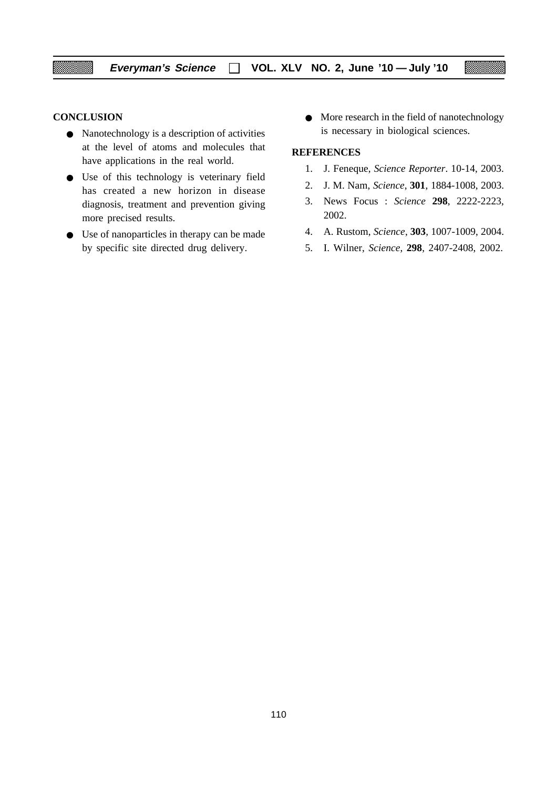#### **CONCLUSION**

- Nanotechnology is a description of activities at the level of atoms and molecules that have applications in the real world.
- Use of this technology is veterinary field has created a new horizon in disease diagnosis, treatment and prevention giving more precised results.
- Use of nanoparticles in therapy can be made by specific site directed drug delivery.

● More research in the field of nanotechnology is necessary in biological sciences.

## **REFERENCES**

- 1. J. Feneque, *Science Reporter*. 10-14, 2003.
- 2. J. M. Nam, *Science*, **301**, 1884-1008, 2003.
- 3. News Focus : *Science* **298**, 2222-2223, 2002.
- 4. A. Rustom, *Science*, **303**, 1007-1009, 2004.
- 5. I. Wilner, *Science*, **298**, 2407-2408, 2002.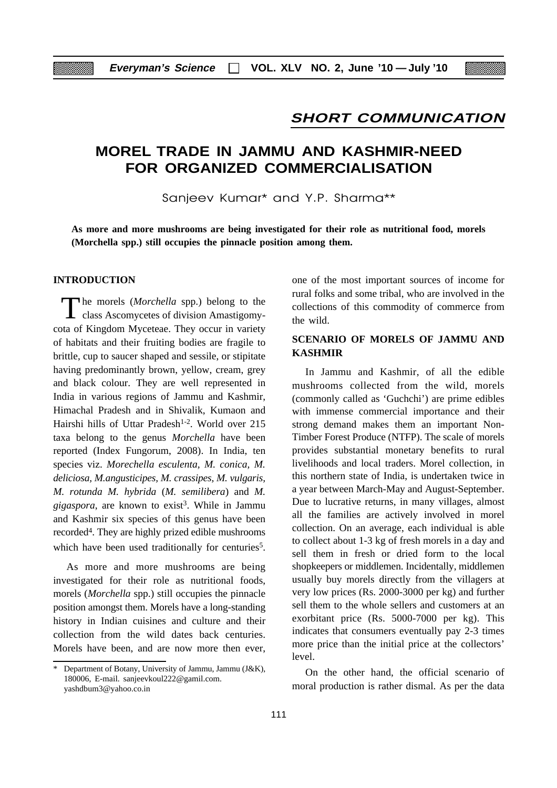## **SHORT COMMUNICATION**

## **MOREL TRADE IN JAMMU AND KASHMIR-NEED FOR ORGANIZED COMMERCIALISATION**

Sanjeev Kumar\* and Y.P. Sharma\*\*

**As more and more mushrooms are being investigated for their role as nutritional food, morels (Morchella spp.) still occupies the pinnacle position among them.**

#### **INTRODUCTION**

The morels (*Morchella* spp.) belong to the class Ascomycetes of division Amastigomycota of Kingdom Myceteae. They occur in variety of habitats and their fruiting bodies are fragile to brittle, cup to saucer shaped and sessile, or stipitate having predominantly brown, yellow, cream, grey and black colour. They are well represented in India in various regions of Jammu and Kashmir, Himachal Pradesh and in Shivalik, Kumaon and Hairshi hills of Uttar Pradesh<sup>1-2</sup>. World over 215 taxa belong to the genus *Morchella* have been reported (Index Fungorum, 2008). In India, ten species viz. *Morechella esculenta, M. conica, M. deliciosa, M.angusticipes, M. crassipes, M. vulgaris, M. rotunda M. hybrida* (*M. semilibera*) and *M. gigaspora*, are known to exist<sup>3</sup>. While in Jammu and Kashmir six species of this genus have been recorded4. They are highly prized edible mushrooms which have been used traditionally for centuries<sup>5</sup>.

As more and more mushrooms are being investigated for their role as nutritional foods, morels (*Morchella* spp.) still occupies the pinnacle position amongst them. Morels have a long-standing history in Indian cuisines and culture and their collection from the wild dates back centuries. Morels have been, and are now more then ever, one of the most important sources of income for rural folks and some tribal, who are involved in the collections of this commodity of commerce from the wild.

## **SCENARIO OF MORELS OF JAMMU AND KASHMIR**

In Jammu and Kashmir, of all the edible mushrooms collected from the wild, morels (commonly called as 'Guchchi') are prime edibles with immense commercial importance and their strong demand makes them an important Non-Timber Forest Produce (NTFP). The scale of morels provides substantial monetary benefits to rural livelihoods and local traders. Morel collection, in this northern state of India, is undertaken twice in a year between March-May and August-September. Due to lucrative returns, in many villages, almost all the families are actively involved in morel collection. On an average, each individual is able to collect about 1-3 kg of fresh morels in a day and sell them in fresh or dried form to the local shopkeepers or middlemen. Incidentally, middlemen usually buy morels directly from the villagers at very low prices (Rs. 2000-3000 per kg) and further sell them to the whole sellers and customers at an exorbitant price (Rs. 5000-7000 per kg). This indicates that consumers eventually pay 2-3 times more price than the initial price at the collectors' level.

On the other hand, the official scenario of moral production is rather dismal. As per the data

Department of Botany, University of Jammu, Jammu (J&K), 180006, E-mail. sanjeevkoul222@gamil.com. yashdbum3@yahoo.co.in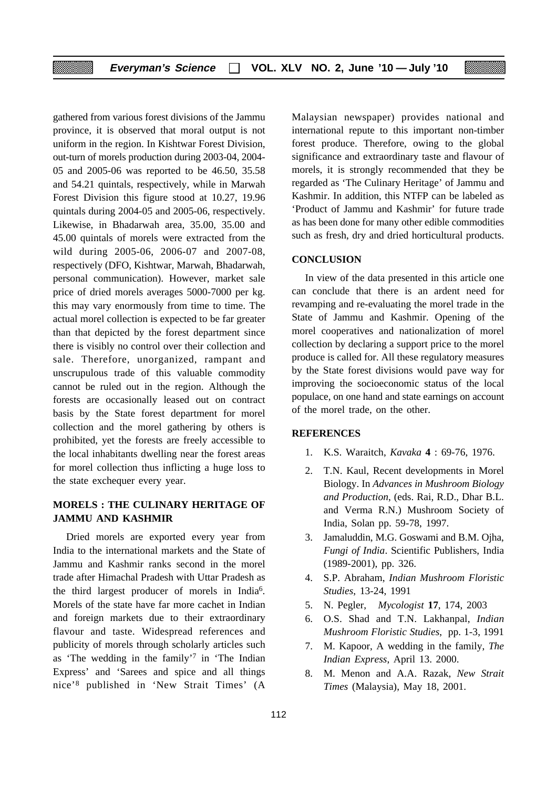gathered from various forest divisions of the Jammu province, it is observed that moral output is not uniform in the region. In Kishtwar Forest Division, out-turn of morels production during 2003-04, 2004- 05 and 2005-06 was reported to be 46.50, 35.58 and 54.21 quintals, respectively, while in Marwah Forest Division this figure stood at 10.27, 19.96 quintals during 2004-05 and 2005-06, respectively. Likewise, in Bhadarwah area, 35.00, 35.00 and 45.00 quintals of morels were extracted from the wild during 2005-06, 2006-07 and 2007-08, respectively (DFO, Kishtwar, Marwah, Bhadarwah, personal communication). However, market sale price of dried morels averages 5000-7000 per kg. this may vary enormously from time to time. The actual morel collection is expected to be far greater than that depicted by the forest department since there is visibly no control over their collection and sale. Therefore, unorganized, rampant and unscrupulous trade of this valuable commodity cannot be ruled out in the region. Although the forests are occasionally leased out on contract basis by the State forest department for morel collection and the morel gathering by others is prohibited, yet the forests are freely accessible to the local inhabitants dwelling near the forest areas for morel collection thus inflicting a huge loss to the state exchequer every year.

### **MORELS : THE CULINARY HERITAGE OF JAMMU AND KASHMIR**

Dried morels are exported every year from India to the international markets and the State of Jammu and Kashmir ranks second in the morel trade after Himachal Pradesh with Uttar Pradesh as the third largest producer of morels in India6. Morels of the state have far more cachet in Indian and foreign markets due to their extraordinary flavour and taste. Widespread references and publicity of morels through scholarly articles such as 'The wedding in the family'7 in 'The Indian Express' and 'Sarees and spice and all things nice'8 published in 'New Strait Times' (A

Malaysian newspaper) provides national and international repute to this important non-timber forest produce. Therefore, owing to the global significance and extraordinary taste and flavour of morels, it is strongly recommended that they be regarded as 'The Culinary Heritage' of Jammu and Kashmir. In addition, this NTFP can be labeled as 'Product of Jammu and Kashmir' for future trade as has been done for many other edible commodities such as fresh, dry and dried horticultural products.

#### **CONCLUSION**

In view of the data presented in this article one can conclude that there is an ardent need for revamping and re-evaluating the morel trade in the State of Jammu and Kashmir. Opening of the morel cooperatives and nationalization of morel collection by declaring a support price to the morel produce is called for. All these regulatory measures by the State forest divisions would pave way for improving the socioeconomic status of the local populace, on one hand and state earnings on account of the morel trade, on the other.

#### **REFERENCES**

- 1. K.S. Waraitch, *Kavaka* **4** : 69-76, 1976.
- 2. T.N. Kaul, Recent developments in Morel Biology. In *Advances in Mushroom Biology and Production*, (eds. Rai, R.D., Dhar B.L. and Verma R.N.) Mushroom Society of India, Solan pp. 59-78, 1997.
- 3. Jamaluddin, M.G. Goswami and B.M. Ojha, *Fungi of India*. Scientific Publishers, India (1989-2001), pp. 326.
- 4. S.P. Abraham, *Indian Mushroom Floristic Studies*, 13-24, 1991
- 5. N. Pegler, *Mycologist* **17**, 174, 2003
- 6. O.S. Shad and T.N. Lakhanpal, *Indian Mushroom Floristic Studies*, pp. 1-3, 1991
- 7. M. Kapoor, A wedding in the family, *The Indian Express*, April 13. 2000.
- 8. M. Menon and A.A. Razak, *New Strait Times* (Malaysia), May 18, 2001.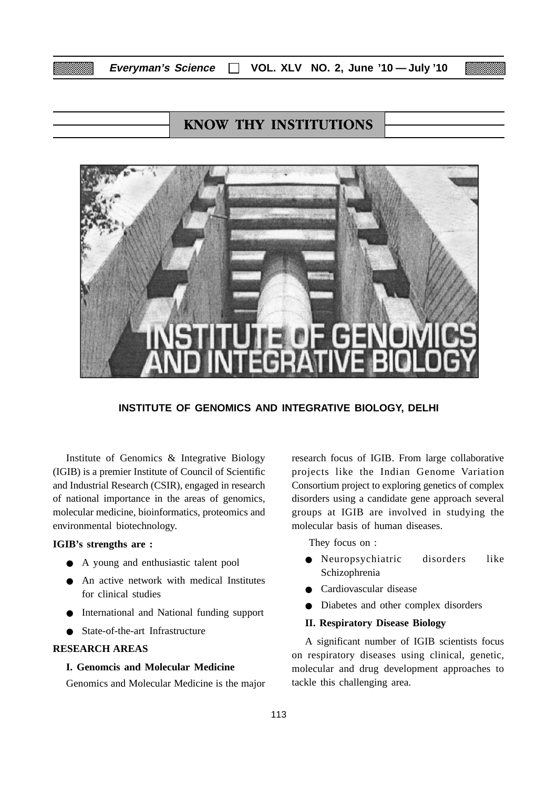## KNOW THY INSTITUTIONS



#### **INSTITUTE OF GENOMICS AND INTEGRATIVE BIOLOGY, DELHI**

Institute of Genomics & Integrative Biology (IGIB) is a premier Institute of Council of Scientific and Industrial Research (CSIR), engaged in research of national importance in the areas of genomics, molecular medicine, bioinformatics, proteomics and environmental biotechnology.

#### **IGIB's strengths are :**

- A young and enthusiastic talent pool
- An active network with medical Institutes for clinical studies
- International and National funding support
- State-of-the-art Infrastructure

#### **RESEARCH AREAS**

#### **I. Genomcis and Molecular Medicine**

Genomics and Molecular Medicine is the major

research focus of IGIB. From large collaborative projects like the Indian Genome Variation Consortium project to exploring genetics of complex disorders using a candidate gene approach several groups at IGIB are involved in studying the molecular basis of human diseases.

They focus on :

- Neuropsychiatric disorders like Schizophrenia
- Cardiovascular disease
- Diabetes and other complex disorders

#### **II. Respiratory Disease Biology**

A significant number of IGIB scientists focus on respiratory diseases using clinical, genetic, molecular and drug development approaches to tackle this challenging area.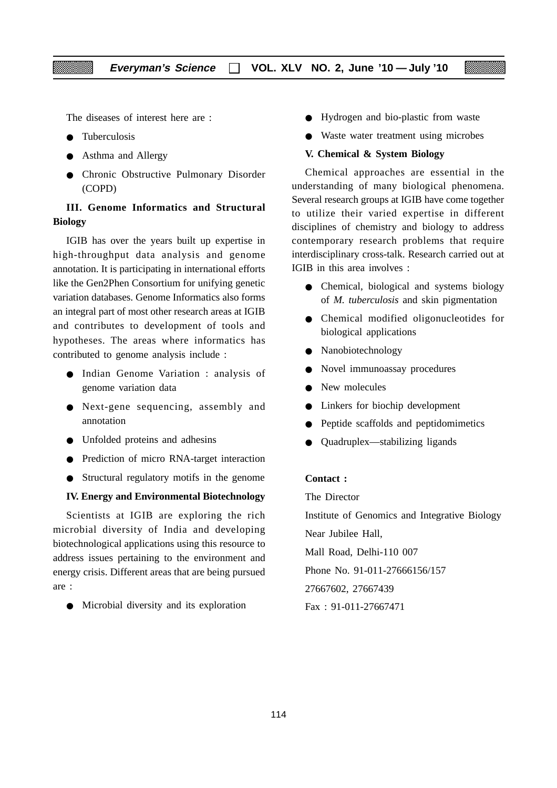The diseases of interest here are :

- Tuberculosis
- Asthma and Allergy
- Chronic Obstructive Pulmonary Disorder (COPD)

## **III. Genome Informatics and Structural Biology**

IGIB has over the years built up expertise in high-throughput data analysis and genome annotation. It is participating in international efforts like the Gen2Phen Consortium for unifying genetic variation databases. Genome Informatics also forms an integral part of most other research areas at IGIB and contributes to development of tools and hypotheses. The areas where informatics has contributed to genome analysis include :

- Indian Genome Variation : analysis of genome variation data
- Next-gene sequencing, assembly and annotation
- Unfolded proteins and adhesins
- Prediction of micro RNA-target interaction
- Structural regulatory motifs in the genome

#### **IV. Energy and Environmental Biotechnology**

Scientists at IGIB are exploring the rich microbial diversity of India and developing biotechnological applications using this resource to address issues pertaining to the environment and energy crisis. Different areas that are being pursued are :

● Microbial diversity and its exploration

- Hydrogen and bio-plastic from waste
- Waste water treatment using microbes

#### **V. Chemical & System Biology**

Chemical approaches are essential in the understanding of many biological phenomena. Several research groups at IGIB have come together to utilize their varied expertise in different disciplines of chemistry and biology to address contemporary research problems that require interdisciplinary cross-talk. Research carried out at IGIB in this area involves :

- Chemical, biological and systems biology of *M. tuberculosis* and skin pigmentation
- Chemical modified oligonucleotides for biological applications
- Nanobiotechnology
- Novel immunoassay procedures
- New molecules
- Linkers for biochip development
- Peptide scaffolds and peptidomimetics
- Quadruplex—stabilizing ligands

## **Contact :**

The Director Institute of Genomics and Integrative Biology Near Jubilee Hall, Mall Road, Delhi-110 007 Phone No. 91-011-27666156/157 27667602, 27667439 Fax : 91-011-27667471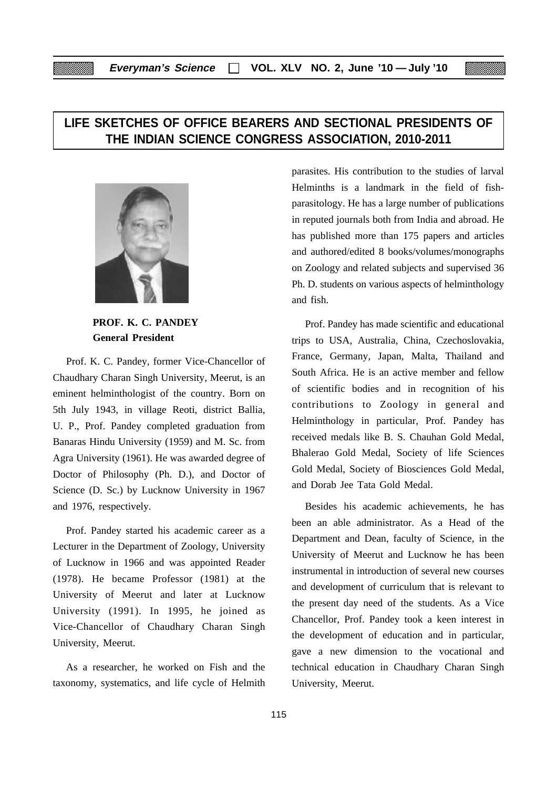## **LIFE SKETCHES OF OFFICE BEARERS AND SECTIONAL PRESIDENTS OF THE INDIAN SCIENCE CONGRESS ASSOCIATION, 2010-2011**



**PROF. K. C. PANDEY General President**

Prof. K. C. Pandey, former Vice-Chancellor of Chaudhary Charan Singh University, Meerut, is an eminent helminthologist of the country. Born on 5th July 1943, in village Reoti, district Ballia, U. P., Prof. Pandey completed graduation from Banaras Hindu University (1959) and M. Sc. from Agra University (1961). He was awarded degree of Doctor of Philosophy (Ph. D.), and Doctor of Science (D. Sc.) by Lucknow University in 1967 and 1976, respectively.

Prof. Pandey started his academic career as a Lecturer in the Department of Zoology, University of Lucknow in 1966 and was appointed Reader (1978). He became Professor (1981) at the University of Meerut and later at Lucknow University (1991). In 1995, he joined as Vice-Chancellor of Chaudhary Charan Singh University, Meerut.

As a researcher, he worked on Fish and the taxonomy, systematics, and life cycle of Helmith parasites. His contribution to the studies of larval Helminths is a landmark in the field of fishparasitology. He has a large number of publications in reputed journals both from India and abroad. He has published more than 175 papers and articles and authored/edited 8 books/volumes/monographs on Zoology and related subjects and supervised 36 Ph. D. students on various aspects of helminthology and fish.

Prof. Pandey has made scientific and educational trips to USA, Australia, China, Czechoslovakia, France, Germany, Japan, Malta, Thailand and South Africa. He is an active member and fellow of scientific bodies and in recognition of his contributions to Zoology in general and Helminthology in particular, Prof. Pandey has received medals like B. S. Chauhan Gold Medal, Bhalerao Gold Medal, Society of life Sciences Gold Medal, Society of Biosciences Gold Medal, and Dorab Jee Tata Gold Medal.

Besides his academic achievements, he has been an able administrator. As a Head of the Department and Dean, faculty of Science, in the University of Meerut and Lucknow he has been instrumental in introduction of several new courses and development of curriculum that is relevant to the present day need of the students. As a Vice Chancellor, Prof. Pandey took a keen interest in the development of education and in particular, gave a new dimension to the vocational and technical education in Chaudhary Charan Singh University, Meerut.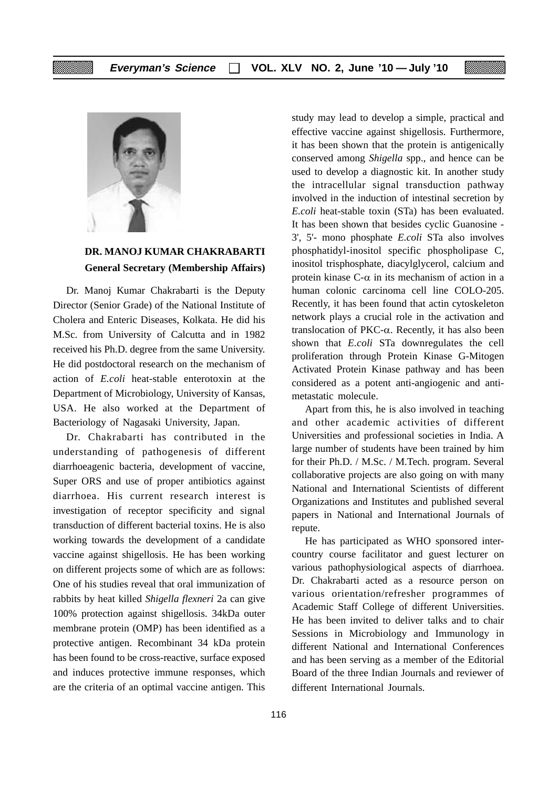

## **DR. MANOJ KUMAR CHAKRABARTI General Secretary (Membership Affairs)**

Dr. Manoj Kumar Chakrabarti is the Deputy Director (Senior Grade) of the National Institute of Cholera and Enteric Diseases, Kolkata. He did his M.Sc. from University of Calcutta and in 1982 received his Ph.D. degree from the same University. He did postdoctoral research on the mechanism of action of *E.coli* heat-stable enterotoxin at the Department of Microbiology, University of Kansas, USA. He also worked at the Department of Bacteriology of Nagasaki University, Japan.

Dr. Chakrabarti has contributed in the understanding of pathogenesis of different diarrhoeagenic bacteria, development of vaccine, Super ORS and use of proper antibiotics against diarrhoea. His current research interest is investigation of receptor specificity and signal transduction of different bacterial toxins. He is also working towards the development of a candidate vaccine against shigellosis. He has been working on different projects some of which are as follows: One of his studies reveal that oral immunization of rabbits by heat killed *Shigella flexneri* 2a can give 100% protection against shigellosis. 34kDa outer membrane protein (OMP) has been identified as a protective antigen. Recombinant 34 kDa protein has been found to be cross-reactive, surface exposed and induces protective immune responses, which are the criteria of an optimal vaccine antigen. This

study may lead to develop a simple, practical and effective vaccine against shigellosis. Furthermore, it has been shown that the protein is antigenically conserved among *Shigella* spp., and hence can be used to develop a diagnostic kit. In another study the intracellular signal transduction pathway involved in the induction of intestinal secretion by *E.coli* heat-stable toxin (STa) has been evaluated. It has been shown that besides cyclic Guanosine - 3', 5'- mono phosphate *E.coli* STa also involves phosphatidyl-inositol specific phospholipase C, inositol trisphosphate, diacylglycerol, calcium and protein kinase  $C-\alpha$  in its mechanism of action in a human colonic carcinoma cell line COLO-205. Recently, it has been found that actin cytoskeleton network plays a crucial role in the activation and translocation of PKC-α. Recently, it has also been shown that *E.coli* STa downregulates the cell proliferation through Protein Kinase G-Mitogen Activated Protein Kinase pathway and has been considered as a potent anti-angiogenic and antimetastatic molecule.

Apart from this, he is also involved in teaching and other academic activities of different Universities and professional societies in India. A large number of students have been trained by him for their Ph.D. / M.Sc. / M.Tech. program. Several collaborative projects are also going on with many National and International Scientists of different Organizations and Institutes and published several papers in National and International Journals of repute.

He has participated as WHO sponsored intercountry course facilitator and guest lecturer on various pathophysiological aspects of diarrhoea. Dr. Chakrabarti acted as a resource person on various orientation/refresher programmes of Academic Staff College of different Universities. He has been invited to deliver talks and to chair Sessions in Microbiology and Immunology in different National and International Conferences and has been serving as a member of the Editorial Board of the three Indian Journals and reviewer of different International Journals.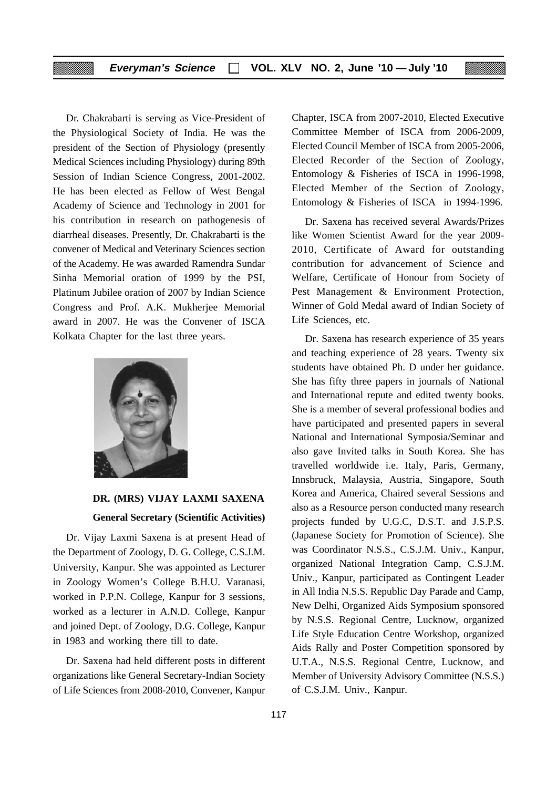Dr. Chakrabarti is serving as Vice-President of the Physiological Society of India. He was the president of the Section of Physiology (presently Medical Sciences including Physiology) during 89th Session of Indian Science Congress, 2001-2002. He has been elected as Fellow of West Bengal Academy of Science and Technology in 2001 for his contribution in research on pathogenesis of diarrheal diseases. Presently, Dr. Chakrabarti is the convener of Medical and Veterinary Sciences section of the Academy. He was awarded Ramendra Sundar Sinha Memorial oration of 1999 by the PSI, Platinum Jubilee oration of 2007 by Indian Science Congress and Prof. A.K. Mukherjee Memorial award in 2007. He was the Convener of ISCA Kolkata Chapter for the last three years.



## **DR. (MRS) VIJAY LAXMI SAXENA General Secretary (Scientific Activities)**

Dr. Vijay Laxmi Saxena is at present Head of the Department of Zoology, D. G. College, C.S.J.M. University, Kanpur. She was appointed as Lecturer in Zoology Women's College B.H.U. Varanasi, worked in P.P.N. College, Kanpur for 3 sessions, worked as a lecturer in A.N.D. College, Kanpur and joined Dept. of Zoology, D.G. College, Kanpur in 1983 and working there till to date.

Dr. Saxena had held different posts in different organizations like General Secretary-Indian Society of Life Sciences from 2008-2010, Convener, Kanpur Chapter, ISCA from 2007-2010, Elected Executive Committee Member of ISCA from 2006-2009, Elected Council Member of ISCA from 2005-2006, Elected Recorder of the Section of Zoology, Entomology & Fisheries of ISCA in 1996-1998, Elected Member of the Section of Zoology, Entomology & Fisheries of ISCA in 1994-1996.

Dr. Saxena has received several Awards/Prizes like Women Scientist Award for the year 2009- 2010, Certificate of Award for outstanding contribution for advancement of Science and Welfare, Certificate of Honour from Society of Pest Management & Environment Protection, Winner of Gold Medal award of Indian Society of Life Sciences, etc.

Dr. Saxena has research experience of 35 years and teaching experience of 28 years. Twenty six students have obtained Ph. D under her guidance. She has fifty three papers in journals of National and International repute and edited twenty books. She is a member of several professional bodies and have participated and presented papers in several National and International Symposia/Seminar and also gave Invited talks in South Korea. She has travelled worldwide i.e. Italy, Paris, Germany, Innsbruck, Malaysia, Austria, Singapore, South Korea and America, Chaired several Sessions and also as a Resource person conducted many research projects funded by U.G.C, D.S.T. and J.S.P.S. (Japanese Society for Promotion of Science). She was Coordinator N.S.S., C.S.J.M. Univ., Kanpur, organized National Integration Camp, C.S.J.M. Univ., Kanpur, participated as Contingent Leader in All India N.S.S. Republic Day Parade and Camp, New Delhi, Organized Aids Symposium sponsored by N.S.S. Regional Centre, Lucknow, organized Life Style Education Centre Workshop, organized Aids Rally and Poster Competition sponsored by U.T.A., N.S.S. Regional Centre, Lucknow, and Member of University Advisory Committee (N.S.S.) of C.S.J.M. Univ., Kanpur.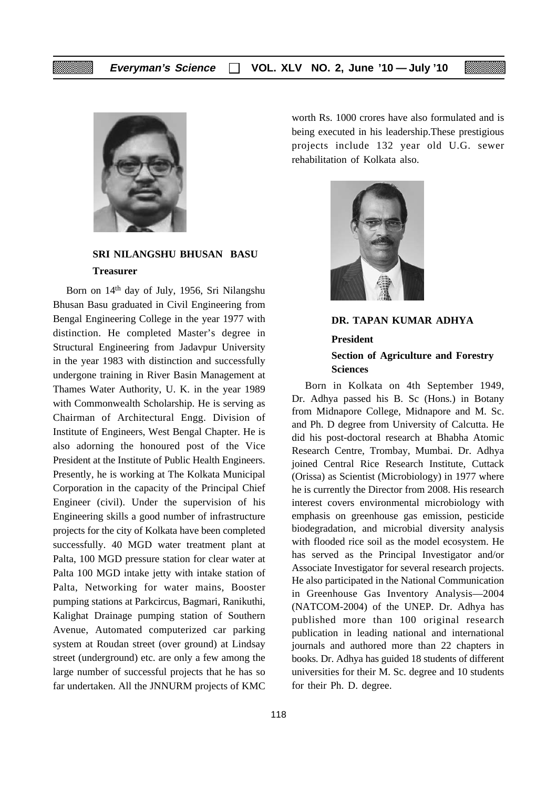

## **SRI NILANGSHU BHUSAN BASU Treasurer**

Born on 14th day of July, 1956, Sri Nilangshu Bhusan Basu graduated in Civil Engineering from Bengal Engineering College in the year 1977 with distinction. He completed Master's degree in Structural Engineering from Jadavpur University in the year 1983 with distinction and successfully undergone training in River Basin Management at Thames Water Authority, U. K. in the year 1989 with Commonwealth Scholarship. He is serving as Chairman of Architectural Engg. Division of Institute of Engineers, West Bengal Chapter. He is also adorning the honoured post of the Vice President at the Institute of Public Health Engineers. Presently, he is working at The Kolkata Municipal Corporation in the capacity of the Principal Chief Engineer (civil). Under the supervision of his Engineering skills a good number of infrastructure projects for the city of Kolkata have been completed successfully. 40 MGD water treatment plant at Palta, 100 MGD pressure station for clear water at Palta 100 MGD intake jetty with intake station of Palta, Networking for water mains, Booster pumping stations at Parkcircus, Bagmari, Ranikuthi, Kalighat Drainage pumping station of Southern Avenue, Automated computerized car parking system at Roudan street (over ground) at Lindsay street (underground) etc. are only a few among the large number of successful projects that he has so far undertaken. All the JNNURM projects of KMC worth Rs. 1000 crores have also formulated and is being executed in his leadership.These prestigious projects include 132 year old U.G. sewer rehabilitation of Kolkata also.



**DR. TAPAN KUMAR ADHYA**

#### **President**

#### **Section of Agriculture and Forestry Sciences**

Born in Kolkata on 4th September 1949, Dr. Adhya passed his B. Sc (Hons.) in Botany from Midnapore College, Midnapore and M. Sc. and Ph. D degree from University of Calcutta. He did his post-doctoral research at Bhabha Atomic Research Centre, Trombay, Mumbai. Dr. Adhya joined Central Rice Research Institute, Cuttack (Orissa) as Scientist (Microbiology) in 1977 where he is currently the Director from 2008. His research interest covers environmental microbiology with emphasis on greenhouse gas emission, pesticide biodegradation, and microbial diversity analysis with flooded rice soil as the model ecosystem. He has served as the Principal Investigator and/or Associate Investigator for several research projects. He also participated in the National Communication in Greenhouse Gas Inventory Analysis—2004 (NATCOM-2004) of the UNEP. Dr. Adhya has published more than 100 original research publication in leading national and international journals and authored more than 22 chapters in books. Dr. Adhya has guided 18 students of different universities for their M. Sc. degree and 10 students for their Ph. D. degree.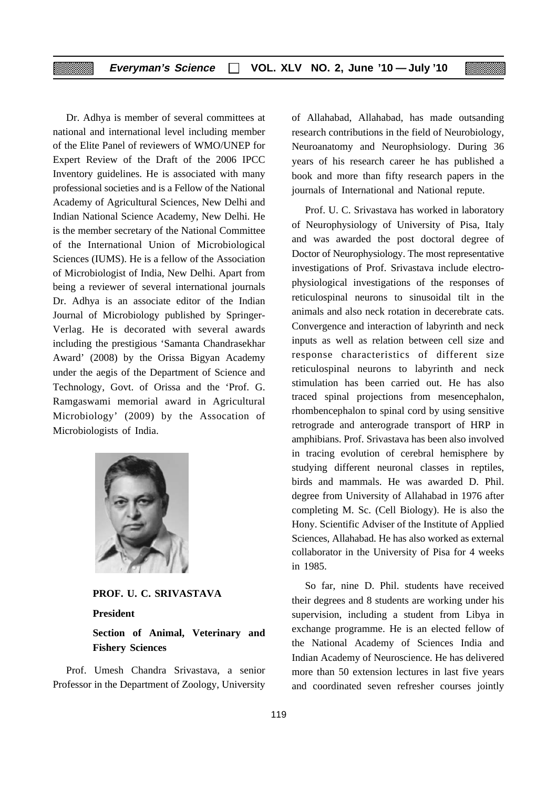Dr. Adhya is member of several committees at national and international level including member of the Elite Panel of reviewers of WMO/UNEP for Expert Review of the Draft of the 2006 IPCC Inventory guidelines. He is associated with many professional societies and is a Fellow of the National Academy of Agricultural Sciences, New Delhi and Indian National Science Academy, New Delhi. He is the member secretary of the National Committee of the International Union of Microbiological Sciences (IUMS). He is a fellow of the Association of Microbiologist of India, New Delhi. Apart from being a reviewer of several international journals Dr. Adhya is an associate editor of the Indian Journal of Microbiology published by Springer-Verlag. He is decorated with several awards including the prestigious 'Samanta Chandrasekhar Award' (2008) by the Orissa Bigyan Academy under the aegis of the Department of Science and Technology, Govt. of Orissa and the 'Prof. G. Ramgaswami memorial award in Agricultural Microbiology' (2009) by the Assocation of Microbiologists of India.



**PROF. U. C. SRIVASTAVA President**

**Section of Animal, Veterinary and Fishery Sciences**

Prof. Umesh Chandra Srivastava, a senior Professor in the Department of Zoology, University

of Allahabad, Allahabad, has made outsanding research contributions in the field of Neurobiology, Neuroanatomy and Neurophsiology. During 36 years of his research career he has published a book and more than fifty research papers in the journals of International and National repute.

Prof. U. C. Srivastava has worked in laboratory of Neurophysiology of University of Pisa, Italy and was awarded the post doctoral degree of Doctor of Neurophysiology. The most representative investigations of Prof. Srivastava include electrophysiological investigations of the responses of reticulospinal neurons to sinusoidal tilt in the animals and also neck rotation in decerebrate cats. Convergence and interaction of labyrinth and neck inputs as well as relation between cell size and response characteristics of different size reticulospinal neurons to labyrinth and neck stimulation has been carried out. He has also traced spinal projections from mesencephalon, rhombencephalon to spinal cord by using sensitive retrograde and anterograde transport of HRP in amphibians. Prof. Srivastava has been also involved in tracing evolution of cerebral hemisphere by studying different neuronal classes in reptiles, birds and mammals. He was awarded D. Phil. degree from University of Allahabad in 1976 after completing M. Sc. (Cell Biology). He is also the Hony. Scientific Adviser of the Institute of Applied Sciences, Allahabad. He has also worked as external collaborator in the University of Pisa for 4 weeks in 1985.

So far, nine D. Phil. students have received their degrees and 8 students are working under his supervision, including a student from Libya in exchange programme. He is an elected fellow of the National Academy of Sciences India and Indian Academy of Neuroscience. He has delivered more than 50 extension lectures in last five years and coordinated seven refresher courses jointly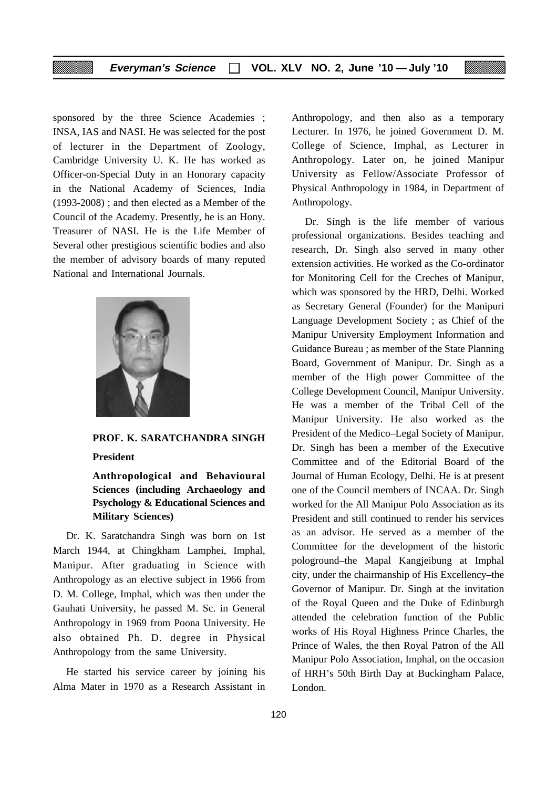sponsored by the three Science Academies ; INSA, IAS and NASI. He was selected for the post of lecturer in the Department of Zoology, Cambridge University U. K. He has worked as Officer-on-Special Duty in an Honorary capacity in the National Academy of Sciences, India (1993-2008) ; and then elected as a Member of the Council of the Academy. Presently, he is an Hony. Treasurer of NASI. He is the Life Member of Several other prestigious scientific bodies and also the member of advisory boards of many reputed National and International Journals.



#### **PROF. K. SARATCHANDRA SINGH**

**President**

**Anthropological and Behavioural Sciences (including Archaeology and Psychology & Educational Sciences and Military Sciences)**

Dr. K. Saratchandra Singh was born on 1st March 1944, at Chingkham Lamphei, Imphal, Manipur. After graduating in Science with Anthropology as an elective subject in 1966 from D. M. College, Imphal, which was then under the Gauhati University, he passed M. Sc. in General Anthropology in 1969 from Poona University. He also obtained Ph. D. degree in Physical Anthropology from the same University.

He started his service career by joining his Alma Mater in 1970 as a Research Assistant in Anthropology, and then also as a temporary Lecturer. In 1976, he joined Government D. M. College of Science, Imphal, as Lecturer in Anthropology. Later on, he joined Manipur University as Fellow/Associate Professor of Physical Anthropology in 1984, in Department of Anthropology.

Dr. Singh is the life member of various professional organizations. Besides teaching and research, Dr. Singh also served in many other extension activities. He worked as the Co-ordinator for Monitoring Cell for the Creches of Manipur, which was sponsored by the HRD, Delhi. Worked as Secretary General (Founder) for the Manipuri Language Development Society ; as Chief of the Manipur University Employment Information and Guidance Bureau ; as member of the State Planning Board, Government of Manipur. Dr. Singh as a member of the High power Committee of the College Development Council, Manipur University. He was a member of the Tribal Cell of the Manipur University. He also worked as the President of the Medico–Legal Society of Manipur. Dr. Singh has been a member of the Executive Committee and of the Editorial Board of the Journal of Human Ecology, Delhi. He is at present one of the Council members of INCAA. Dr. Singh worked for the All Manipur Polo Association as its President and still continued to render his services as an advisor. He served as a member of the Committee for the development of the historic pologround–the Mapal Kangjeibung at Imphal city, under the chairmanship of His Excellency–the Governor of Manipur. Dr. Singh at the invitation of the Royal Queen and the Duke of Edinburgh attended the celebration function of the Public works of His Royal Highness Prince Charles, the Prince of Wales, the then Royal Patron of the All Manipur Polo Association, Imphal, on the occasion of HRH's 50th Birth Day at Buckingham Palace, London.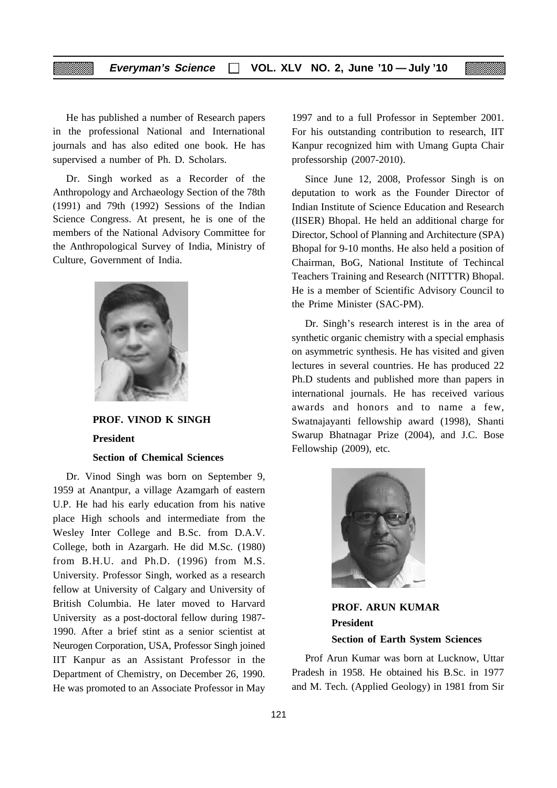He has published a number of Research papers in the professional National and International journals and has also edited one book. He has supervised a number of Ph. D. Scholars.

Dr. Singh worked as a Recorder of the Anthropology and Archaeology Section of the 78th (1991) and 79th (1992) Sessions of the Indian Science Congress. At present, he is one of the members of the National Advisory Committee for the Anthropological Survey of India, Ministry of Culture, Government of India.



**PROF. VINOD K SINGH President Section of Chemical Sciences**

Dr. Vinod Singh was born on September 9, 1959 at Anantpur, a village Azamgarh of eastern U.P. He had his early education from his native place High schools and intermediate from the Wesley Inter College and B.Sc. from D.A.V. College, both in Azargarh. He did M.Sc. (1980) from B.H.U. and Ph.D. (1996) from M.S. University. Professor Singh, worked as a research fellow at University of Calgary and University of British Columbia. He later moved to Harvard University as a post-doctoral fellow during 1987- 1990. After a brief stint as a senior scientist at Neurogen Corporation, USA, Professor Singh joined IIT Kanpur as an Assistant Professor in the Department of Chemistry, on December 26, 1990. He was promoted to an Associate Professor in May

1997 and to a full Professor in September 2001. For his outstanding contribution to research, IIT Kanpur recognized him with Umang Gupta Chair professorship (2007-2010).

Since June 12, 2008, Professor Singh is on deputation to work as the Founder Director of Indian Institute of Science Education and Research (IISER) Bhopal. He held an additional charge for Director, School of Planning and Architecture (SPA) Bhopal for 9-10 months. He also held a position of Chairman, BoG, National Institute of Techincal Teachers Training and Research (NITTTR) Bhopal. He is a member of Scientific Advisory Council to the Prime Minister (SAC-PM).

Dr. Singh's research interest is in the area of synthetic organic chemistry with a special emphasis on asymmetric synthesis. He has visited and given lectures in several countries. He has produced 22 Ph.D students and published more than papers in international journals. He has received various awards and honors and to name a few, Swatnajayanti fellowship award (1998), Shanti Swarup Bhatnagar Prize (2004), and J.C. Bose Fellowship (2009), etc.



**PROF. ARUN KUMAR President Section of Earth System Sciences**

Prof Arun Kumar was born at Lucknow, Uttar Pradesh in 1958. He obtained his B.Sc. in 1977 and M. Tech. (Applied Geology) in 1981 from Sir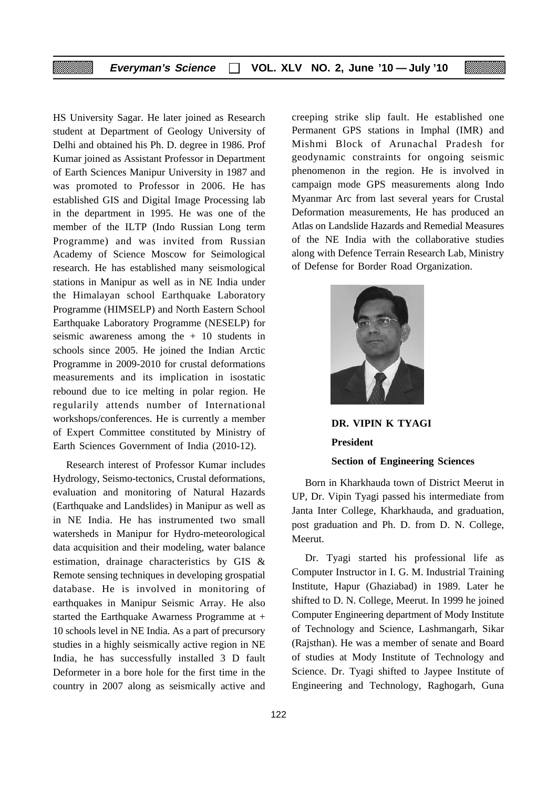HS University Sagar. He later joined as Research student at Department of Geology University of Delhi and obtained his Ph. D. degree in 1986. Prof Kumar joined as Assistant Professor in Department of Earth Sciences Manipur University in 1987 and was promoted to Professor in 2006. He has established GIS and Digital Image Processing lab in the department in 1995. He was one of the member of the ILTP (Indo Russian Long term Programme) and was invited from Russian Academy of Science Moscow for Seimological research. He has established many seismological stations in Manipur as well as in NE India under the Himalayan school Earthquake Laboratory Programme (HIMSELP) and North Eastern School Earthquake Laboratory Programme (NESELP) for seismic awareness among the + 10 students in schools since 2005. He joined the Indian Arctic Programme in 2009-2010 for crustal deformations measurements and its implication in isostatic rebound due to ice melting in polar region. He regularily attends number of International workshops/conferences. He is currently a member of Expert Committee constituted by Ministry of Earth Sciences Government of India (2010-12).

Research interest of Professor Kumar includes Hydrology, Seismo-tectonics, Crustal deformations, evaluation and monitoring of Natural Hazards (Earthquake and Landslides) in Manipur as well as in NE India. He has instrumented two small watersheds in Manipur for Hydro-meteorological data acquisition and their modeling, water balance estimation, drainage characteristics by GIS & Remote sensing techniques in developing grospatial database. He is involved in monitoring of earthquakes in Manipur Seismic Array. He also started the Earthquake Awarness Programme at + 10 schools level in NE India. As a part of precursory studies in a highly seismically active region in NE India, he has successfully installed 3 D fault Deformeter in a bore hole for the first time in the country in 2007 along as seismically active and creeping strike slip fault. He established one Permanent GPS stations in Imphal (IMR) and Mishmi Block of Arunachal Pradesh for geodynamic constraints for ongoing seismic phenomenon in the region. He is involved in campaign mode GPS measurements along Indo Myanmar Arc from last several years for Crustal Deformation measurements, He has produced an Atlas on Landslide Hazards and Remedial Measures of the NE India with the collaborative studies along with Defence Terrain Research Lab, Ministry of Defense for Border Road Organization.



**DR. VIPIN K TYAGI President Section of Engineering Sciences**

Born in Kharkhauda town of District Meerut in UP, Dr. Vipin Tyagi passed his intermediate from Janta Inter College, Kharkhauda, and graduation, post graduation and Ph. D. from D. N. College, Meerut.

Dr. Tyagi started his professional life as Computer Instructor in I. G. M. Industrial Training Institute, Hapur (Ghaziabad) in 1989. Later he shifted to D. N. College, Meerut. In 1999 he joined Computer Engineering department of Mody Institute of Technology and Science, Lashmangarh, Sikar (Rajsthan). He was a member of senate and Board of studies at Mody Institute of Technology and Science. Dr. Tyagi shifted to Jaypee Institute of Engineering and Technology, Raghogarh, Guna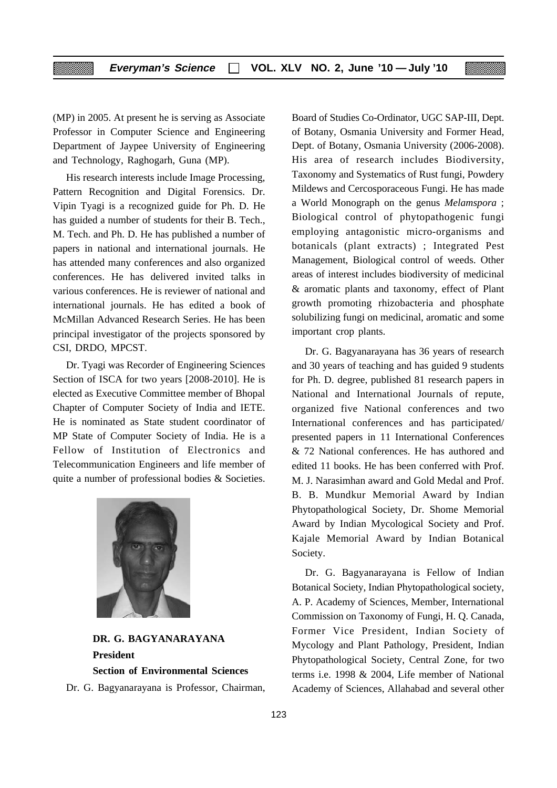(MP) in 2005. At present he is serving as Associate Professor in Computer Science and Engineering Department of Jaypee University of Engineering and Technology, Raghogarh, Guna (MP).

His research interests include Image Processing, Pattern Recognition and Digital Forensics. Dr. Vipin Tyagi is a recognized guide for Ph. D. He has guided a number of students for their B. Tech., M. Tech. and Ph. D. He has published a number of papers in national and international journals. He has attended many conferences and also organized conferences. He has delivered invited talks in various conferences. He is reviewer of national and international journals. He has edited a book of McMillan Advanced Research Series. He has been principal investigator of the projects sponsored by CSI, DRDO, MPCST.

Dr. Tyagi was Recorder of Engineering Sciences Section of ISCA for two years [2008-2010]. He is elected as Executive Committee member of Bhopal Chapter of Computer Society of India and IETE. He is nominated as State student coordinator of MP State of Computer Society of India. He is a Fellow of Institution of Electronics and Telecommunication Engineers and life member of quite a number of professional bodies & Societies.



**DR. G. BAGYANARAYANA President Section of Environmental Sciences**

Dr. G. Bagyanarayana is Professor, Chairman,

Board of Studies Co-Ordinator, UGC SAP-III, Dept. of Botany, Osmania University and Former Head, Dept. of Botany, Osmania University (2006-2008). His area of research includes Biodiversity, Taxonomy and Systematics of Rust fungi, Powdery Mildews and Cercosporaceous Fungi. He has made a World Monograph on the genus *Melamspora* ; Biological control of phytopathogenic fungi employing antagonistic micro-organisms and botanicals (plant extracts) ; Integrated Pest Management, Biological control of weeds. Other areas of interest includes biodiversity of medicinal & aromatic plants and taxonomy, effect of Plant growth promoting rhizobacteria and phosphate solubilizing fungi on medicinal, aromatic and some important crop plants.

Dr. G. Bagyanarayana has 36 years of research and 30 years of teaching and has guided 9 students for Ph. D. degree, published 81 research papers in National and International Journals of repute, organized five National conferences and two International conferences and has participated/ presented papers in 11 International Conferences & 72 National conferences. He has authored and edited 11 books. He has been conferred with Prof. M. J. Narasimhan award and Gold Medal and Prof. B. B. Mundkur Memorial Award by Indian Phytopathological Society, Dr. Shome Memorial Award by Indian Mycological Society and Prof. Kajale Memorial Award by Indian Botanical Society.

Dr. G. Bagyanarayana is Fellow of Indian Botanical Society, Indian Phytopathological society, A. P. Academy of Sciences, Member, International Commission on Taxonomy of Fungi, H. Q. Canada, Former Vice President, Indian Society of Mycology and Plant Pathology, President, Indian Phytopathological Society, Central Zone, for two terms i.e. 1998 & 2004, Life member of National Academy of Sciences, Allahabad and several other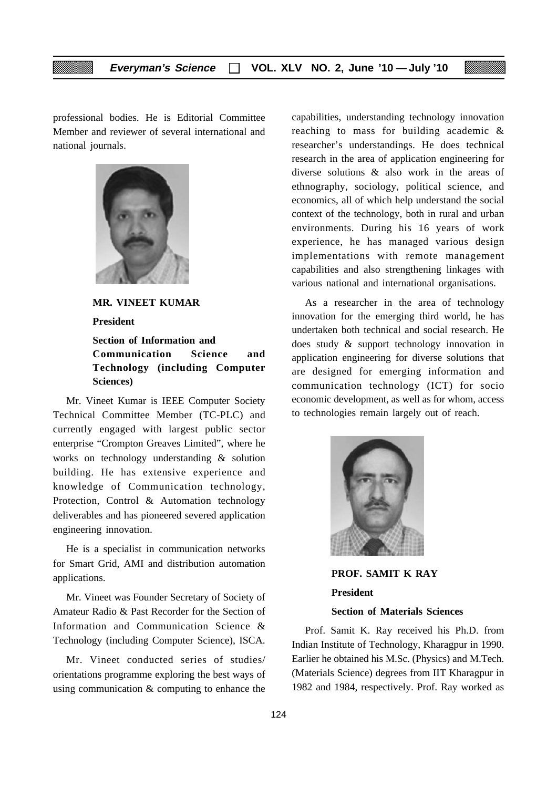professional bodies. He is Editorial Committee Member and reviewer of several international and national journals.



**MR. VINEET KUMAR President Section of Information and Communication Science and Technology (including Computer Sciences)**

Mr. Vineet Kumar is IEEE Computer Society Technical Committee Member (TC-PLC) and currently engaged with largest public sector enterprise "Crompton Greaves Limited", where he works on technology understanding & solution building. He has extensive experience and knowledge of Communication technology, Protection, Control & Automation technology deliverables and has pioneered severed application engineering innovation.

He is a specialist in communication networks for Smart Grid, AMI and distribution automation applications.

Mr. Vineet was Founder Secretary of Society of Amateur Radio & Past Recorder for the Section of Information and Communication Science & Technology (including Computer Science), ISCA.

Mr. Vineet conducted series of studies/ orientations programme exploring the best ways of using communication & computing to enhance the

capabilities, understanding technology innovation reaching to mass for building academic & researcher's understandings. He does technical research in the area of application engineering for diverse solutions & also work in the areas of ethnography, sociology, political science, and economics, all of which help understand the social context of the technology, both in rural and urban environments. During his 16 years of work experience, he has managed various design implementations with remote management capabilities and also strengthening linkages with various national and international organisations.

As a researcher in the area of technology innovation for the emerging third world, he has undertaken both technical and social research. He does study & support technology innovation in application engineering for diverse solutions that are designed for emerging information and communication technology (ICT) for socio economic development, as well as for whom, access to technologies remain largely out of reach.



**PROF. SAMIT K RAY President Section of Materials Sciences**

Prof. Samit K. Ray received his Ph.D. from Indian Institute of Technology, Kharagpur in 1990. Earlier he obtained his M.Sc. (Physics) and M.Tech. (Materials Science) degrees from IIT Kharagpur in 1982 and 1984, respectively. Prof. Ray worked as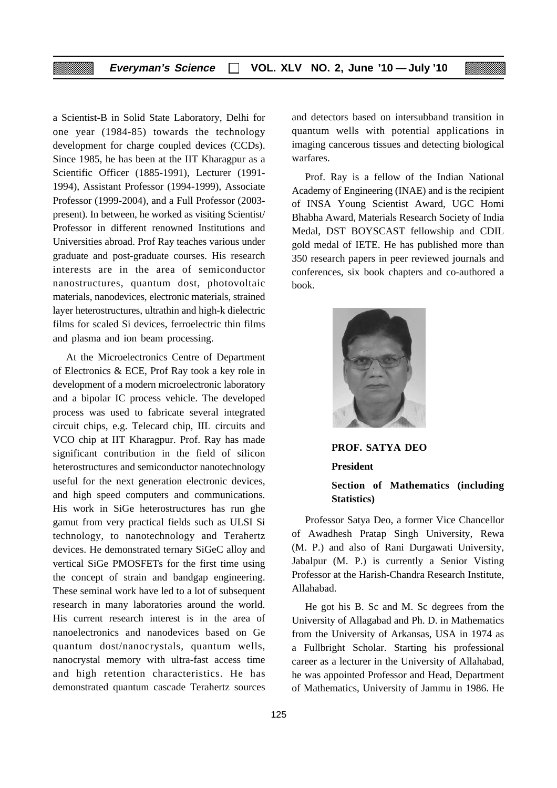a Scientist-B in Solid State Laboratory, Delhi for one year (1984-85) towards the technology development for charge coupled devices (CCDs). Since 1985, he has been at the IIT Kharagpur as a Scientific Officer (1885-1991), Lecturer (1991- 1994), Assistant Professor (1994-1999), Associate Professor (1999-2004), and a Full Professor (2003 present). In between, he worked as visiting Scientist/ Professor in different renowned Institutions and Universities abroad. Prof Ray teaches various under graduate and post-graduate courses. His research interests are in the area of semiconductor nanostructures, quantum dost, photovoltaic materials, nanodevices, electronic materials, strained layer heterostructures, ultrathin and high-k dielectric films for scaled Si devices, ferroelectric thin films and plasma and ion beam processing.

At the Microelectronics Centre of Department of Electronics & ECE, Prof Ray took a key role in development of a modern microelectronic laboratory and a bipolar IC process vehicle. The developed process was used to fabricate several integrated circuit chips, e.g. Telecard chip, IIL circuits and VCO chip at IIT Kharagpur. Prof. Ray has made significant contribution in the field of silicon heterostructures and semiconductor nanotechnology useful for the next generation electronic devices, and high speed computers and communications. His work in SiGe heterostructures has run ghe gamut from very practical fields such as ULSI Si technology, to nanotechnology and Terahertz devices. He demonstrated ternary SiGeC alloy and vertical SiGe PMOSFETs for the first time using the concept of strain and bandgap engineering. These seminal work have led to a lot of subsequent research in many laboratories around the world. His current research interest is in the area of nanoelectronics and nanodevices based on Ge quantum dost/nanocrystals, quantum wells, nanocrystal memory with ultra-fast access time and high retention characteristics. He has demonstrated quantum cascade Terahertz sources

and detectors based on intersubband transition in quantum wells with potential applications in imaging cancerous tissues and detecting biological warfares.

Prof. Ray is a fellow of the Indian National Academy of Engineering (INAE) and is the recipient of INSA Young Scientist Award, UGC Homi Bhabha Award, Materials Research Society of India Medal, DST BOYSCAST fellowship and CDIL gold medal of IETE. He has published more than 350 research papers in peer reviewed journals and conferences, six book chapters and co-authored a book.



## **PROF. SATYA DEO President Section of Mathematics (including Statistics)**

Professor Satya Deo, a former Vice Chancellor of Awadhesh Pratap Singh University, Rewa (M. P.) and also of Rani Durgawati University, Jabalpur (M. P.) is currently a Senior Visting Professor at the Harish-Chandra Research Institute, Allahabad.

He got his B. Sc and M. Sc degrees from the University of Allagabad and Ph. D. in Mathematics from the University of Arkansas, USA in 1974 as a Fullbright Scholar. Starting his professional career as a lecturer in the University of Allahabad, he was appointed Professor and Head, Department of Mathematics, University of Jammu in 1986. He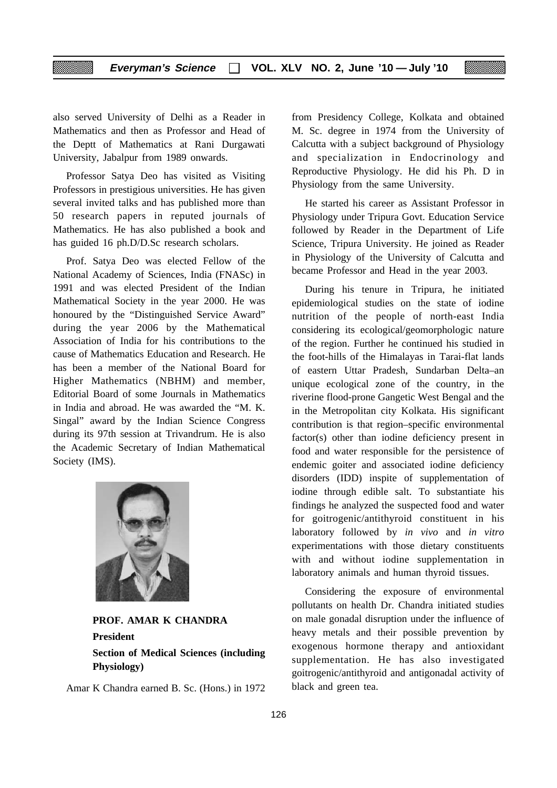also served University of Delhi as a Reader in Mathematics and then as Professor and Head of the Deptt of Mathematics at Rani Durgawati University, Jabalpur from 1989 onwards.

Professor Satya Deo has visited as Visiting Professors in prestigious universities. He has given several invited talks and has published more than 50 research papers in reputed journals of Mathematics. He has also published a book and has guided 16 ph.D/D.Sc research scholars.

Prof. Satya Deo was elected Fellow of the National Academy of Sciences, India (FNASc) in 1991 and was elected President of the Indian Mathematical Society in the year 2000. He was honoured by the "Distinguished Service Award" during the year 2006 by the Mathematical Association of India for his contributions to the cause of Mathematics Education and Research. He has been a member of the National Board for Higher Mathematics (NBHM) and member, Editorial Board of some Journals in Mathematics in India and abroad. He was awarded the "M. K. Singal" award by the Indian Science Congress during its 97th session at Trivandrum. He is also the Academic Secretary of Indian Mathematical Society (IMS).



**PROF. AMAR K CHANDRA President Section of Medical Sciences (including Physiology)**

Amar K Chandra earned B. Sc. (Hons.) in 1972

from Presidency College, Kolkata and obtained M. Sc. degree in 1974 from the University of Calcutta with a subject background of Physiology and specialization in Endocrinology and Reproductive Physiology. He did his Ph. D in Physiology from the same University.

He started his career as Assistant Professor in Physiology under Tripura Govt. Education Service followed by Reader in the Department of Life Science, Tripura University. He joined as Reader in Physiology of the University of Calcutta and became Professor and Head in the year 2003.

During his tenure in Tripura, he initiated epidemiological studies on the state of iodine nutrition of the people of north-east India considering its ecological/geomorphologic nature of the region. Further he continued his studied in the foot-hills of the Himalayas in Tarai-flat lands of eastern Uttar Pradesh, Sundarban Delta–an unique ecological zone of the country, in the riverine flood-prone Gangetic West Bengal and the in the Metropolitan city Kolkata. His significant contribution is that region–specific environmental factor(s) other than iodine deficiency present in food and water responsible for the persistence of endemic goiter and associated iodine deficiency disorders (IDD) inspite of supplementation of iodine through edible salt. To substantiate his findings he analyzed the suspected food and water for goitrogenic/antithyroid constituent in his laboratory followed by *in vivo* and *in vitro* experimentations with those dietary constituents with and without iodine supplementation in laboratory animals and human thyroid tissues.

Considering the exposure of environmental pollutants on health Dr. Chandra initiated studies on male gonadal disruption under the influence of heavy metals and their possible prevention by exogenous hormone therapy and antioxidant supplementation. He has also investigated goitrogenic/antithyroid and antigonadal activity of black and green tea.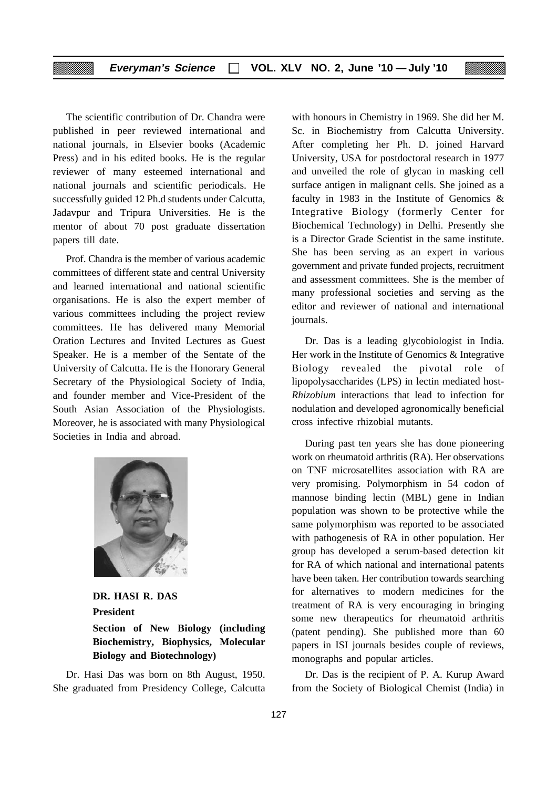The scientific contribution of Dr. Chandra were published in peer reviewed international and national journals, in Elsevier books (Academic Press) and in his edited books. He is the regular reviewer of many esteemed international and national journals and scientific periodicals. He successfully guided 12 Ph.d students under Calcutta, Jadavpur and Tripura Universities. He is the mentor of about 70 post graduate dissertation papers till date.

Prof. Chandra is the member of various academic committees of different state and central University and learned international and national scientific organisations. He is also the expert member of various committees including the project review committees. He has delivered many Memorial Oration Lectures and Invited Lectures as Guest Speaker. He is a member of the Sentate of the University of Calcutta. He is the Honorary General Secretary of the Physiological Society of India, and founder member and Vice-President of the South Asian Association of the Physiologists. Moreover, he is associated with many Physiological Societies in India and abroad.



**DR. HASI R. DAS President**

## **Section of New Biology (including Biochemistry, Biophysics, Molecular Biology and Biotechnology)**

Dr. Hasi Das was born on 8th August, 1950. She graduated from Presidency College, Calcutta with honours in Chemistry in 1969. She did her M. Sc. in Biochemistry from Calcutta University. After completing her Ph. D. joined Harvard University, USA for postdoctoral research in 1977 and unveiled the role of glycan in masking cell surface antigen in malignant cells. She joined as a faculty in 1983 in the Institute of Genomics & Integrative Biology (formerly Center for Biochemical Technology) in Delhi. Presently she is a Director Grade Scientist in the same institute. She has been serving as an expert in various government and private funded projects, recruitment and assessment committees. She is the member of many professional societies and serving as the editor and reviewer of national and international journals.

Dr. Das is a leading glycobiologist in India. Her work in the Institute of Genomics & Integrative Biology revealed the pivotal role of lipopolysaccharides (LPS) in lectin mediated host-*Rhizobium* interactions that lead to infection for nodulation and developed agronomically beneficial cross infective rhizobial mutants.

During past ten years she has done pioneering work on rheumatoid arthritis (RA). Her observations on TNF microsatellites association with RA are very promising. Polymorphism in 54 codon of mannose binding lectin (MBL) gene in Indian population was shown to be protective while the same polymorphism was reported to be associated with pathogenesis of RA in other population. Her group has developed a serum-based detection kit for RA of which national and international patents have been taken. Her contribution towards searching for alternatives to modern medicines for the treatment of RA is very encouraging in bringing some new therapeutics for rheumatoid arthritis (patent pending). She published more than 60 papers in ISI journals besides couple of reviews, monographs and popular articles.

Dr. Das is the recipient of P. A. Kurup Award from the Society of Biological Chemist (India) in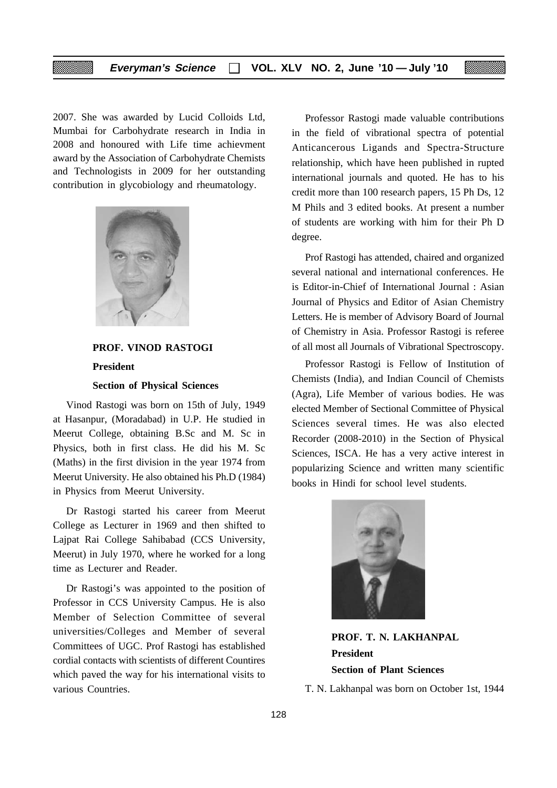2007. She was awarded by Lucid Colloids Ltd, Mumbai for Carbohydrate research in India in 2008 and honoured with Life time achievment award by the Association of Carbohydrate Chemists and Technologists in 2009 for her outstanding contribution in glycobiology and rheumatology.



**PROF. VINOD RASTOGI President Section of Physical Sciences**

Vinod Rastogi was born on 15th of July, 1949 at Hasanpur, (Moradabad) in U.P. He studied in Meerut College, obtaining B.Sc and M. Sc in Physics, both in first class. He did his M. Sc (Maths) in the first division in the year 1974 from Meerut University. He also obtained his Ph.D (1984) in Physics from Meerut University.

Dr Rastogi started his career from Meerut College as Lecturer in 1969 and then shifted to Lajpat Rai College Sahibabad (CCS University, Meerut) in July 1970, where he worked for a long time as Lecturer and Reader.

Dr Rastogi's was appointed to the position of Professor in CCS University Campus. He is also Member of Selection Committee of several universities/Colleges and Member of several Committees of UGC. Prof Rastogi has established cordial contacts with scientists of different Countires which paved the way for his international visits to various Countries.

Professor Rastogi made valuable contributions in the field of vibrational spectra of potential Anticancerous Ligands and Spectra-Structure relationship, which have heen published in rupted international journals and quoted. He has to his credit more than 100 research papers, 15 Ph Ds, 12 M Phils and 3 edited books. At present a number of students are working with him for their Ph D degree.

Prof Rastogi has attended, chaired and organized several national and international conferences. He is Editor-in-Chief of International Journal : Asian Journal of Physics and Editor of Asian Chemistry Letters. He is member of Advisory Board of Journal of Chemistry in Asia. Professor Rastogi is referee of all most all Journals of Vibrational Spectroscopy.

Professor Rastogi is Fellow of Institution of Chemists (India), and Indian Council of Chemists (Agra), Life Member of various bodies. He was elected Member of Sectional Committee of Physical Sciences several times. He was also elected Recorder (2008-2010) in the Section of Physical Sciences, ISCA. He has a very active interest in popularizing Science and written many scientific books in Hindi for school level students.



**PROF. T. N. LAKHANPAL President Section of Plant Sciences**

T. N. Lakhanpal was born on October 1st, 1944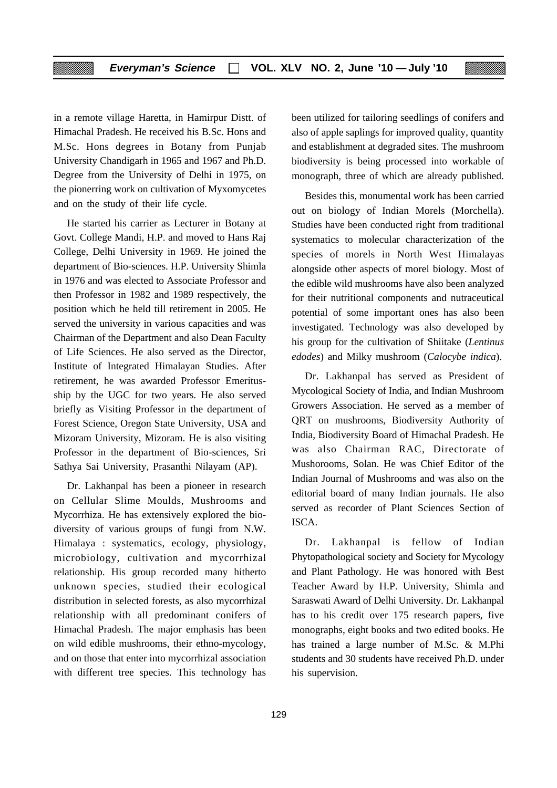in a remote village Haretta, in Hamirpur Distt. of Himachal Pradesh. He received his B.Sc. Hons and M.Sc. Hons degrees in Botany from Punjab University Chandigarh in 1965 and 1967 and Ph.D. Degree from the University of Delhi in 1975, on the pionerring work on cultivation of Myxomycetes and on the study of their life cycle.

He started his carrier as Lecturer in Botany at Govt. College Mandi, H.P. and moved to Hans Raj College, Delhi University in 1969. He joined the department of Bio-sciences. H.P. University Shimla in 1976 and was elected to Associate Professor and then Professor in 1982 and 1989 respectively, the position which he held till retirement in 2005. He served the university in various capacities and was Chairman of the Department and also Dean Faculty of Life Sciences. He also served as the Director, Institute of Integrated Himalayan Studies. After retirement, he was awarded Professor Emeritusship by the UGC for two years. He also served briefly as Visiting Professor in the department of Forest Science, Oregon State University, USA and Mizoram University, Mizoram. He is also visiting Professor in the department of Bio-sciences, Sri Sathya Sai University, Prasanthi Nilayam (AP).

Dr. Lakhanpal has been a pioneer in research on Cellular Slime Moulds, Mushrooms and Mycorrhiza. He has extensively explored the biodiversity of various groups of fungi from N.W. Himalaya : systematics, ecology, physiology, microbiology, cultivation and mycorrhizal relationship. His group recorded many hitherto unknown species, studied their ecological distribution in selected forests, as also mycorrhizal relationship with all predominant conifers of Himachal Pradesh. The major emphasis has been on wild edible mushrooms, their ethno-mycology, and on those that enter into mycorrhizal association with different tree species. This technology has

been utilized for tailoring seedlings of conifers and also of apple saplings for improved quality, quantity and establishment at degraded sites. The mushroom biodiversity is being processed into workable of monograph, three of which are already published.

▩

Besides this, monumental work has been carried out on biology of Indian Morels (Morchella). Studies have been conducted right from traditional systematics to molecular characterization of the species of morels in North West Himalayas alongside other aspects of morel biology. Most of the edible wild mushrooms have also been analyzed for their nutritional components and nutraceutical potential of some important ones has also been investigated. Technology was also developed by his group for the cultivation of Shiitake (*Lentinus edodes*) and Milky mushroom (*Calocybe indica*).

Dr. Lakhanpal has served as President of Mycological Society of India, and Indian Mushroom Growers Association. He served as a member of QRT on mushrooms, Biodiversity Authority of India, Biodiversity Board of Himachal Pradesh. He was also Chairman RAC, Directorate of Mushorooms, Solan. He was Chief Editor of the Indian Journal of Mushrooms and was also on the editorial board of many Indian journals. He also served as recorder of Plant Sciences Section of ISCA.

Dr. Lakhanpal is fellow of Indian Phytopathological society and Society for Mycology and Plant Pathology. He was honored with Best Teacher Award by H.P. University, Shimla and Saraswati Award of Delhi University. Dr. Lakhanpal has to his credit over 175 research papers, five monographs, eight books and two edited books. He has trained a large number of M.Sc. & M.Phi students and 30 students have received Ph.D. under his supervision.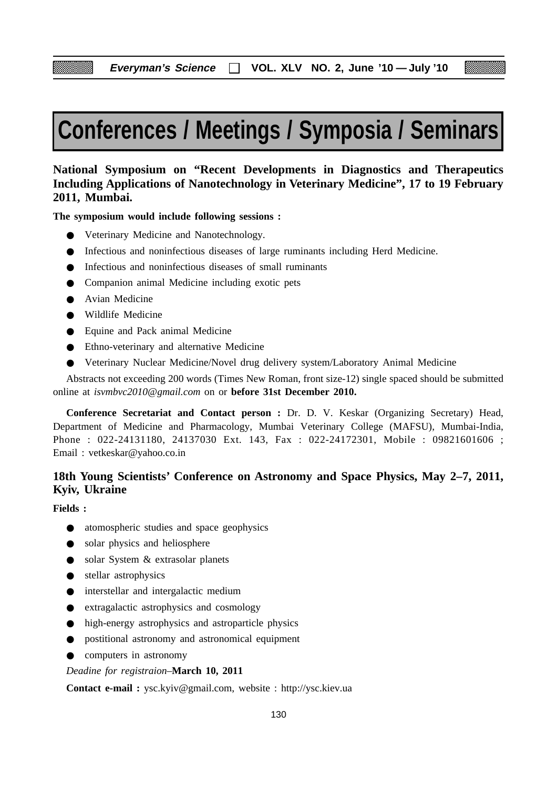# **Conferences / Meetings / Symposia / Seminars**

## **National Symposium on "Recent Developments in Diagnostics and Therapeutics Including Applications of Nanotechnology in Veterinary Medicine", 17 to 19 February 2011, Mumbai.**

**The symposium would include following sessions :**

- Veterinary Medicine and Nanotechnology.
- Infectious and noninfectious diseases of large ruminants including Herd Medicine.
- Infectious and noninfectious diseases of small ruminants
- Companion animal Medicine including exotic pets
- Avian Medicine
- Wildlife Medicine
- Equine and Pack animal Medicine
- Ethno-veterinary and alternative Medicine
- Veterinary Nuclear Medicine/Novel drug delivery system/Laboratory Animal Medicine

Abstracts not exceeding 200 words (Times New Roman, front size-12) single spaced should be submitted online at *isvmbvc2010@gmail.com* on or **before 31st December 2010.**

**Conference Secretariat and Contact person :** Dr. D. V. Keskar (Organizing Secretary) Head, Department of Medicine and Pharmacology, Mumbai Veterinary College (MAFSU), Mumbai-India, Phone : 022-24131180, 24137030 Ext. 143, Fax : 022-24172301, Mobile : 09821601606 ; Email : vetkeskar@yahoo.co.in

## **18th Young Scientists' Conference on Astronomy and Space Physics, May 2–7, 2011, Kyiv, Ukraine**

#### **Fields :**

- atomospheric studies and space geophysics
- solar physics and heliosphere
- solar System & extrasolar planets
- stellar astrophysics
- interstellar and intergalactic medium
- extragalactic astrophysics and cosmology
- high-energy astrophysics and astroparticle physics
- postitional astronomy and astronomical equipment
- computers in astronomy

#### *Deadine for registraion–***March 10, 2011**

**Contact e-mail :** ysc.kyiv@gmail.com, website : http://ysc.kiev.ua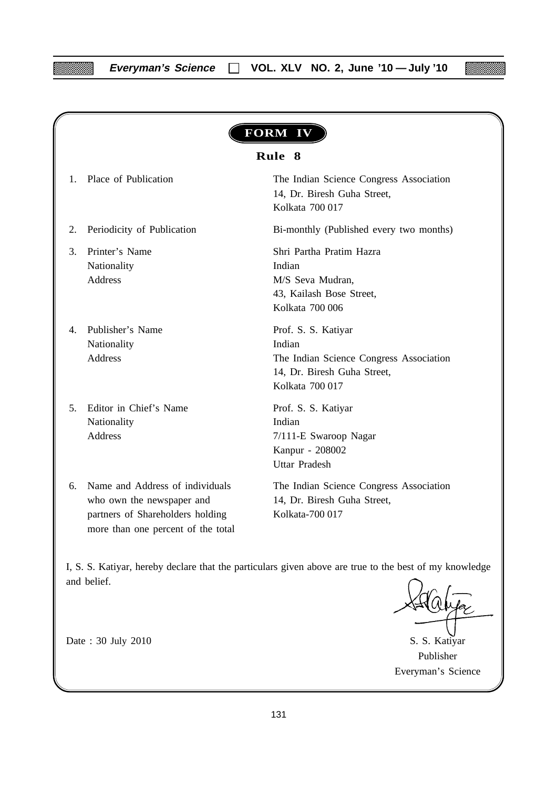|                                                                                                                                              |  | FORM IV                                                                                                                    |  |  |  |
|----------------------------------------------------------------------------------------------------------------------------------------------|--|----------------------------------------------------------------------------------------------------------------------------|--|--|--|
| Rule 8                                                                                                                                       |  |                                                                                                                            |  |  |  |
| Place of Publication<br>$\mathbf{1}_{\cdot}$                                                                                                 |  | The Indian Science Congress Association<br>14, Dr. Biresh Guha Street,<br>Kolkata 700 017                                  |  |  |  |
| Periodicity of Publication<br>2.                                                                                                             |  | Bi-monthly (Published every two months)                                                                                    |  |  |  |
| 3.<br>Printer's Name<br>Nationality<br><b>Address</b>                                                                                        |  | Shri Partha Pratim Hazra<br>Indian<br>M/S Seva Mudran,<br>43, Kailash Bose Street,<br>Kolkata 700 006                      |  |  |  |
| Publisher's Name<br>4.<br>Nationality<br><b>Address</b>                                                                                      |  | Prof. S. S. Katiyar<br>Indian<br>The Indian Science Congress Association<br>14, Dr. Biresh Guha Street,<br>Kolkata 700 017 |  |  |  |
| Editor in Chief's Name<br>5.<br>Nationality<br><b>Address</b>                                                                                |  | Prof. S. S. Katiyar<br>Indian<br>7/111-E Swaroop Nagar<br>Kanpur - 208002<br><b>Uttar Pradesh</b>                          |  |  |  |
| Name and Address of individuals<br>б.<br>who own the newspaper and<br>partners of Shareholders holding<br>more than one percent of the total |  | The Indian Science Congress Association<br>14, Dr. Biresh Guha Street,<br>Kolkata-700 017                                  |  |  |  |

I, S. S. Katiyar, hereby declare that the particulars given above are true to the best of my knowledge and belief.

▩

Publisher Everyman's Science

Date : 30 July 2010 S. S. Katiyar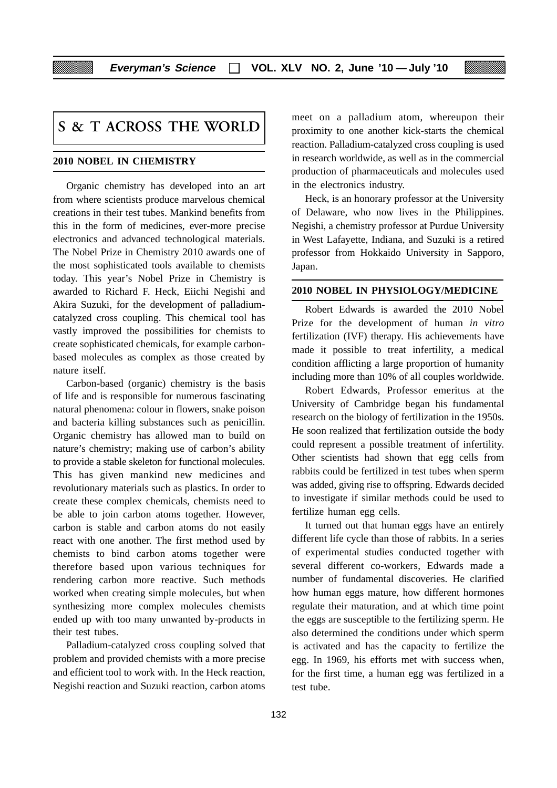## **S & T ACROSS THE WORLD**

### **2010 NOBEL IN CHEMISTRY**

Organic chemistry has developed into an art from where scientists produce marvelous chemical creations in their test tubes. Mankind benefits from this in the form of medicines, ever-more precise electronics and advanced technological materials. The Nobel Prize in Chemistry 2010 awards one of the most sophisticated tools available to chemists today. This year's Nobel Prize in Chemistry is awarded to Richard F. Heck, Eiichi Negishi and Akira Suzuki, for the development of palladiumcatalyzed cross coupling. This chemical tool has vastly improved the possibilities for chemists to create sophisticated chemicals, for example carbonbased molecules as complex as those created by nature itself.

Carbon-based (organic) chemistry is the basis of life and is responsible for numerous fascinating natural phenomena: colour in flowers, snake poison and bacteria killing substances such as penicillin. Organic chemistry has allowed man to build on nature's chemistry; making use of carbon's ability to provide a stable skeleton for functional molecules. This has given mankind new medicines and revolutionary materials such as plastics. In order to create these complex chemicals, chemists need to be able to join carbon atoms together. However, carbon is stable and carbon atoms do not easily react with one another. The first method used by chemists to bind carbon atoms together were therefore based upon various techniques for rendering carbon more reactive. Such methods worked when creating simple molecules, but when synthesizing more complex molecules chemists ended up with too many unwanted by-products in their test tubes.

Palladium-catalyzed cross coupling solved that problem and provided chemists with a more precise and efficient tool to work with. In the Heck reaction, Negishi reaction and Suzuki reaction, carbon atoms meet on a palladium atom, whereupon their proximity to one another kick-starts the chemical reaction. Palladium-catalyzed cross coupling is used in research worldwide, as well as in the commercial production of pharmaceuticals and molecules used in the electronics industry.

Heck, is an honorary professor at the University of Delaware, who now lives in the Philippines. Negishi, a chemistry professor at Purdue University in West Lafayette, Indiana, and Suzuki is a retired professor from Hokkaido University in Sapporo, Japan.

#### **2010 NOBEL IN PHYSIOLOGY/MEDICINE**

Robert Edwards is awarded the 2010 Nobel Prize for the development of human *in vitro* fertilization (IVF) therapy. His achievements have made it possible to treat infertility, a medical condition afflicting a large proportion of humanity including more than 10% of all couples worldwide.

Robert Edwards, Professor emeritus at the University of Cambridge began his fundamental research on the biology of fertilization in the 1950s. He soon realized that fertilization outside the body could represent a possible treatment of infertility. Other scientists had shown that egg cells from rabbits could be fertilized in test tubes when sperm was added, giving rise to offspring. Edwards decided to investigate if similar methods could be used to fertilize human egg cells.

It turned out that human eggs have an entirely different life cycle than those of rabbits. In a series of experimental studies conducted together with several different co-workers, Edwards made a number of fundamental discoveries. He clarified how human eggs mature, how different hormones regulate their maturation, and at which time point the eggs are susceptible to the fertilizing sperm. He also determined the conditions under which sperm is activated and has the capacity to fertilize the egg. In 1969, his efforts met with success when, for the first time, a human egg was fertilized in a test tube.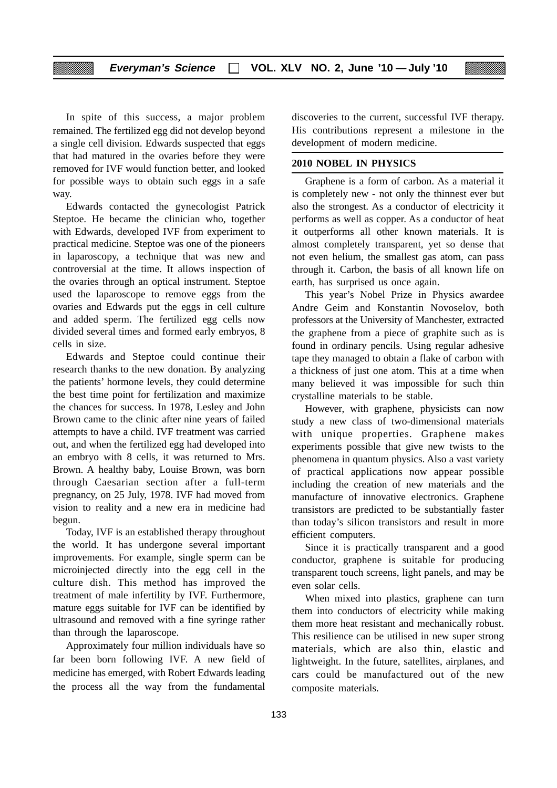In spite of this success, a major problem remained. The fertilized egg did not develop beyond a single cell division. Edwards suspected that eggs that had matured in the ovaries before they were removed for IVF would function better, and looked for possible ways to obtain such eggs in a safe way.

Edwards contacted the gynecologist Patrick Steptoe. He became the clinician who, together with Edwards, developed IVF from experiment to practical medicine. Steptoe was one of the pioneers in laparoscopy, a technique that was new and controversial at the time. It allows inspection of the ovaries through an optical instrument. Steptoe used the laparoscope to remove eggs from the ovaries and Edwards put the eggs in cell culture and added sperm. The fertilized egg cells now divided several times and formed early embryos, 8 cells in size.

Edwards and Steptoe could continue their research thanks to the new donation. By analyzing the patients' hormone levels, they could determine the best time point for fertilization and maximize the chances for success. In 1978, Lesley and John Brown came to the clinic after nine years of failed attempts to have a child. IVF treatment was carried out, and when the fertilized egg had developed into an embryo with 8 cells, it was returned to Mrs. Brown. A healthy baby, Louise Brown, was born through Caesarian section after a full-term pregnancy, on 25 July, 1978. IVF had moved from vision to reality and a new era in medicine had begun.

Today, IVF is an established therapy throughout the world. It has undergone several important improvements. For example, single sperm can be microinjected directly into the egg cell in the culture dish. This method has improved the treatment of male infertility by IVF. Furthermore, mature eggs suitable for IVF can be identified by ultrasound and removed with a fine syringe rather than through the laparoscope.

Approximately four million individuals have so far been born following IVF. A new field of medicine has emerged, with Robert Edwards leading the process all the way from the fundamental discoveries to the current, successful IVF therapy. His contributions represent a milestone in the development of modern medicine.

#### **2010 NOBEL IN PHYSICS**

Graphene is a form of carbon. As a material it is completely new - not only the thinnest ever but also the strongest. As a conductor of electricity it performs as well as copper. As a conductor of heat it outperforms all other known materials. It is almost completely transparent, yet so dense that not even helium, the smallest gas atom, can pass through it. Carbon, the basis of all known life on earth, has surprised us once again.

This year's Nobel Prize in Physics awardee Andre Geim and Konstantin Novoselov, both professors at the University of Manchester, extracted the graphene from a piece of graphite such as is found in ordinary pencils. Using regular adhesive tape they managed to obtain a flake of carbon with a thickness of just one atom. This at a time when many believed it was impossible for such thin crystalline materials to be stable.

However, with graphene, physicists can now study a new class of two-dimensional materials with unique properties. Graphene makes experiments possible that give new twists to the phenomena in quantum physics. Also a vast variety of practical applications now appear possible including the creation of new materials and the manufacture of innovative electronics. Graphene transistors are predicted to be substantially faster than today's silicon transistors and result in more efficient computers.

Since it is practically transparent and a good conductor, graphene is suitable for producing transparent touch screens, light panels, and may be even solar cells.

When mixed into plastics, graphene can turn them into conductors of electricity while making them more heat resistant and mechanically robust. This resilience can be utilised in new super strong materials, which are also thin, elastic and lightweight. In the future, satellites, airplanes, and cars could be manufactured out of the new composite materials.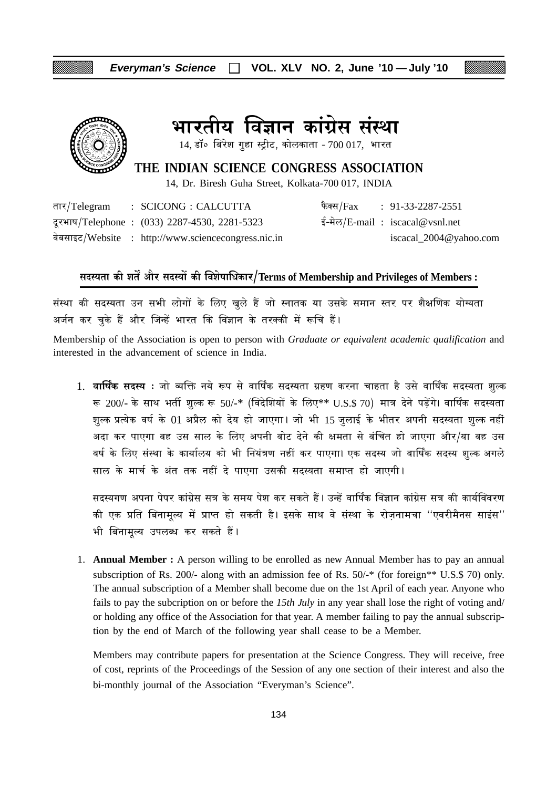

# भारतीय विज्ञान कांग्रेस संस्था

14. डॉ॰ बिरेश गुहा स्ट्रीट, कोलकाता - 700 017, भारत

THE INDIAN SCIENCE CONGRESS ASSOCIATION

14, Dr. Biresh Guha Street, Kolkata-700 017, INDIA

| तार/Telegram | : SCICONG : CALCUTTA                                |  | फैक्स/Fax : 91-33-2287-2551     |
|--------------|-----------------------------------------------------|--|---------------------------------|
|              | दूरभाष/Telephone: (033) 2287-4530, 2281-5323        |  | ई-मेल/E-mail : iscacal@vsnl.net |
|              | वेबसाइट/Website : http://www.sciencecongress.nic.in |  | iscacal_2004@yahoo.com          |

## सदस्यता की शर्तें और सदस्यों की विशेषाधिकार/Terms of Membership and Privileges of Members :

संस्था की सदस्यता उन सभी लोगों के लिए खुले हैं जो स्नातक या उसके समान स्तर पर शैक्षणिक योग्यता अर्जन कर चुके हैं और जिन्हें भारत कि विज्ञान के तरक्की में रूचि हैं।

Membership of the Association is open to person with Graduate or equivalent academic qualification and interested in the advancement of science in India.

<u>1. <mark>वार्षिक सदस्य</mark>ः जो व्यक्ति नये रूप से वार्षिक सदस्यता ग्रहण करना चाहता है उसे वार्षिक सदस्यता शल्क</u> रू 200/- के साथ भर्ती शुल्क रू 50/-\* (विदेशियों के लिए\*\* U.S.\$ 70) मात्र देने पडेंगे। वार्षिक सदस्यता शूल्क प्रत्येक वर्ष के 01 अप्रैल को देय हो जाएगा। जो भी 15 जूलाई के भीतर अपनी सदस्यता शूल्क नहीं अदा कर पाएगा वह उस साल के लिए अपनी वोट देने की क्षमता से वंचित हो जाएगा और/या वह उस वर्ष के लिए संस्था के कार्यालय को भी नियंत्रण नहीं कर पाएगा। एक सदस्य जो वार्षिक सदस्य शुल्क अगले साल के मार्च के अंत तक नहीं दे पाएगा उसकी सदस्यता समाप्त हो जाएगी।

सदस्यगण अपना पेपर कांग्रेस सत्र के समय पेश कर सकते हैं। उन्हें वार्षिक विज्ञान कांग्रेस सत्र की कार्यविवरण की एक प्रति बिनामृत्य में प्राप्त हो सकती है। इसके साथ वे संस्था के रोजनामचा ''एवरीमैनस साइंस'' भी बिनामुल्य उपलब्ध कर सकते हैं।

1. **Annual Member**: A person willing to be enrolled as new Annual Member has to pay an annual subscription of Rs. 200/- along with an admission fee of Rs. 50/-\* (for foreign\*\* U.S.\$ 70) only. The annual subscription of a Member shall become due on the 1st April of each year. Anyone who fails to pay the subcription on or before the 15th July in any year shall lose the right of voting and/ or holding any office of the Association for that year. A member failing to pay the annual subscription by the end of March of the following year shall cease to be a Member.

Members may contribute papers for presentation at the Science Congress. They will receive, free of cost, reprints of the Proceedings of the Session of any one section of their interest and also the bi-monthly journal of the Association "Everyman's Science".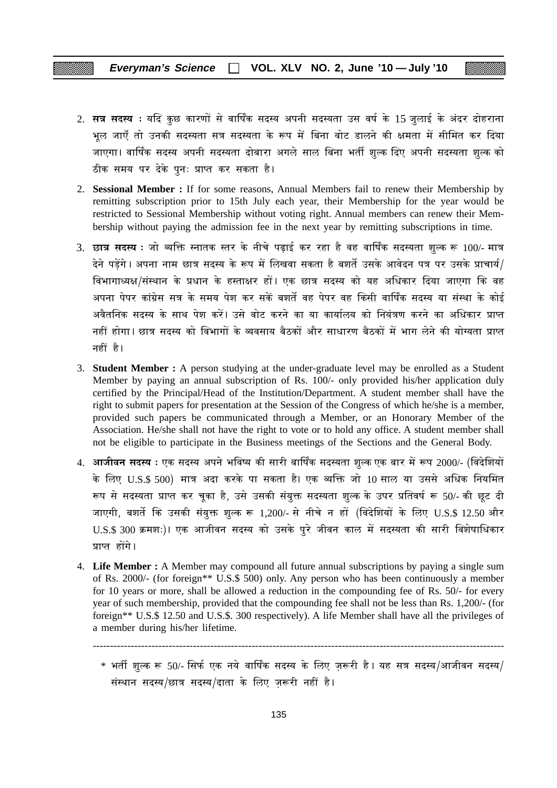#### VOL. XLV NO. 2. June '10 - July '10 **Everyman's Science**  $\Box$

- 2. सत्र सदस्य : यदि कुछ कारणों से वार्षिक सदस्य अपनी सदस्यता उस वर्ष के 15 जुलाई के अंदर दोहराना भुल जाएँ तो उनकी सदस्यता सत्र सदस्यता के रूप में बिना वोट डालने की क्षमता में सीमित कर दिया जाएगा। वार्षिक सदस्य अपनी सदस्यता दोबारा अगले साल बिना भर्ती शुल्क दिए अपनी सदस्यता शुल्क को ठीक समय पर देके पून: प्राप्त कर सकता है।
- 2. Sessional Member : If for some reasons, Annual Members fail to renew their Membership by remitting subscription prior to 15th July each year, their Membership for the year would be restricted to Sessional Membership without voting right. Annual members can renew their Membership without paying the admission fee in the next year by remitting subscriptions in time.
- 3. छात्र सदस्य : जो व्यक्ति स्नातक स्तर के नीचे पढ़ाई कर रहा है वह वार्षिक सदस्यता शुल्क रू 100/- मात्र देने पडेंगे। अपना नाम छात्र सदस्य के रूप में लिखवा सकता है बशर्ते उसके आवेदन पत्र पर उसके प्राचार्य/ विभागाध्यक्ष/संस्थान के प्रधान के हस्ताक्षर हों। एक छात्र सदस्य को यह अधिकार दिया जाएगा कि वह अपना पेपर कांग्रेस सत्र के समय पेश कर सकें बशर्ते वह पेपर वह किसी वार्षिक सदस्य या संस्था के कोई अवैतनिक सदस्य के साथ पेश करें। उसे वोट करने का या कार्यालय को नियंत्रण करने का अधिकार प्राप्त नहीं होगा। छात्र सदस्य को विभागों के व्यवसाय बैठकों और साधारण बैठकों में भाग लेने की योग्यता प्राप्त नहीं है।
- 3. Student Member : A person studying at the under-graduate level may be enrolled as a Student Member by paying an annual subscription of Rs. 100/- only provided his/her application duly certified by the Principal/Head of the Institution/Department. A student member shall have the right to submit papers for presentation at the Session of the Congress of which he/she is a member, provided such papers be communicated through a Member, or an Honorary Member of the Association. He/she shall not have the right to vote or to hold any office. A student member shall not be eligible to participate in the Business meetings of the Sections and the General Body.
- 4. आजीवन सदस्य : एक सदस्य अपने भविष्य की सारी बार्षिक सदस्यता शुल्क एक बार में रूप 2000/- (विदेशियों के लिए U.S.\$ 500) मात्र अदा करके पा सकता है। एक व्यक्ति जो 10 साल या उससे अधिक नियमित रूप से सदस्यता प्राप्त कर चुका है, उसे उसकी संयुक्त सदस्यता शूल्क के उपर प्रतिवर्ष रू 50/- की छूट दी जाएगी. बशर्ते कि उसकी संयुक्त शुल्क रू 1.200/- से नीचे न हों (विदेशियों के लिए U.S.\$ 12.50 और U.S.\$ 300 क्रमशः)। एक आजीवन सदस्य को उसके पुरे जीवन काल में सदस्यता की सारी विशेषाधिकार प्राप्त होंगे।
- 4. Life Member : A Member may compound all future annual subscriptions by paying a single sum of Rs. 2000/- (for foreign\*\* U.S.\$ 500) only. Any person who has been continuously a member for 10 years or more, shall be allowed a reduction in the compounding fee of Rs. 50/- for every year of such membership, provided that the compounding fee shall not be less than Rs. 1,200/- (for foreign\*\* U.S.\$ 12.50 and U.S.\$. 300 respectively). A life Member shall have all the privileges of a member during his/her lifetime.

 $*$  भर्ती शुल्क रू 50/- सिर्फ एक नये वार्षिक सदस्य के लिए जरूरी है। यह सत्र सदस्य/आजीवन सदस्य/ संस्थान सदस्य/छात्र सदस्य/दाता के लिए जरूरी नहीं है।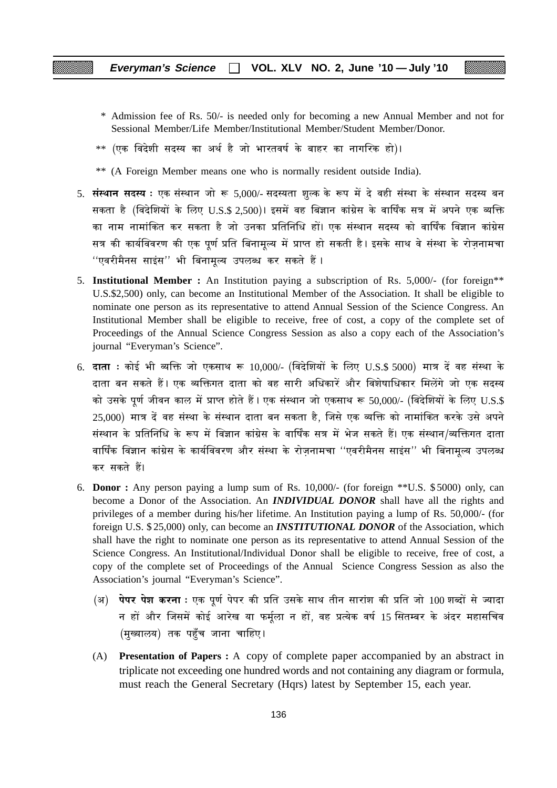- \* Admission fee of Rs. 50/- is needed only for becoming a new Annual Member and not for Sessional Member/Life Member/Institutional Member/Student Member/Donor.
- \*\* (एक विदेशी सदस्य का अर्थ है जो भारतवर्ष के बाहर का नागरिक हो)।
- \*\* (A Foreign Member means one who is normally resident outside India).
- 5. संस्थान सदस्य : एक संस्थान जो रू 5,000/- सदस्यता शुल्क के रूप में दे वही संस्था के संस्थान सदस्य बन सकता है (विदेशियों के लिए U.S.\$ 2.500)। इसमें वह बिज्ञान कांग्रेस के वार्षिक सत्र में अपने एक व्यक्ति का नाम नामांकित कर सकता है जो उनका प्रतिनिधि हों। एक संस्थान सदस्य को वार्षिक विज्ञान कांग्रेस सत्र की कार्यविवरण की एक पूर्ण प्रति बिनामृत्य में प्राप्त हो सकती है। इसके साथ वे संस्था के रोजनामचा ''एवरीमैनस साइंस'' भी बिनामुल्य उपलब्ध कर सकते हैं ।
- 5. Institutional Member : An Institution paying a subscription of Rs. 5,000/- (for foreign\*\* U.S.\$2,500) only, can become an Institutional Member of the Association. It shall be eligible to nominate one person as its representative to attend Annual Session of the Science Congress. An Institutional Member shall be eligible to receive, free of cost, a copy of the complete set of Proceedings of the Annual Science Congress Session as also a copy each of the Association's journal "Everyman's Science".
- 6. दाता : कोई भी व्यक्ति जो एकसाथ रू 10,000/- (विदेशियों के लिए U.S.\$ 5000) मात्र दें वह संस्था के दाता बन सकते हैं। एक व्यक्तिगत दाता को वह सारी अधिकारें और विशेषाधिकार मिलेंगे जो एक सदस्य को उसके पूर्ण जीवन काल में प्राप्त होते हैं। एक संस्थान जो एकसाथ रू 50,000/- (विदेशियों के लिए U.S.\$ 25,000) मात्र दें वह संस्था के संस्थान दाता बन सकता है. जिसे एक व्यक्ति को नामांकित करके उसे अपने संस्थान के प्रतिनिधि के रूप में विज्ञान कांग्रेस के वार्षिक सत्र में भेज सकते हैं। एक संस्थान/व्यक्तिगत दाता वार्षिक विज्ञान कांग्रेस के कार्यविवरण और संस्था के रोजनामचा ''एवरीमैनस साइंस'' भी बिनामूल्य उपलब्ध कर सकते हैं।
- 6. Donor: Any person paying a lump sum of Rs. 10,000/- (for foreign \*\*U.S. \$5000) only, can become a Donor of the Association. An **INDIVIDUAL DONOR** shall have all the rights and privileges of a member during his/her lifetime. An Institution paying a lump of Rs. 50,000/- (for foreign U.S. \$25,000) only, can become an *INSTITUTIONAL DONOR* of the Association, which shall have the right to nominate one person as its representative to attend Annual Session of the Science Congress. An Institutional/Individual Donor shall be eligible to receive, free of cost, a copy of the complete set of Proceedings of the Annual Science Congress Session as also the Association's journal "Everyman's Science".
	- (अ) **पेपर पेश करना :** एक पर्ण पेपर की प्रति उसके साथ तीन सारांश की प्रति जो 100 शब्दों से ज्यादा न हों और जिसमें कोई आरेख या फर्मूला न हों, वह प्रत्येक वर्ष 15 सितम्बर के अंदर महासचिव (मुख्यालय) तक पहँच जाना चाहिए।
	- (A) Presentation of Papers : A copy of complete paper accompanied by an abstract in triplicate not exceeding one hundred words and not containing any diagram or formula, must reach the General Secretary (Hqrs) latest by September 15, each year.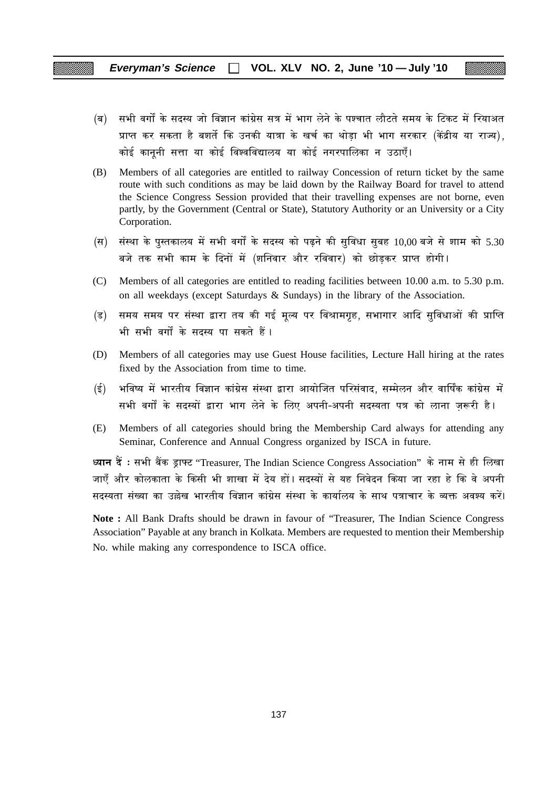- (ब) सभी वर्गों के सदस्य जो विज्ञान कांग्रेस सत्र में भाग लेने के पश्चात लौटते समय के टिकट में रियाअत प्राप्त कर सकता है बशर्ते कि उनकी यात्रा के खर्च का थोडा भी भाग सरकार (केंद्रीय या राज्य). कोई काननी सत्ता या कोई विश्वविद्यालय या कोई नगरपालिका न उठाएँ।
- Members of all categories are entitled to railway Concession of return ticket by the same (B) route with such conditions as may be laid down by the Railway Board for travel to attend the Science Congress Session provided that their travelling expenses are not borne, even partly, by the Government (Central or State), Statutory Authority or an University or a City Corporation.
- (स) संस्था के पस्तकालय में सभी वर्गों के सदस्य को पढने की सविधा सबह 10.00 बजे से शाम को 5.30 बजे तक सभी काम के दिनों में (शनिवार और रविवार) को छोडकर प्राप्त होगी।
- (C) Members of all categories are entitled to reading facilities between 10.00 a.m. to 5.30 p.m. on all weekdays (except Saturdays & Sundays) in the library of the Association.
- समय समय पर संस्था द्वारा तय की गई मूल्य पर विश्रामगृह, सभागार आदि सुविधाओं की प्राप्ति (ड) भी सभी वर्गों के सदस्य पा सकते हैं।
- $(D)$ Members of all categories may use Guest House facilities, Lecture Hall hiring at the rates fixed by the Association from time to time.
- भविष्य में भारतीय विज्ञान कांग्रेस संस्था द्वारा आयोजित परिसंवाद, सम्मेलन और वार्षिक कांग्रेस में  $(\xi)$ सभी वर्गों के सदस्यों द्वारा भाग लेने के लिए अपनी-अपनी सदस्यता पत्र को लाना जरूरी है।
- $(E)$ Members of all categories should bring the Membership Card always for attending any Seminar, Conference and Annual Congress organized by ISCA in future.

ध्यान दें : सभी बैंक ड्राफ्ट "Treasurer, The Indian Science Congress Association" के नाम से ही लिखा जाएँ और कोलकाता के किसी भी शाखा में देय हों। सदस्यों से यह निवेदन किया जा रहा हे कि वे अपनी सदस्यता संख्या का उल्लेख भारतीय विज्ञान कांग्रेस संस्था के कार्यालय के साथ पत्राचार के व्यक्त अवश्य करें।

Note: All Bank Drafts should be drawn in favour of "Treasurer, The Indian Science Congress Association" Payable at any branch in Kolkata. Members are requested to mention their Membership No. while making any correspondence to ISCA office.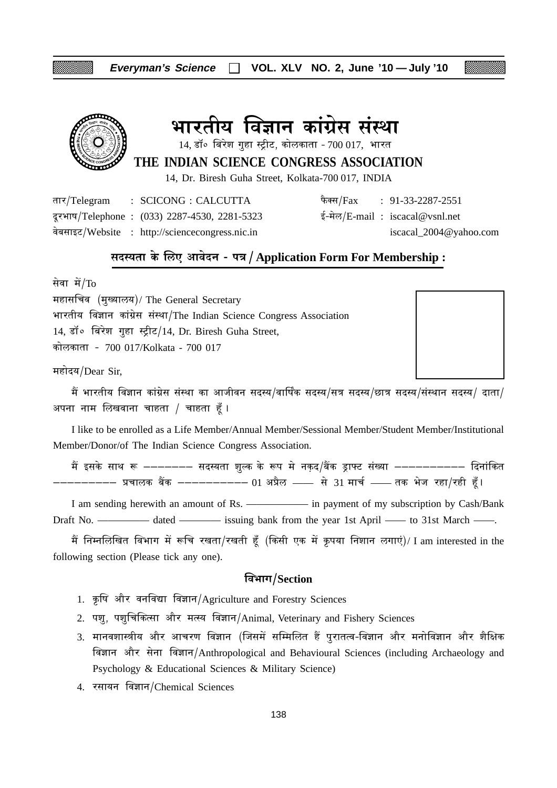

## भारतीय विज्ञान कांग्रेस संस्था

14, डॉ॰ बिरेश गृहा स्ट्रीट, कोलकाता - 700 017, भारत

## THE INDIAN SCIENCE CONGRESS ASSOCIATION

14, Dr. Biresh Guha Street, Kolkata-700 017, INDIA

| तार/Telegram | : SCICONG : CALCUTTA                            | फै |
|--------------|-------------------------------------------------|----|
|              | दूरभाष/Telephone: (033) 2287-4530, 2281-5323    | ई- |
|              | वेबसाइट/Website : http://sciencecongress.nic.in |    |

क्स/ $\boldsymbol{\mathsf{F}}$ ax  $: 91-33-2287-2551$ -मेल/E-mail : iscacal@vsnl.net iscacal\_2004@yahoo.com

## सदस्यता के लिए आवेदन - पत्र / Application Form For Membership :

सेवा में/To

महासचिव (मुख्यालय)/ The General Secretary भारतीय विज्ञान कांग्रेस संस्था/The Indian Science Congress Association 14, डॉ॰ बिरेश गुहा स्ट्रीट/14, Dr. Biresh Guha Street, कोलकाता - 700 017/Kolkata - 700 017

महोदय/Dear Sir.

मैं भारतीय विज्ञान कांग्रेस संस्था का आजीवन सदस्य/वार्षिक सदस्य/सत्र सदस्य/छात्र सदस्य/संस्थान सदस्य/ दाता/ अपना नाम लिखवाना चाहता / चाहता हूँ।

I like to be enrolled as a Life Member/Annual Member/Sessional Member/Student Member/Institutional Member/Donor/of The Indian Science Congress Association.

मैं इसके साथ रू ------- सदस्यता शुल्क के रूप मे नकद/बैंक ड्राफ्ट संख्या ---------- दिनांकित \_\_\_\_\_\_\_\_\_ प्रचालक बैंक \_\_\_\_\_\_\_\_\_\_\_ 01 अप्रैल \_\_\_\_ से 31 मार्च \_\_\_\_ तक भेज रहा/रही हूँ।

I am sending herewith an amount of Rs. - in payment of my subscription by Cash/Bank 

मैं निम्नलिखित विभाग में रूचि रखता/रखती हूँ (किसी एक में कृपया निशान लगाएं)/ I am interested in the following section (Please tick any one).

## विभाग/Section

- 1. कृषि और वनविद्या विज्ञान/Agriculture and Forestry Sciences
- 2. पशु, पशुचिकित्सा और मत्स्य विज्ञान/Animal, Veterinary and Fishery Sciences
- 3. मानवशास्त्रीय और आचरण विज्ञान (जिसमें सम्मिलित हैं पूरातत्व-विज्ञान और मनोविज्ञान और शैक्षिक विज्ञान और सेना विज्ञान/Anthropological and Behavioural Sciences (including Archaeology and Psychology & Educational Sciences & Military Science)
- 4. रसायन विज्ञान/Chemical Sciences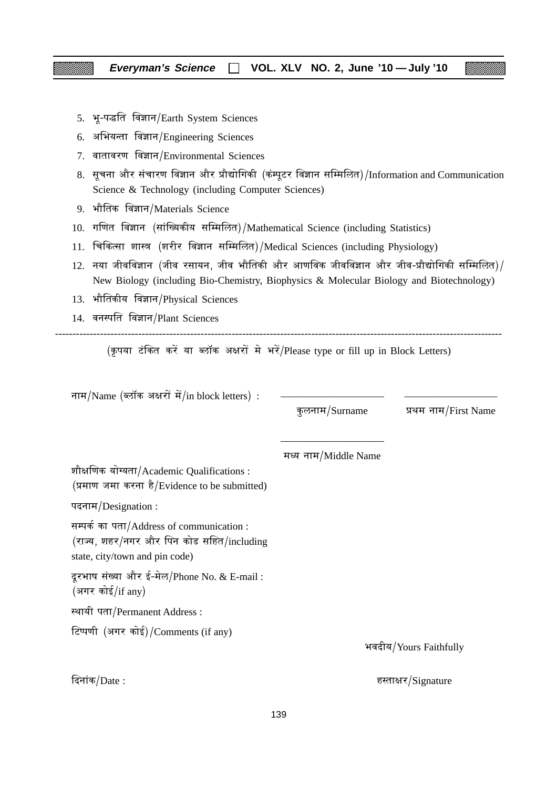- 5. भू-पद्धति विज्ञान/Earth System Sciences
- 6. अभियन्ता विज्ञान/Engineering Sciences
- 7. वातावरण विज्ञान/Environmental Sciences
- 8. सूचना और संचारण विज्ञान और प्रौद्योगिकी (कंम्पूटर विज्ञान सम्मिलित)/Information and Communication Science & Technology (including Computer Sciences)
- 9. भौतिक विज्ञान/Materials Science
- 10. गणित विज्ञान (सांख्यिकीय सम्मिलित)/Mathematical Science (including Statistics)
- 11. चिकित्सा शास्त्र (शरीर विज्ञान सम्मिलित)/Medical Sciences (including Physiology)
- $12$ . नया जीवविज्ञान (जीव रसायन, जीव भौतिकी और आणविक जीवविज्ञान और जीव-प्रौद्योगिकी सम्मिलित)/ New Biology (including Bio-Chemistry, Biophysics & Molecular Biology and Biotechnology)
- 13. भौतिकीय विज्ञान/Physical Sciences

14. वनस्पति विज्ञान/Plant Sciences

(कृपया टंकित करें या ब्लॉक अक्षरों मे भरें/Please type or fill up in Block Letters)

| नाम/Name (ब्लॉक अक्षरों में/in block letters) :                                                                         | कुलनाम/Surname       | प्रथम नाम/First Name   |
|-------------------------------------------------------------------------------------------------------------------------|----------------------|------------------------|
|                                                                                                                         |                      |                        |
|                                                                                                                         | मध्य नाम/Middle Name |                        |
| शौक्षणिक योग्यता/Academic Qualifications:<br>(प्रमाण जमा करना है/Evidence to be submitted)                              |                      |                        |
| पदनाम/Designation :                                                                                                     |                      |                        |
| सम्पर्क का पता/Address of communication:<br>(राज्य, शहर/नगर और पिन कोड सहित/including<br>state, city/town and pin code) |                      |                        |
| दूरभाष संख्या और ई-मेल/Phone No. & E-mail:<br>(अगर कोई/if any)                                                          |                      |                        |
| स्थायी पता/Permanent Address:                                                                                           |                      |                        |
| टिप्पणी (अगर कोई)/Comments (if any)                                                                                     |                      | भवदीय/Yours Faithfully |
| दिनाक/Date :                                                                                                            |                      | हस्ताक्षर/Signature    |